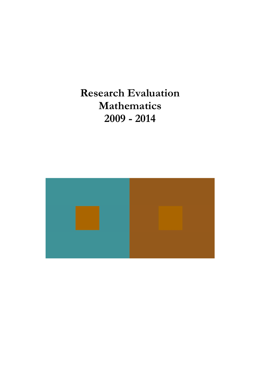Research Evaluation Mathematics 2009 - 2014

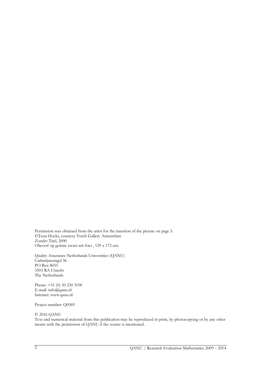Permission was obtained from the artist for the insertion of the picture on page 5. ©Teun Hocks, courtesy Torch Gallery Amsterdam Zonder Titel, 2000 Olieverf op getinte zwart-wit foto , 129 x 172 cm.

Quality Assurance Netherlands Universities (QANU) Catharijnesingel 56 PO Box 8035 3503 RA Utrecht The Netherlands

Phone: +31 (0) 30 230 3100 E-mail: info@qanu.nl Internet: www.qanu.nl

Project number: Q0569

#### © 2016 QANU

Text and numerical material from this publication may be reproduced in print, by photocopying or by any other means with the permission of QANU if the source is mentioned.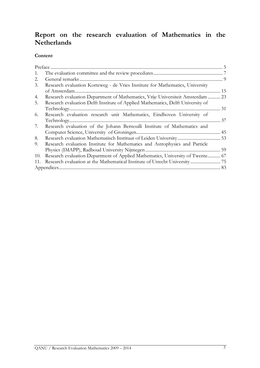# Report on the research evaluation of Mathematics in the Netherlands

### Content

| 1.  |                                                                                 |    |
|-----|---------------------------------------------------------------------------------|----|
| 2.  | General remarks                                                                 |    |
| 3.  | Research evaluation Korteweg - de Vries Institute for Mathematics, University   |    |
|     | of Amsterdam.                                                                   |    |
| 4.  | Research evaluation Department of Mathematics, Vrije Universiteit Amsterdam  23 |    |
| 5.  | Research evaluation Delft Institute of Applied Mathematics, Delft University of |    |
|     |                                                                                 | 31 |
| 6.  | Research evaluation research unit Mathematics, Eindhoven University of          |    |
|     |                                                                                 | 37 |
| 7.  | Research evaluation of the Johann Bernoulli Institute of Mathematics and        |    |
|     |                                                                                 |    |
| 8.  |                                                                                 |    |
| 9.  | Research evaluation Institute for Mathematics and Astrophysics and Particle     |    |
|     |                                                                                 |    |
| 10. | Research evaluation Department of Applied Mathematics, University of Twente 67  |    |
| 11. |                                                                                 |    |
|     |                                                                                 |    |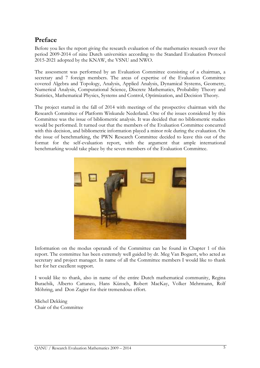## Preface

Before you lies the report giving the research evaluation of the mathematics research over the period 2009-2014 of nine Dutch universities according to the Standard Evaluation Protocol 2015-2021 adopted by the KNAW, the VSNU and NWO.

The assessment was performed by an Evaluation Committee consisting of a chairman, a secretary and 7 foreign members. The areas of expertise of the Evaluation Committee covered Algebra and Topology, Analysis, Applied Analysis, Dynamical Systems, Geometry, Numerical Analysis, Computational Science, Discrete Mathematics, Probability Theory and Statistics, Mathematical Physics, Systems and Control, Optimization, and Decision Theory.

The project started in the fall of 2014 with meetings of the prospective chairman with the Research Committee of Platform Wiskunde Nederland. One of the issues considered by this Committee was the issue of bibliometric analysis. It was decided that no bibliometric studies would be performed. It turned out that the members of the Evaluation Committee concurred with this decision, and bibliometric information played a minor role during the evaluation. On the issue of benchmarking, the PWN Research Committee decided to leave this out of the format for the self-evaluation report, with the argument that ample international benchmarking would take place by the seven members of the Evaluation Committee.



Information on the modus operandi of the Committee can be found in Chapter 1 of this report. The committee has been extremely well guided by dr. Meg Van Bogaert, who acted as secretary and project manager. In name of all the Committee members I would like to thank her for her excellent support.

I would like to thank, also in name of the entire Dutch mathematical community, Regina Burachik, Alberto Cattaneo, Hans Künsch, Robert MacKay, Volker Mehrmann, Rolf Möhring, and Don Zagier for their tremendous effort.

Michel Dekking Chair of the Committee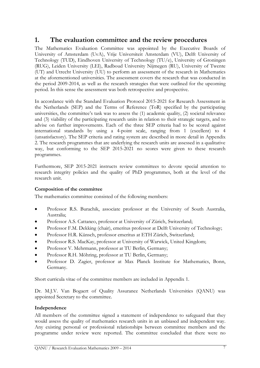## 1. The evaluation committee and the review procedures

The Mathematics Evaluation Committee was appointed by the Executive Boards of University of Amsterdam (UvA), Vrije Universiteit Amsterdam (VU), Delft University of Technology (TUD), Eindhoven University of Technology (TU/e), University of Groningen (RUG), Leiden University (LEI), Radboud University Nijmegen (RU), University of Twente (UT) and Utrecht University (UU) to perform an assessment of the research in Mathematics at the aforementioned universities. The assessment covers the research that was conducted in the period 2009-2014, as well as the research strategies that were outlined for the upcoming period. In this sense the assessment was both retrospective and prospective.

In accordance with the Standard Evaluation Protocol 2015-2021 for Research Assessment in the Netherlands (SEP) and the Terms of Reference (ToR) specified by the participating universities, the committee's task was to assess the (1) academic quality, (2) societal relevance and (3) viability of the participating research units in relation to their strategic targets, and to advise on further improvements. Each of the three SEP criteria had to be scored against international standards by using a 4-point scale, ranging from 1 (excellent) to 4 (unsatisfactory). The SEP criteria and rating system are described in more detail in Appendix 2. The research programmes that are underlying the research units are assessed in a qualitative way, but conforming to the SEP 2015-2021 no scores were given to these research programmes.

Furthermore, SEP 2015-2021 instructs review committees to devote special attention to research integrity policies and the quality of PhD programmes, both at the level of the research unit.

#### Composition of the committee

The mathematics committee consisted of the following members:

- Professor R.S. Burachik, associate professor at the University of South Australia, Australia;
- Professor A.S. Cattaneo, professor at University of Zürich, Switzerland;
- Professor F.M. Dekking (chair), emeritus professor at Delft University of Technology;
- Professor H.R. Künsch, professor emeritus at ETH Zürich, Switzerland;
- Professor R.S. MacKay, professor at University of Warwick, United Kingdom;
- Professor V. Mehrmann, professor at TU Berlin, Germany;
- Professor R.H. Möhring, professor at TU Berlin, Germany;
- Professor D. Zagier, professor at Max Planck Institute for Mathematics, Bonn, Germany.

Short curricula vitae of the committee members are included in Appendix 1.

Dr. M.J.V. Van Bogaert of Quality Assurance Netherlands Universities (QANU) was appointed Secretary to the committee.

#### Independence

All members of the committee signed a statement of independence to safeguard that they would assess the quality of mathematics research units in an unbiased and independent way. Any existing personal or professional relationships between committee members and the programme under review were reported. The committee concluded that there were no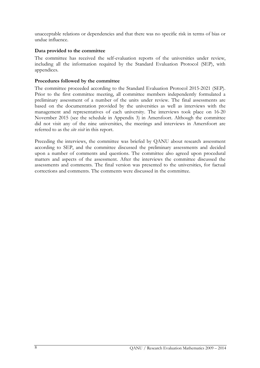unacceptable relations or dependencies and that there was no specific risk in terms of bias or undue influence.

#### Data provided to the committee

The committee has received the self-evaluation reports of the universities under review, including all the information required by the Standard Evaluation Protocol (SEP), with appendices.

#### Procedures followed by the committee

The committee proceeded according to the Standard Evaluation Protocol 2015-2021 (SEP). Prior to the first committee meeting, all committee members independently formulated a preliminary assessment of a number of the units under review. The final assessments are based on the documentation provided by the universities as well as interviews with the management and representatives of each university. The interviews took place on 16-20 November 2015 (see the schedule in Appendix 3) in Amersfoort. Although the committee did not visit any of the nine universities, the meetings and interviews in Amersfoort are referred to as the site visit in this report.

Preceding the interviews, the committee was briefed by QANU about research assessment according to SEP, and the committee discussed the preliminary assessments and decided upon a number of comments and questions. The committee also agreed upon procedural matters and aspects of the assessment. After the interviews the committee discussed the assessments and comments. The final version was presented to the universities, for factual corrections and comments. The comments were discussed in the committee.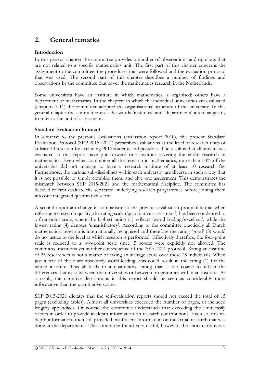## 2. General remarks

#### Introduction

In this general chapter the committee provides a number of observations and opinions that are not related to a specific mathematics unit. The first part of this chapter concerns the assignment to the committee, the procedures that were followed and the evaluation protocol that was used. The second part of this chapter describes a number of findings and observations by the committee that cover the mathematics research in the Netherlands.

Some universities have an institute in which mathematics is organised; others have a department of mathematics. In the chapters in which the individual universities are evaluated (chapters 3-11) the committee adopted the organisational structure of the university. In this general chapter the committee uses the words 'institutes' and 'departments' interchangeably to refer to the unit of assessment.

#### Standard Evaluation Protocol

In contrast to the previous evaluations (evaluation report 2010), the present Standard Evaluation Protocol (SEP 2015 -2021) prescribes evaluations at the level of research units of at least 10 research fte excluding PhD students and postdocs. The result is that all universities evaluated in this report have put forward one institute covering the entire research in mathematics. Even when combining all the research in mathematics, more than 50% of the universities did not manage to have a research institute of at least 10 research fte. Furthermore, the various sub-disciplines within each university are diverse in such a way that it is not possible to simply combine them, and give one assessment. This demonstrates the mismatch between SEP 2015-2021 and the mathematical discipline. The committee has decided to first evaluate the separated underlying research programmes before joining them into one integrated quantitative score.

A second important change in comparison to the previous evaluation protocol is that when referring to research quality, the rating scale ('quantitative assessment') has been condensed to a four-point scale, where the highest rating (1) reflects 'world leading/excellent', while the lowest rating (4) denotes 'unsatisfactory'. According to the committee practically all Dutch mathematical research is internationally recognised and therefore the rating 'good' (3) would do no justice to the level at which research is performed. Effectively therefore, the four-point scale is reduced to a two-point scale since .5 scores were explicitly not allowed. The committee mentions yet another consequence of the 2015-2021 protocol. Rating an institute of 25 researchers is not a matter of taking an average score over these 25 individuals. When just a few of these are absolutely world-leading, this could result in the rating (1) for the whole institute. This all leads to a quantitative rating that is too coarse to reflect the differences that exist between the universities or between programmes within an institute. As a result, the narrative descriptions in this report should be seen as considerably more informative than the quantitative scores.

SEP 2015-2021 dictates that the self-evaluation reports should not exceed the total of 15 pages (excluding tables). Almost all universities exceeded the number of pages, or included lengthy appendices. Of course, the committee understands that exceeding the limit easily occurs in order to provide in-depth information on research contributions. Even so, this indepth information often still provided insufficient information on the actual research that was done at the departments. The committee found very useful, however, the short narratives a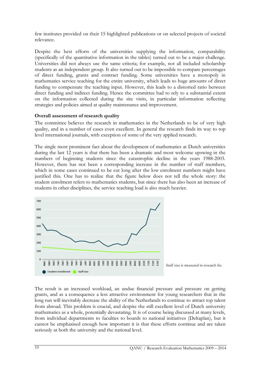few institutes provided on their 15 highlighted publications or on selected projects of societal relevance.

Despite the best efforts of the universities supplying the information, comparability (specifically of the quantitative information in the tables) turned out to be a major challenge. Universities did not always use the same criteria; for example, not all included scholarship students as an independent group. It also turned out to be impossible to compare percentages of direct funding, grants and contract funding. Some universities have a monopoly in mathematics service teaching for the entire university, which leads to huge amounts of direct funding to compensate the teaching input. However, this leads to a distorted ratio between direct funding and indirect funding. Hence the committee had to rely to a substantial extent on the information collected during the site visits, in particular information reflecting strategies and policies aimed at quality maintenance and improvement.

#### Overall assessment of research quality

The committee believes the research in mathematics in the Netherlands to be of very high quality, and in a number of cases even excellent. In general the research finds its way to top level international journals, with exception of some of the very applied research.

The single most prominent fact about the development of mathematics at Dutch universities during the last 12 years is that there has been a dramatic and most welcome upswing in the numbers of beginning students since the catastrophic decline in the years 1988-2003. However, there has not been a corresponding increase in the number of staff members, which in some cases continued to be cut long after the low enrolment numbers might have justified this. One has to realize that the figure below does not tell the whole story: the student enrolment refers to mathematics students, but since there has also been an increase of students in other disciplines, the service teaching load is also much heavier.



The result is an increased workload, an undue financial pressure and pressure on getting grants, and as a consequence a less attractive environment for young researchers that in the long run will inevitably decrease the ability of the Netherlands to continue to attract top talent from abroad. This problem is crucial, and despite the still excellent level of Dutch university mathematics as a whole, potentially devastating. It is of course being discussed at many levels, from individual departments to faculties to boards to national initiatives (Deltaplan), but it cannot be emphasised enough how important it is that these efforts continue and are taken seriously at both the university and the national level.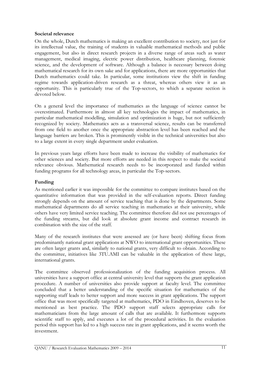#### Societal relevance

On the whole, Dutch mathematics is making an excellent contribution to society, not just for its intellectual value, the training of students in valuable mathematical methods and public engagement, but also in direct research projects in a diverse range of areas such as water management, medical imaging, electric power distribution, healthcare planning, forensic science, and the development of software. Although a balance is necessary between doing mathematical research for its own sake and for applications, there are more opportunities that Dutch mathematics could take. In particular, some institutions view the shift in funding regime towards application-driven research as a threat, whereas others view it as an opportunity. This is particularly true of the Top-sectors, to which a separate section is devoted below.

On a general level the importance of mathematics as the language of science cannot be overestimated. Furthermore in almost all key technologies the impact of mathematics, in particular mathematical modelling, simulation and optimization is huge, but not sufficiently recognized by society. Mathematics acts as a transversal science, results can be transferred from one field to another once the appropriate abstraction level has been reached and the language barriers are broken. This is prominently visible in the technical universities but also to a large extent in every single department under evaluation.

In previous years large efforts have been made to increase the visibility of mathematics for other sciences and society. But more efforts are needed in this respect to make the societal relevance obvious. Mathematical research needs to be incorporated and funded within funding programs for all technology areas, in particular the Top-sectors.

### Funding

As mentioned earlier it was impossible for the committee to compare institutes based on the quantitative information that was provided in the self-evaluation reports. Direct funding strongly depends on the amount of service teaching that is done by the departments. Some mathematical departments do all service teaching in mathematics at their university, while others have very limited service teaching. The committee therefore did not use percentages of the funding streams, but did look at absolute grant income and contract research in combination with the size of the staff.

Many of the research institutes that were assessed are (or have been) shifting focus from predominantly national grant applications at NWO to international grant opportunities. These are often larger grants and, similarly to national grants, very difficult to obtain. According to the committee, initiatives like 3TU.AMI can be valuable in the application of these large, international grants.

The committee observed professionalization of the funding acquisition process. All universities have a support office at central university level that supports the grant application procedure. A number of universities also provide support at faculty level. The committee concluded that a better understanding of the specific situation for mathematics of the supporting staff leads to better support and more success in grant applications. The support office that was most specifically targeted at mathematics, PDO in Eindhoven, deserves to be mentioned as best practice. The PDO support staff selects appropriate calls for mathematicians from the large amount of calls that are available. It furthermore supports scientific staff to apply, and executes a lot of the procedural activities. In the evaluation period this support has led to a high success rate in grant applications, and it seems worth the investment.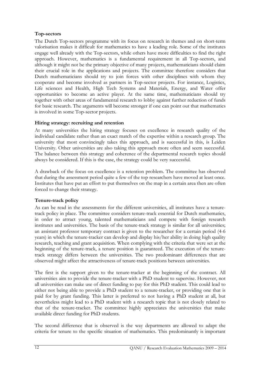## Top-sectors

The Dutch Top-sectors programme with its focus on research in themes and on short-term valorisation makes it difficult for mathematics to have a leading role. Some of the institutes engage well already with the Top-sectors, while others have more difficulties to find the right approach. However, mathematics is a fundamental requirement in all Top-sectors, and although it might not be the primary objective of many projects, mathematicians should claim their crucial role in the applications and projects. The committee therefore considers that Dutch mathematicians should try to join forces with other disciplines with whom they cooperate and become involved as partners in Top-sector projects. For instance, Logistics, Life sciences and Health, High Tech Systems and Materials, Energy, and Water offer opportunities to become an active player. At the same time, mathematicians should try together with other areas of fundamental research to lobby against further reduction of funds for basic research. The arguments will become stronger if one can point out that mathematics is involved in some Top-sector projects.

## Hiring strategy: recruiting and retention

At many universities the hiring strategy focuses on excellence in research quality of the individual candidate rather than an exact match of the expertise within a research group. The university that most convincingly takes this approach, and is successful in this, is Leiden University. Other universities are also taking this approach more often and seem successful. The balance between this strategy and coherence of the departmental research topics should always be considered. If this is the case, the strategy could be very successful.

A drawback of the focus on excellence is a retention problem. The committee has observed that during the assessment period quite a few of the top researchers have moved at least once. Institutes that have put an effort to put themselves on the map in a certain area then are often forced to change their strategy.

## Tenure-track policy

As can be read in the assessments for the different universities, all institutes have a tenuretrack policy in place. The committee considers tenure-track essential for Dutch mathematics, in order to attract young, talented mathematicians and compete with foreign research institutes and universities. The basis of the tenure-track strategy is similar for all universities; an assistant professor temporary contract is given to the researcher for a certain period (4-6 years) in which the tenure-tracker can develop and display his/her ability in doing high quality research, teaching and grant acquisition. When complying with the criteria that were set at the beginning of the tenure-track, a tenure position is guaranteed. The execution of the tenuretrack strategy differs between the universities. The two predominant differences that are observed might affect the attractiveness of tenure-track positions between universities.

The first is the support given to the tenure-tracker at the beginning of the contract. All universities aim to provide the tenure-tracker with a PhD student to supervise. However, not all universities can make use of direct funding to pay for this PhD student. This could lead to either not being able to provide a PhD student to a tenure-tracker, or providing one that is paid for by grant funding. This latter is preferred to not having a PhD student at all, but nevertheless might lead to a PhD student with a research topic that is not closely related to that of the tenure-tracker. The committee highly appreciates the universities that make available direct funding for PhD students.

The second difference that is observed is the way departments are allowed to adapt the criteria for tenure to the specific situation of mathematics. This predominantly is important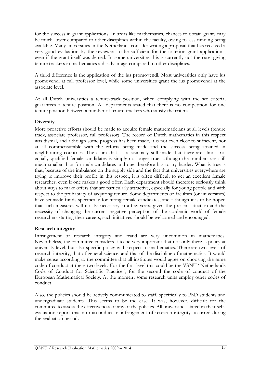for the success in grant applications. In areas like mathematics, chances to obtain grants may be much lower compared to other disciplines within the faculty, owing to less funding being available. Many universities in the Netherlands consider writing a proposal that has received a very good evaluation by the reviewers to be sufficient for the criterion grant applications, even if the grant itself was denied. In some universities this is currently not the case, giving tenure trackers in mathematics a disadvantage compared to other disciplines.

A third difference is the application of the ius promovendi. Most universities only have ius promovendi at full professor level, while some universities grant the ius promovendi at the associate level.

At all Dutch universities a tenure-track position, when complying with the set criteria, guarantees a tenure position. All departments stated that there is no competition for one tenure position between a number of tenure-trackers who satisfy the criteria.

#### **Diversity**

More proactive efforts should be made to acquire female mathematicians at all levels (tenure track, associate professor, full professor). The record of Dutch mathematics in this respect was dismal, and although some progress has been made, it is not even close to sufficient, nor at all commensurable with the efforts being made and the success being attained in neighbouring countries. The claim that is occasionally still made that there are almost no equally qualified female candidates is simply no longer true, although the numbers are still much smaller than for male candidates and one therefore has to try harder. What is true is that, because of the imbalance on the supply side and the fact that universities everywhere are trying to improve their profile in this respect, it is often difficult to get an excellent female researcher, even if one makes a good offer. Each department should therefore seriously think about ways to make offers that are particularly attractive, especially for young people and with respect to the probability of acquiring tenure. Some departments or faculties (or universities) have set aside funds specifically for hiring female candidates, and although it is to be hoped that such measures will not be necessary in a few years, given the present situation and the necessity of changing the current negative perception of the academic world of female researchers starting their careers, such initiatives should be welcomed and encouraged.

#### Research integrity

Infringement of research integrity and fraud are very uncommon in mathematics. Nevertheless, the committee considers it to be very important that not only there is policy at university level, but also specific policy with respect to mathematics. There are two levels of research integrity, that of general science, and that of the discipline of mathematics. It would make sense according to the committee that all institutes would agree on choosing the same code of conduct at these two levels. For the first level this could be the VSNU "Netherlands Code of Conduct for Scientific Practice", for the second the code of conduct of the European Mathematical Society. At the moment some research units employ other codes of conduct.

Also, the policies should be actively communicated to staff, specifically to PhD students and undergraduate students. This seems to be the case. It was, however, difficult for the committee to assess the effectiveness of any of the policies. All universities stated in their selfevaluation report that no misconduct or infringement of research integrity occurred during the evaluation period.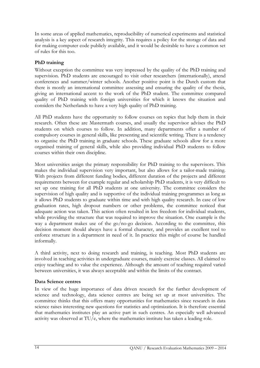In some areas of applied mathematics, reproducibility of numerical experiments and statistical analysis is a key aspect of research integrity. This requires a policy for the storage of data and for making computer code publicly available, and it would be desirable to have a common set of rules for this too.

## PhD training

Without exception the committee was very impressed by the quality of the PhD training and supervision. PhD students are encouraged to visit other researchers (internationally), attend conferences and summer/winter schools. Another positive point is the Dutch custom that there is mostly an international committee assessing and ensuring the quality of the thesis, giving an international accent to the work of the PhD student. The committee compared quality of PhD training with foreign universities for which it knows the situation and considers the Netherlands to have a very high quality of PhD training.

All PhD students have the opportunity to follow courses on topics that help them in their research. Often these are Mastermath courses, and usually the supervisor advises the PhD students on which courses to follow. In addition, many departments offer a number of compulsory courses in general skills, like presenting and scientific writing. There is a tendency to organise the PhD training in graduate schools. These graduate schools allow for a more organised training of general skills, while also providing individual PhD students to follow courses within their own discipline.

Most universities assign the primary responsibility for PhD training to the supervisors. This makes the individual supervision very important, but also allows for a tailor-made training. With projects from different funding bodies, different duration of the projects and different requirements between for example regular and scholarship PhD students, it is very difficult to set up one training for all PhD students at one university. The committee considers the supervision of high quality and is supportive of the individual training programmes as long as it allows PhD students to graduate within time and with high quality research. In case of low graduation rates, high dropout numbers or other problems, the committee noticed that adequate action was taken. This action often resulted in less freedom for individual students, while providing the structure that was required to improve the situation. One example is the way a department makes use of the go/no-go decision. According to the committee, this decision moment should always have a formal character, and provides an excellent tool to enforce structure in a department in need of it. In practice this might of course be handled informally.

A third activity, next to doing research and training, is teaching. Most PhD students are involved in teaching activities in undergraduate courses, mainly exercise classes. All claimed to enjoy teaching and to value the experience. Although the amount of teaching required varied between universities, it was always acceptable and within the limits of the contract.

#### Data Science centres

In view of the huge importance of data driven research for the further development of science and technology, data science centres are being set up at most universities. The committee thinks that this offers many opportunities for mathematics since research in data science raises interesting new questions for statistics and optimization. It is therefore essential that mathematics institutes play an active part in such centres. An especially well advanced activity was observed at TU/e, where the mathematics institute has taken a leading role.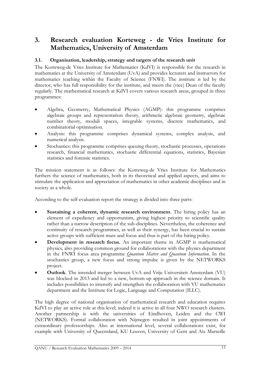## 3. Research evaluation Korteweg - de Vries Institute for Mathematics, University of Amsterdam

### 3.1. Organisation, leadership, strategy and targets of the research unit

The Korteweg-de Vries Institute for Mathematics (KdVI) is responsible for the research in mathematics at the University of Amsterdam (UvA) and provides lecturers and instructors for mathematics teaching within the Faculty of Science (FNWI). The institute is led by the director, who has full responsibility for the institute, and meets the (vice) Dean of the faculty regularly. The mathematical research at KdVI covers various research areas, grouped in three programmes:

- Algebra, Geometry, Mathematical Physics (AGMP): this programme comprises algebraic groups and representation theory, arithmetic algebraic geometry, algebraic number theory, moduli spaces, integrable systems, discrete mathematics, and combinatorial optimisation.
- Analysis: this programme comprises dynamical systems, complex analysis, and numerical analysis.
- Stochastics: this programme comprises queuing theory, stochastic processes, operations research, financial mathematics, stochastic differential equations, statistics, Bayesian statistics and forensic statistics.

The mission statement is as follows: the Korteweg-de Vries Institute for Mathematics furthers the science of mathematics, both in its theoretical and applied aspects, and aims to stimulate the application and appreciation of mathematics in other academic disciplines and in society as a whole.

According to the self-evaluation report the strategy is divided into three parts:

- Sustaining a coherent, dynamic research environment. The hiring policy has an element of expediency and opportunism, giving highest priority to scientific quality rather than a narrow description of the sub-disciplines. Nevertheless, the coherence and continuity of research programmes, as well as their synergy, has been crucial to sustain active groups with sufficient mass and focus and thus is part of the hiring policy.
- Development in research focus. An important theme in AGMP is mathematical physics, also providing common ground for collaborations with the physics department in the FNWI focus area programme Quantum Matter and Quantum Information. In the stochastics group, a new focus and strong impulse is given by the NETWORKS project.
- Outlook. The intended merger between UvA and Vrije Universiteit Amsterdam (VU) was blocked in 2013 and led to a new, bottom-up approach in the science domain. It includes possibilities to intensify and strengthen the collaboration with VU mathematics department and the Institute for Logic, Language and Computation (ILLC).

The high degree of national organisation of mathematical research and education requires KdVI to play an active role at this level; indeed it is active in all four NWO research clusters. Another partnership is with the universities of Eindhoven, Leiden and the CWI (NETWORKS). Formal collaboration with Nijmegen resulted in joint appointments of extraordinary professorships. Also at international level, several collaborations exist, for example with University of Queensland, KU Leuven, University of Gent and Aix Marseille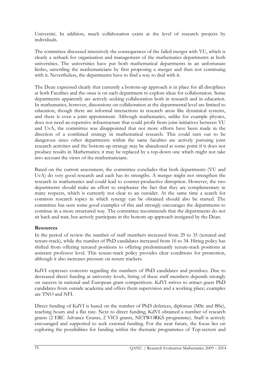Université. In addition, much collaboration exists at the level of research projects by individuals.

The committee discussed intensively the consequences of the failed merger with VU, which is clearly a setback for organisation and management of the mathematics departments at both universities. The universities have put both mathematical departments in an unfortunate limbo, unsettling the mathematicians by first proposing a merger and then not continuing with it. Nevertheless, the departments have to find a way to deal with it.

The Dean expressed clearly that currently a bottom-up approach is in place for all disciplines at both Faculties and the onus is on each department to explore ideas for collaboration. Some departments apparently are actively seeking collaboration both in research and in education. In mathematics, however, discussions on collaboration at the departmental level are limited to education, though there are informal interactions in research areas like dynamical systems, and there is even a joint appointment. Although mathematics, unlike for example physics, does not need an expensive infrastructure that could profit from joint initiatives between VU and UvA, the committee was disappointed that not more efforts have been made in the direction of a combined strategy in mathematical research. This could turn out to be dangerous since other departments within the same faculties are actively pursuing joint research activities and the bottom-up strategy may be abandoned at some point if it does not produce results in Mathematics; it may be replaced by a top-down one which might not take into account the views of the mathematicians.

Based on the current assessment, the committee concludes that both departments (VU and UvA) do very good research and each has its strengths. A merger might not strengthen the research in mathematics and could lead to counter-productive disruption. However, the two departments should make an effort to emphasize the fact that they are complementary in many respects, which is currently not clear to an outsider. At the same time a search for common research topics in which synergy can be obtained should also be started. The committee has seen some good examples of this and strongly encourages the departments to continue in a more structured way. The committee recommends that the departments do not sit back and wait, but actively participate in the bottom-up approach instigated by the Dean.

#### **Resources**

In the period of review the number of staff members increased from 29 to 35 (tenured and tenure-track), while the number of PhD candidates increased from 16 to 34. Hiring policy has shifted from offering tenured positions to offering predominantly tenure-track positions at assistant professor level. This tenure-track policy provides clear conditions for promotion, although it also increases pressure on tenure trackers.

KdVI expresses concerns regarding the numbers of PhD candidates and postdocs. Due to decreased direct funding at university levels, hiring of these staff members depends strongly on success in national and European grant competitions. KdVI strives to attract guest PhD candidates from outside academia and offers them supervision and a working place; examples are TNO and NFI.

Direct funding of KdVI is based on the number of PhD defences, diplomas (MSc and BSc), teaching hours and a flat rate. Next to direct funding, KdVI obtained a number of research grants (2 ERC Advance Grants, 2 VICI grants, NETWORKS programme). Staff is actively encouraged and supported to seek external funding. For the near future, the focus lies on exploring the possibilities for funding within the thematic programmes of Top-sectors and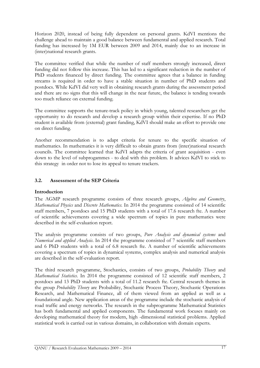Horizon 2020, instead of being fully dependent on personal grants. KdVI mentions the challenge ahead to maintain a good balance between fundamental and applied research. Total funding has increased by 1M EUR between 2009 and 2014, mainly due to an increase in (inter)national research grants.

The committee verified that while the number of staff members strongly increased, direct funding did not follow this increase. This has led to a significant reduction in the number of PhD students financed by direct funding. The committee agrees that a balance in funding streams is required in order to have a stable situation in number of PhD students and postdocs. While KdVI did very well in obtaining research grants during the assessment period and there are no signs that this will change in the near future, the balance is tending towards too much reliance on external funding.

The committee supports the tenure-track policy in which young, talented researchers get the opportunity to do research and develop a research group within their expertise. If no PhD student is available from (external) grant funding, KdVI should make an effort to provide one on direct funding.

Another recommendation is to adapt criteria for tenure to the specific situation of mathematics. In mathematics it is very difficult to obtain grants from (inter)national research councils. The committee learned that KdVI adapts the criteria of grant acquisition - even down to the level of subprogammes - to deal with this problem. It advices KdVI to stick to this strategy in order not to lose its appeal to tenure trackers.

## 3.2. Assessment of the SEP Criteria

#### Introduction

The AGMP research programme consists of three research groups, Algebra and Geometry, Mathematical Physics and Discrete Mathematics. In 2014 the programme consisted of 14 scientific staff members, 7 postdocs and 15 PhD students with a total of 17.6 research fte. A number of scientific achievements covering a wide spectrum of topics in pure mathematics were described in the self-evaluation report.

The analysis programme consists of two groups, Pure Analysis and dynamical systems and Numerical and applied Analysis. In 2014 the programme consisted of 7 scientific staff members and 6 PhD students with a total of 6.8 research fte. A number of scientific achievements covering a spectrum of topics in dynamical systems, complex analysis and numerical analysis are described in the self-evaluation report.

The third research programme, Stochastics, consists of two groups, Probability Theory and Mathematical Statistics. In 2014 the programme consisted of 12 scientific staff members, 2 postdocs and 13 PhD students with a total of 11.2 research fte. Central research themes in the group Probability Theory are Probability, Stochastic Process Theory, Stochastic Operations Research, and Mathematical Finance, all of them viewed from an applied as well as a foundational angle. New application areas of the programme include the stochastic analysis of road traffic and energy networks. The research in the subprogramme Mathematical Statistics has both fundamental and applied components. The fundamental work focuses mainly on developing mathematical theory for modern, high -dimensional statistical problems. Applied statistical work is carried out in various domains, in collaboration with domain experts.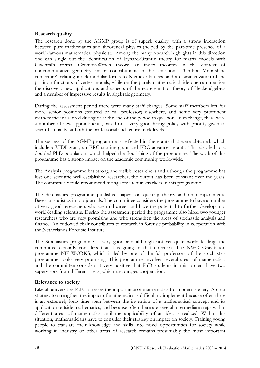#### Research quality

The research done by the AGMP group is of superb quality, with a strong interaction between pure mathematics and theoretical physics (helped by the part-time presence of a world-famous mathematical physicist). Among the many research highlights in this direction one can single out the identification of Eynard-Orantin theory for matrix models with Givental's formal Gromov-Witten theory, an index theorem in the context of noncommutative geometry, major contributions to the sensational "Umbral Moonshine conjecture" relating mock modular forms to Niemeier lattices, and a characterization of the partition functions of vertex models, while on the purely mathematical side one can mention the discovery new applications and aspects of the representation theory of Hecke algebras and a number of impressive results in algebraic geometry.

During the assessment period there were many staff changes. Some staff members left for more senior positions (tenured or full professor) elsewhere, and some very prominent mathematicians retired during or at the end of the period in question. In exchange, there were a number of new appointments, based on a very good hiring policy with priority given to scientific quality, at both the professorial and tenure track levels.

The success of the AGMP programme is reflected in the grants that were obtained, which include a VIDI grant, an ERC starting grant and ERC advanced grants. This also led to a doubled PhD population, which helped the flourishing of the programme. The work of this programme has a strong impact on the academic community world-wide.

The Analysis programme has strong and visible researchers and although the programme has lost one scientific well established researcher, the output has been constant over the years. The committee would recommend hiring some tenure-trackers in this programme.

The Stochastics programme published papers on queuing theory and on nonparametric Bayesian statistics in top journals. The committee considers the programme to have a number of very good researchers who are mid-career and have the potential to further develop into world-leading scientists. During the assessment period the programme also hired two younger researchers who are very promising and who strengthen the areas of stochastic analysis and finance. An endowed chair contributes to research in forensic probability in cooperation with the Netherlands Forensic Institute.

The Stochastics programme is very good and although not yet quite world leading, the committee certainly considers that it is going in that direction. The NWO Gravitation programme NETWORKS, which is led by one of the full professors of the stochastics programme, looks very promising. This programme involves several areas of mathematics, and the committee considers it very positive that PhD students in this project have two supervisors from different areas, which encourages cooperation.

#### Relevance to society

Like all universities KdVI stresses the importance of mathematics for modern society. A clear strategy to strengthen the impact of mathematics is difficult to implement because often there is an extremely long time span between the invention of a mathematical concept and its application outside mathematics, and because often there are several intermediate steps within different areas of mathematics until the applicability of an idea is realized. Within this situation, mathematicians have to consider their strategy on impact on society. Training young people to translate their knowledge and skills into novel opportunities for society while working in industry or other areas of research remains presumably the most important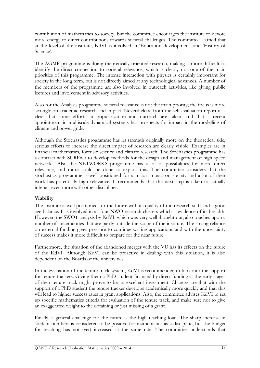contribution of mathematics to society, but the committee encourages the institute to devote more energy to direct contributions towards societal challenges. The committee learned that at the level of the institute, KdVI is involved in 'Education development' and 'History of Science'.

The AGMP programme is doing theoretically oriented research, making it more difficult to identify the direct connection to societal relevance, which is clearly not one of the main priorities of this programme. The intense interaction with physics is certainly important for society in the long term, but is not directly aimed at any technological advances. A number of the members of the programme are also involved in outreach activities, like giving public lectures and involvement in advisory activities.

Also for the Analysis programme societal relevance is not the main priority; the focus is more strongly on academic research and impact. Nevertheless, from the self-evaluation report it is clear that some efforts in popularization and outreach are taken, and that a recent appointment in multiscale dynamical systems has prospects for impact in the modelling of climate and power grids.

Although the Stochastics programme has its strength originally more on the theoretical side, serious efforts to increase the direct impact of research are clearly visible. Examples are in financial mathematics, forensic science and climate research. The Stochastics programme has a contract with SURFnet to develop methods for the design and management of high speed networks. Also the NETWORKS programme has a lot of possibilities for more direct relevance, and more could be done to exploit this. The committee considers that the stochastics programme is well positioned for a major impact on society and a lot of their work has potentially high relevance. It recommends that the next step is taken to actually interact even more with other disciplines.

#### Viability

The institute is well positioned for the future with its quality of the research staff and a good age balance. It is involved in all four NWO research clusters which is evidence of its breadth. However, the SWOT analysis by KdVI, which was very well thought out, also touches upon a number of uncertainties that are partly outside the scope of the institute. The strong reliance on external funding gives pressure to continue writing applications and with the uncertainty of success makes it more difficult to prepare for the near future.

Furthermore, the situation of the abandoned merger with the VU has its effects on the future of the KdVI. Although KdVI can be proactive in dealing with this situation, it is also dependent on the Boards of the universities.

In the evaluation of the tenure-track system, KdVI is recommended to look into the support for tenure trackers. Giving them a PhD student financed by direct funding at the early stages of their tenure track might prove to be an excellent investment. Chances are that with the support of a PhD student the tenure tracker develops academically more quickly and that this will lead to higher success rates in grant applications. Also, the committee advises KdVI to set up specific mathematics criteria for evaluation of the tenure track, and make sure not to give an exaggerated weight to the obtaining or just missing of a grant.

Finally, a general challenge for the future is the high teaching load. The sharp increase in student numbers is considered to be positive for mathematics as a discipline, but the budget for teaching has not (yet) increased at the same rate. The committee understands that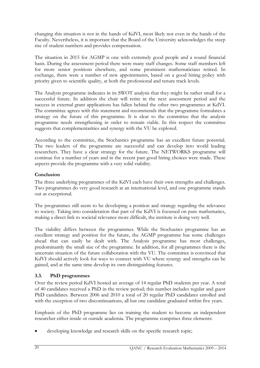changing this situation is not in the hands of KdVI, most likely not even in the hands of the Faculty. Nevertheless, it is important that the Board of the University acknowledges the steep rise of student numbers and provides compensation.

The situation in 2015 for AGMP is one with extremely good people and a sound financial basis. During the assessment period there were many staff changes. Some staff members left for more senior positions elsewhere, and some prominent mathematicians retired. In exchange, there were a number of new appointments, based on a good hiring policy with priority given to scientific quality, at both the professional and tenure track levels.

The Analysis programme indicates in its SWOT analysis that they might be rather small for a successful future. In addition the chair will retire in the next assessment period and the success in external grant applications has fallen behind the other two programmes at KdVI. The committee agrees with this statement and recommends that the programme formulates a strategy on the future of this programme. It is clear to the committee that the analysis programme needs strengthening in order to remain viable. In this respect the committee suggests that complementarities and synergy with the VU be explored.

According to the committee, the Stochastics programme has an excellent future potential. The two leaders of the programme are successful and can develop into world leading researchers. They have a clear strategy for the future. The NETWORKS programme will continue for a number of years and in the recent past good hiring choices were made. These aspects provide the programme with a very solid viability.

## Conclusion

The three underlying programmes of the KdVI each have their own strengths and challenges. Two programmes do very good research at an international level, and one programme stands out as exceptional.

The programmes still seem to be developing a position and strategy regarding the relevance to society. Taking into consideration that part of the KdVI is focussed on pure mathematics, making a direct link to societal relevance more difficult, the institute is doing very well.

The viability differs between the programmes. While the Stochastics programme has an excellent strategy and position for the future, the AGMP programme has some challenges ahead that can easily be dealt with. The Analysis programme has most challenges, predominantly the small size of the programme. In addition, for all programmes there is the uncertain situation of the future collaboration with the VU. The committee is convinced that KdVI should actively look for ways to connect with VU where synergy and strengths can be gained, and at the same time develop its own distinguishing features.

## 3.3. PhD programmes

Over the review period KdVI hosted an average of 14 regular PhD students per year. A total of 40 candidates received a PhD in the review period; this number includes regular and guest PhD candidates. Between 2006 and 2010 a total of 20 regular PhD candidates enrolled and with the exception of two discontinuations, all but one candidate graduated within five years.

Emphasis of the PhD programme lies on training the student to become an independent researcher either inside or outside academia. The programme comprises three elements:

• developing knowledge and research skills on the specific research topic;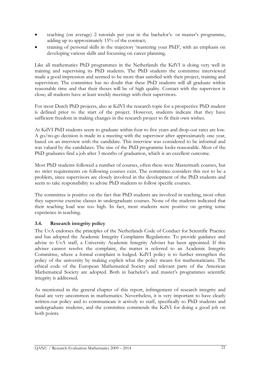- teaching (on average) 2 tutorials per year in the bachelor's- or master's programme, adding up to approximately 15% of the contract;
- training of personal skills in the trajectory 'mastering your PhD', with an emphasis on developing various skills and focussing on career planning.

Like all mathematics PhD programmes in the Netherlands the KdVI is doing very well in training and supervising its PhD students. The PhD students the committee interviewed made a good impression and seemed to be more than satisfied with their project, training and supervision. The committee has no doubt that these PhD students will all graduate within reasonable time and that their theses will be of high quality. Contact with the supervisor is close; all students have at least weekly meetings with their supervisors.

For most Dutch PhD projects, also at KdVI the research topic for a prospective PhD student is defined prior to the start of the project. However, students indicate that they have sufficient freedom in making changes in the research project to fit their own wishes.

At KdVI PhD students seem to graduate within four to five years and drop-out rates are low. A go/no-go decision is made in a meeting with the supervisor after approximately one year, based on an interview with the candidate. This interview was considered to be informal and was valued by the candidates. The size of the PhD programme looks reasonable. Most of the PhD graduates find a job after 3 months of graduation, which is an excellent outcome.

Most PhD students followed a number of courses, often these were Mastermath courses, but no strict requirements on following courses exist. The committee considers this not to be a problem, since supervisors are closely involved in the development of the PhD students and seem to take responsibility to advise PhD students to follow specific courses.

The committee is positive on the fact that PhD students are involved in teaching, most often they supervise exercise classes in undergraduate courses. None of the students indicated that their teaching load was too high. In fact, most students were positive on getting some experience in teaching.

## 3.4. Research integrity policy

The UvA endorses the principles of the Netherlands Code of Conduct for Scientific Practice and has adopted the Academic Integrity Complaints Regulations. To provide guidance and advise to UvA staff, a University Academic Integrity Adviser has been appointed. If this adviser cannot resolve the complaint, the matter is referred to an Academic Integrity Committee, where a formal complaint is lodged. KdVI policy is to further strengthen the policy of the university by making explicit what the policy means for mathematicians. The ethical code of the European Mathematical Society and relevant parts of the American Mathematical Society are adopted. Both in bachelor's and master's programmes scientific integrity is addressed.

As mentioned in the general chapter of this report, infringement of research integrity and fraud are very uncommon in mathematics. Nevertheless, it is very important to have clearly written-out policy and to communicate it actively to staff, specifically to PhD students and undergraduate students, and the committee commends the KdVI for doing a good job on both points.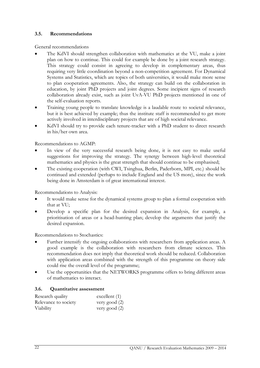#### 3.5. Recommendations

General recommendations

- The KdVI should strengthen collaboration with mathematics at the VU, make a joint plan on how to continue. This could for example be done by a joint research strategy. This strategy could consist in agreeing to develop in complementary areas, thus requiring very little coordination beyond a non-competition agreement. For Dynamical Systems and Statistics, which are topics of both universities, it would make more sense to plan cooperation agreements. Also, the strategy can build on the collaboration in education, by joint PhD projects and joint degrees. Some incipient signs of research collaboration already exist, such as joint UvA-VU PhD projects mentioned in one of the self-evaluation reports.
- Training young people to translate knowledge is a laudable route to societal relevance, but it is best achieved by example; thus the institute staff is recommended to get more actively involved in interdisciplinary projects that are of high societal relevance.
- KdVI should try to provide each tenure-tracker with a PhD student to direct research in his/her own area.

Recommendations to AGMP:

- In view of the very successful research being done, it is not easy to make useful suggestions for improving the strategy. The synergy between high-level theoretical mathematics and physics is the great strength that should continue to be emphasised;
- The existing cooperation (with CWI, Tsinghua, Berlin, Paderborn, MPI, etc.) should be continued and extended (perhaps to include England and the US more), since the work being done in Amsterdam is of great international interest.

Recommendations to Analysis:

- It would make sense for the dynamical systems group to plan a formal cooperation with that at VU;
- Develop a specific plan for the desired expansion in Analysis, for example, a prioritisation of areas or a head-hunting plan; develop the arguments that justify the desired expansion.

Recommendations to Stochastics:

- Further intensify the ongoing collaborations with researchers from application areas. A good example is the collaboration with researchers from climate sciences. This recommendation does not imply that theoretical work should be reduced. Collaboration with application areas combined with the strength of this programme on theory side could rise the overall level of the programme;
- Use the opportunities that the NETWORKS programme offers to bring different areas of mathematics to interact.

#### 3.6. Quantitative assessment

| Research quality     | $\alpha$ excellent $(1)$ |
|----------------------|--------------------------|
| Relevance to society | very good (2)            |
| Viability            | very good $(2)$          |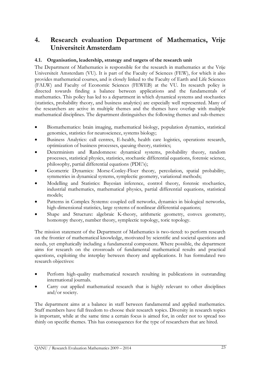## 4. Research evaluation Department of Mathematics, Vrije Universiteit Amsterdam

#### 4.1. Organisation, leadership, strategy and targets of the research unit

The Department of Mathematics is responsible for the research in mathematics at the Vrije Universiteit Amsterdam (VU). It is part of the Faculty of Sciences (FEW), for which it also provides mathematical courses, and is closely linked to the Faculty of Earth and Life Sciences (FALW) and Faculty of Economic Sciences (FEWEB) at the VU. Its research policy is directed towards finding a balance between applications and the fundamentals of mathematics. This policy has led to a department in which dynamical systems and stochastics (statistics, probability theory, and business analytics) are especially well represented. Many of the researchers are active in multiple themes and the themes have overlap with multiple mathematical disciplines. The department distinguishes the following themes and sub-themes:

- Biomathematics: brain imaging, mathematical biology, population dynamics, statistical genomics, statistics for neuroscience, systems biology;
- Business Analytics: call centres, E-health, health care logistics, operations research, optimization of business processes, queuing theory, statistics;
- Determinism and Randomness: dynamical systems, probability theory, random processes, statistical physics, statistics, stochastic differential equations, forensic science, philosophy, partial differential equations (PDE's);
- Geometric Dynamics: Morse-Conley-Floer theory, percolation, spatial probability, symmetries in dynamical systems, symplectic geometry, variational methods;
- Modelling and Statistics: Bayesian inference, control theory, forensic stochastics, industrial mathematics, mathematical physics, partial differential equations, statistical models;
- Patterns in Complex Systems: coupled cell networks, dynamics in biological networks, high-dimensional statistics, large systems of nonlinear differential equations;
- Shape and Structure: algebraic K-theory, arithmetic geometry, convex geometry, homotopy theory, number theory, symplectic topology, toric topology.

The mission statement of the Department of Mathematics is two-tiered: to perform research on the frontier of mathematical knowledge, motivated by scientific and societal questions and needs, yet emphatically including a fundamental component. Where possible, the department aims for research on the crossroads of fundamental mathematical results and practical questions, exploiting the interplay between theory and applications. It has formulated two research objectives:

- Perform high-quality mathematical research resulting in publications in outstanding international journals.
- Carry out applied mathematical research that is highly relevant to other disciplines and/or society.

The department aims at a balance in staff between fundamental and applied mathematics. Staff members have full freedom to choose their research topics. Diversity in research topics is important, while at the same time a certain focus is aimed for, in order not to spread too thinly on specific themes. This has consequences for the type of researchers that are hired.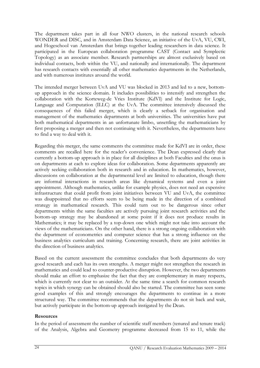The department takes part in all four NWO clusters, in the national research schools WONDER and DISC, and in Amsterdam Data Science, an initiative of the UvA, VU, CWI, and Hogeschool van Amsterdam that brings together leading researchers in data science. It participated in the European collaboration programme CAST (Contact and Symplectic Topology) as an associate member. Research partnerships are almost exclusively based on individual contacts, both within the VU, and nationally and internationally. The department has research contacts with essentially all other mathematics departments in the Netherlands, and with numerous institutes around the world.

The intended merger between UvA and VU was blocked in 2013 and led to a new, bottomup approach in the science domain. It includes possibilities to intensify and strengthen the collaboration with the Korteweg-de Vries Institute (KdVI) and the Institute for Logic, Language and Computation (ILLC) at the UvA. The committee intensively discussed the consequences of this failed merger, which is clearly a setback for organisation and management of the mathematics departments at both universities. The universities have put both mathematical departments in an unfortunate limbo, unsettling the mathematicians by first proposing a merger and then not continuing with it. Nevertheless, the departments have to find a way to deal with it.

Regarding this merger, the same comments the committee made for KdVI are in order, these comments are recalled here for the reader's convenience. The Dean expressed clearly that currently a bottom-up approach is in place for all disciplines at both Faculties and the onus is on departments at each to explore ideas for collaboration. Some departments apparently are actively seeking collaboration both in research and in education. In mathematics, however, discussions on collaboration at the departmental level are limited to education, though there are informal interactions in research areas like dynamical systems and even a joint appointment. Although mathematics, unlike for example physics, does not need an expensive infrastructure that could profit from joint initiatives between VU and UvA, the committee was disappointed that no efforts seem to be being made in the direction of a combined strategy in mathematical research. This could turn out to be dangerous since other departments within the same faculties are actively pursuing joint research activities and the bottom-up strategy may be abandoned at some point if it does not produce results in Mathematics; it may be replaced by a top-down one which might not take into account the views of the mathematicians. On the other hand, there is a strong ongoing collaboration with the department of econometrics and computer science that has a strong influence on the business analytics curriculum and training. Concerning research, there are joint activities in the direction of business analytics.

Based on the current assessment the committee concludes that both departments do very good research and each has its own strengths. A merger might not strengthen the research in mathematics and could lead to counter-productive disruption. However, the two departments should make an effort to emphasize the fact that they are complementary in many respects, which is currently not clear to an outsider. At the same time a search for common research topics in which synergy can be obtained should also be started. The committee has seen some good examples of this and strongly encourages the departments to continue in a more structured way. The committee recommends that the departments do not sit back and wait, but actively participate in the bottom-up approach instigated by the Dean.

#### Resources

In the period of assessment the number of scientific staff members (tenured and tenure track) of the Analysis, Algebra and Geometry programme decreased from 15 to 11, while the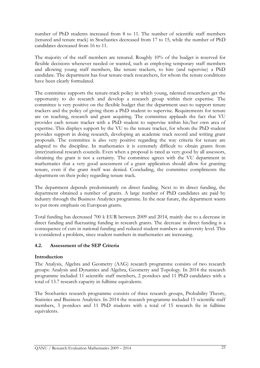number of PhD students increased from 8 to 11. The number of scientific staff members (tenured and tenure track) in Stochastics decreased from 17 to 15, while the number of PhD candidates decreased from 16 to 11.

The majority of the staff members are tenured. Roughly 10% of the budget is reserved for flexible decisions whenever needed or wanted, such as employing temporary staff members and allowing young staff members, like tenure trackers, to hire (and supervise) a PhD candidate. The department has four tenure-track researchers, for whom the tenure conditions have been clearly formulated.

The committee supports the tenure-track policy in which young, talented researchers get the opportunity to do research and develop a research group within their expertise. The committee is very positive on the flexible budget that the department uses to support tenure trackers and the policy of giving them a PhD student to supervise. Requirements for tenure are on teaching, research and grant acquiring. The committee applauds the fact that VU provides each tenure tracker with a PhD student to supervise within his/her own area of expertise. This displays support by the VU to the tenure tracker, for whom the PhD student provides support in doing research, developing an academic track record and writing grant proposals. The committee is also very positive regarding the way criteria for tenure are adapted to the discipline. In mathematics it is extremely difficult to obtain grants from (inter)national research councils. Even when a proposal is rated as very good by all assessors, obtaining the grant is not a certainty. The committee agrees with the VU department in mathematics that a very good assessment of a grant application should allow for granting tenure, even if the grant itself was denied. Concluding, the committee compliments the department on their policy regarding tenure track.

The department depends predominantly on direct funding. Next to its direct funding, the department obtained a number of grants. A large number of PhD candidates are paid by industry through the Business Analytics programme. In the near future, the department wants to put more emphasis on European grants.

Total funding has decreased 700 k EUR between 2009 and 2014, mainly due to a decrease in direct funding and fluctuating funding in research grants. The decrease in direct funding is a consequence of cuts in national funding and reduced student numbers at university level. This is considered a problem, since student numbers in mathematics are increasing.

#### 4.2. Assessment of the SEP Criteria

#### Introduction

The Analysis, Algebra and Geometry (AAG) research programme consists of two research groups: Analysis and Dynamics and Algebra, Geometry and Topology. In 2014 the research programme included 11 scientific staff members, 2 postdocs and 11 PhD candidates with a total of 13.7 research capacity in fulltime equivalents.

The Stochastics research programme consists of three research groups, Probability Theory, Statistics and Business Analytics. In 2014 the research programme included 15 scientific staff members, 3 postdocs and 11 PhD students with a total of 15 research fte in fulltime equivalents.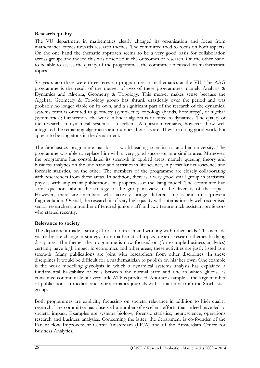### Research quality

The VU department in mathematics clearly changed its organisation and focus from mathematical topics towards research themes. The committee tried to focus on both aspects. On the one hand the thematic approach seems to be a very good basis for collaboration across groups and indeed this was observed in the outcomes of research. On the other hand, to be able to assess the quality of the programmes, the committee focussed on mathematical topics.

Six years ago there were three research programmes in mathematics at the VU. The AAG programme is the result of the merger of two of these programmes, namely Analysis & Dynamics and Algebra, Geometry & Topology. This merger makes sense because the Algebra, Geometry & Topology group has shrunk drastically over the period and was probably no longer viable on its own, and a significant part of the research of the dynamical systems team is oriented to geometry (symplectic), topology (braids, homotopy), or algebra (symmetries); furthermore the work in linear algebra is oriented to dynamics. The quality of the research in dynamical systems is excellent. A question remains, however, how well integrated the remaining algebraists and number theorists are. They are doing good work, but appear to be singletons in the department.

The Stochastics programme has lost a world-leading scientist to another university. The programme was able to replace him with a very good successor in a similar area. Moreover, the programme has consolidated its strength in applied areas, namely queuing theory and business analytics on the one hand and statistics in life science, in particular neuroscience and forensic statistics, on the other. The members of the programme are closely collaborating with researchers from these areas. In addition, there is a very good small group in statistical physics with important publications on properties of the Ising model. The committee had some questions about the strategy of the group in view of the diversity of the topics. However, there are members who actively bridge different topics and thus prevent fragmentation. Overall, the research is of very high quality with internationally well recognised senior researchers, a number of tenured junior staff and two tenure-track assistant professors who started recently.

#### Relevance to society

The department made a strong effort in outreach and working with other fields. This is made visible by the change in strategy from mathematical topics towards research themes bridging disciplines. The themes the programme is now focused on (for example business analytics) certainly have high impact in economics and other areas; these activities are justly listed as a strength. Many publications are joint with researchers from other disciplines. In these disciplines it would be difficult for a mathematician to publish on his/her own. One example is the work modelling glycolysis in which a dynamical systems analysis has explained a fundamental bi-stability of cells between the normal state and one in which glucose is consumed continuously but very little ATP is produced. Another example is the large number of publications in medical and bioinformatics journals with co-authors from the Stochastics group.

Both programmes are explicitly focussing on societal relevance in addition to high quality research. The committee has observed a number of excellent efforts that indeed have led to societal impact. Examples are systems biology, forensic statistics, neuroscience, operations research and business analytics. Concerning the latter, the department is co-founder of the Patient flow Improvement Centre Amsterdam (PICA) and of the Amsterdam Centre for Business Analytics.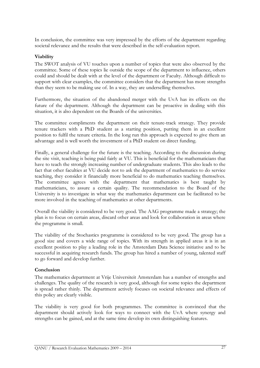In conclusion, the committee was very impressed by the efforts of the department regarding societal relevance and the results that were described in the self-evaluation report.

### Viability

The SWOT analysis of VU touches upon a number of topics that were also observed by the committee. Some of these topics lie outside the scope of the department to influence, others could and should be dealt with at the level of the department or Faculty. Although difficult to support with clear examples, the committee considers that the department has more strengths than they seem to be making use of. In a way, they are underselling themselves.

Furthermore, the situation of the abandoned merger with the UvA has its effects on the future of the department. Although the department can be proactive in dealing with this situation, it is also dependent on the Boards of the universities.

The committee compliments the department on their tenure-track strategy. They provide tenure trackers with a PhD student as a starting position, putting them in an excellent position to fulfil the tenure criteria. In the long run this approach is expected to give them an advantage and is well worth the investment of a PhD student on direct funding.

Finally, a general challenge for the future is the teaching. According to the discussion during the site visit, teaching is being paid fairly at VU. This is beneficial for the mathematicians that have to teach the strongly increasing number of undergraduate students. This also leads to the fact that other faculties at VU decide not to ask the department of mathematics to do service teaching, they consider it financially more beneficial to do mathematics teaching themselves. The committee agrees with the department that mathematics is best taught by mathematicians, to assure a certain quality. The recommendation to the Board of the University is to investigate in what way the mathematics department can be facilitated to be more involved in the teaching of mathematics at other departments.

Overall the viability is considered to be very good. The AAG programme made a strategy; the plan is to focus on certain areas, discard other areas and look for collaboration in areas where the programme is small.

The viability of the Stochastics programme is considered to be very good. The group has a good size and covers a wide range of topics. With its strength in applied areas it is in an excellent position to play a leading role in the Amsterdam Data Science initiative and to be successful in acquiring research funds. The group has hired a number of young, talented staff to go forward and develop further.

#### Conclusion

The mathematics department at Vrije Universiteit Amsterdam has a number of strengths and challenges. The quality of the research is very good, although for some topics the department is spread rather thinly. The department actively focuses on societal relevance and effects of this policy are clearly visible.

The viability is very good for both programmes. The committee is convinced that the department should actively look for ways to connect with the UvA where synergy and strengths can be gained, and at the same time develop its own distinguishing features.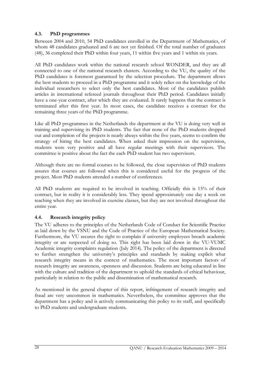## 4.3. PhD programmes

Between 2004 and 2010, 54 PhD candidates enrolled in the Department of Mathematics, of whom 48 candidates graduated and 6 are not yet finished. Of the total number of graduates (48), 36 completed their PhD within four years, 11 within five years and 1 within six years.

All PhD candidates work within the national research school WONDER, and they are all connected to one of the national research clusters. According to the VU, the quality of the PhD candidates is foremost guaranteed by the selection procedure. The department allows the best students to proceed in a PhD programme and it solely relies on the knowledge of the individual researchers to select only the best candidates. Most of the candidates publish articles in international refereed journals throughout their PhD period. Candidates initially have a one-year contract, after which they are evaluated. It rarely happens that the contract is terminated after this first year. In most cases, the candidate receives a contract for the remaining three years of the PhD programme.

Like all PhD programmes in the Netherlands the department at the VU is doing very well in training and supervising its PhD students. The fact that none of the PhD students dropped out and completion of the projects is nearly always within the five years, seems to confirm the strategy of hiring the best candidates. When asked their impression on the supervision, students were very positive and all have regular meetings with their supervisors. The committee is positive about the fact the each PhD student has two supervisors.

Although there are no formal courses to be followed, the close supervision of PhD students assures that courses are followed when this is considered useful for the progress of the project. Most PhD students attended a number of conferences.

All PhD students are required to be involved in teaching. Officially this is 15% of their contract, but in reality it is considerably less. They spend approximately one day a week on teaching when they are involved in exercise classes, but they are not involved throughout the entire year.

#### 4.4. Research integrity policy

The VU adheres to the principles of the Netherlands Code of Conduct for Scientific Practice as laid down by the VSNU and the Code of Practice of the European Mathematical Society. Furthermore, the VU secures the right to complain if university employees breach academic integrity or are suspected of doing so. This right has been laid down in the VU-VUMC Academic integrity complaints regulation (July 2014). The policy of the department is directed to further strengthen the university's principles and standards by making explicit what research integrity means in the context of mathematics. The most important factors of research integrity are awareness, openness and discussion. Students are being educated in line with the culture and tradition of the department to uphold the standards of ethical behaviour, particularly in relation to the public and dissemination of mathematical research.

As mentioned in the general chapter of this report, infringement of research integrity and fraud are very uncommon in mathematics. Nevertheless, the committee approves that the department has a policy and is actively communicating this policy to its staff, and specifically to PhD students and undergraduate students.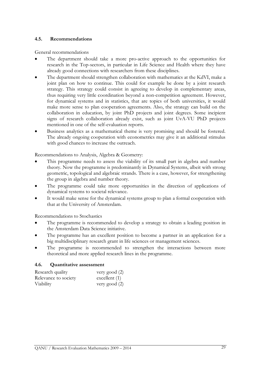#### 4.5. Recommendations

General recommendations

- The department should take a more pro-active approach to the opportunities for research in the Top-sectors, in particular in Life Science and Health where they have already good connections with researchers from these disciplines.
- The department should strengthen collaboration with mathematics at the KdVI, make a joint plan on how to continue. This could for example be done by a joint research strategy. This strategy could consist in agreeing to develop in complementary areas, thus requiring very little coordination beyond a non-competition agreement. However, for dynamical systems and in statistics, that are topics of both universities, it would make more sense to plan cooperation agreements. Also, the strategy can build on the collaboration in education, by joint PhD projects and joint degrees. Some incipient signs of research collaboration already exist, such as joint UvA-VU PhD projects mentioned in one of the self-evaluation reports.
- Business analytics as a mathematical theme is very promising and should be fostered. The already ongoing cooperation with econometrics may give it an additional stimulus with good chances to increase the outreach.

Recommendations to Analysis, Algebra & Geometry:

- This programme needs to assess the viability of its small part in algebra and number theory. Now the programme is predominantly in Dynamical Systems, albeit with strong geometric, topological and algebraic strands. There is a case, however, for strengthening the group in algebra and number theory.
- The programme could take more opportunities in the direction of applications of dynamical systems to societal relevance.
- It would make sense for the dynamical systems group to plan a formal cooperation with that at the University of Amsterdam.

Recommendations to Stochastics

- The programme is recommended to develop a strategy to obtain a leading position in the Amsterdam Data Science initiative.
- The programme has an excellent position to become a partner in an application for a big multidisciplinary research grant in life sciences or management sciences.
- The programme is recommended to strengthen the interactions between more theoretical and more applied research lines in the programme.

#### 4.6. Quantitative assessment

| Research quality     | very good (2)   |
|----------------------|-----------------|
| Relevance to society | excellent $(1)$ |
| Viability            | very good $(2)$ |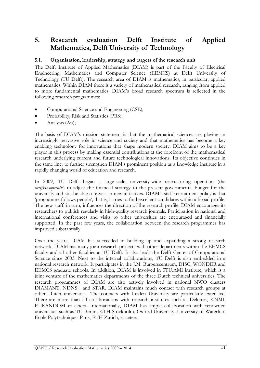## 5. Research evaluation Delft Institute of Applied Mathematics, Delft University of Technology

## 5.1. Organisation, leadership, strategy and targets of the research unit

The Delft Institute of Applied Mathematics (DIAM) is part of the Faculty of Electrical Engineering, Mathematics and Computer Science (EEMCS) at Delft University of Technology (TU Delft). The research area of DIAM is mathematics, in particular, applied mathematics. Within DIAM there is a variety of mathematical research, ranging from applied to more fundamental mathematics. DIAM's broad research spectrum is reflected in the following research programmes:

- Computational Science and Engineering (CSE);
- Probability, Risk and Statistics (PRS);
- Analysis (An);

The basis of DIAM's mission statement is that the mathematical sciences are playing an increasingly pervasive role in science and society and that mathematics has become a key enabling technology for innovations that shape modern society. DIAM aims to be a key player in this process by making essential contributions at the forefront of the mathematical research underlying current and future technological innovations. Its objective continues in the same line: to further strengthen DIAM's prominent position as a knowledge institute in a rapidly changing world of education and research.

In 2009, TU Delft began a large-scale, university-wide restructuring operation (the herijkinsoperatie) to adjust the financial strategy to the present governmental budget for the university and still be able to invest in new initiatives. DIAM's staff recruitment policy is that 'programme follows people', that is, it tries to find excellent candidates within a broad profile. The new staff, in turn, influences the direction of the research profile. DIAM encourages its researchers to publish regularly in high-quality research journals. Participation in national and international conferences and visits to other universities are encouraged and financially supported. In the past few years, the collaboration between the research programmes has improved substantially.

Over the years, DIAM has succeeded in building up and expanding a strong research network. DIAM has many joint research projects with other departments within the EEMCS faculty and all other faculties at TU Delft. It also leads the Delft Center of Computational Science since 2003. Next to the internal collaborations, TU Delft is also embedded in a national research network. It participates in the J.M. Burgerscentrum, DISC, WONDER and EEMCS graduate schools. In addition, DIAM is involved in 3TU.AMI institute, which is a joint venture of the mathematics departments of the three Dutch technical universities. The research programmes of DIAM are also actively involved in national NWO clusters DIAMANT, NDNS+ and STAR. DIAM maintains much contact with research groups at other Dutch universities. The contacts with Leiden University are particularly extensive. There are more than 50 collaborations with research institutes such as Deltares, KNMI, EURANDOM et cetera. Internationally, DIAM has ample collaboration with renowned universities such as TU Berlin, KTH Stockholm, Oxford University, University of Waterloo, Ecole Polytechniques Paris, ETH Zurich, et cetera.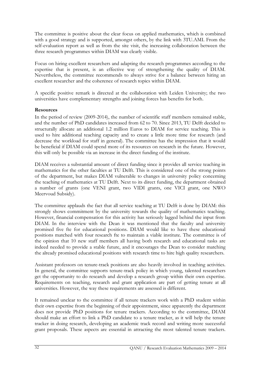The committee is positive about the clear focus on applied mathematics, which is combined with a good strategy and is supported, amongst others, by the link with 3TU.AMI. From the self-evaluation report as well as from the site visit, the increasing collaboration between the three research programmes within DIAM was clearly visible.

Focus on hiring excellent researchers and adapting the research programmes according to the expertise that is present, is an effective way of strengthening the quality of DIAM. Nevertheless, the committee recommends to always strive for a balance between hiring an excellent researcher and the coherence of research topics within DIAM.

A specific positive remark is directed at the collaboration with Leiden University; the two universities have complementary strengths and joining forces has benefits for both.

#### **Resources**

In the period of review (2009-2014), the number of scientific staff members remained stable, and the number of PhD candidates increased from 62 to 70. Since 2013, TU Delft decided to structurally allocate an additional 1.2 million Euros to DIAM for service teaching. This is used to hire additional teaching capacity and to create a little more time for research (and decrease the workload for staff in general). The committee has the impression that it would be beneficial if DIAM could spend more of its resources on research in the future. However, this will only be possible via an increase in the direct funding of the institute.

DIAM receives a substantial amount of direct funding since it provides all service teaching in mathematics for the other faculties at TU Delft. This is considered one of the strong points of the department, but makes DIAM vulnerable to changes in university policy concerning the teaching of mathematics at TU Delft. Next to its direct funding, the department obtained a number of grants (one VENI grant, two VIDI grants, one VICI grant, one NWO Meervoud Subsidy).

The committee applauds the fact that all service teaching at TU Delft is done by DIAM: this strongly shows commitment by the university towards the quality of mathematics teaching. However, financial compensation for this activity has seriously lagged behind the input from DIAM. In the interview with the Dean it was mentioned that the faculty and university promised five fte for educational positions. DIAM would like to have these educational positions matched with four research fte to maintain a viable institute. The committee is of the opinion that 10 new staff members all having both research and educational tasks are indeed needed to provide a stable future, and it encourages the Dean to consider matching the already promised educational positions with research time to hire high quality researchers.

Assistant professors on tenure-track positions are also heavily involved in teaching activities. In general, the committee supports tenure-track policy in which young, talented researchers get the opportunity to do research and develop a research group within their own expertise. Requirements on teaching, research and grant application are part of getting tenure at all universities. However, the way these requirements are assessed is different.

It remained unclear to the committee if all tenure trackers work with a PhD student within their own expertise from the beginning of their appointment, since apparently the department does not provide PhD positions for tenure trackers. According to the committee, DIAM should make an effort to link a PhD candidate to a tenure tracker, as it will help the tenure tracker in doing research, developing an academic track record and writing more successful grant proposals. These aspects are essential in attracting the most talented tenure trackers.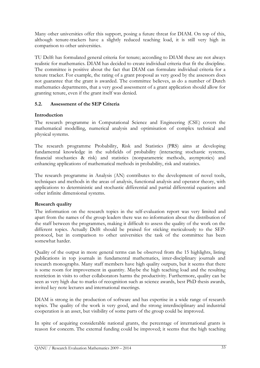Many other universities offer this support, posing a future threat for DIAM. On top of this, although tenure-trackers have a slightly reduced teaching load, it is still very high in comparison to other universities.

TU Delft has formulated general criteria for tenure; according to DIAM these are not always realistic for mathematics. DIAM has decided to create individual criteria that fit the discipline. The committee is positive about the fact that DIAM can formulate individual criteria for a tenure tracker. For example, the rating of a grant proposal as very good by the assessors does not guarantee that the grant is awarded. The committee believes, as do a number of Dutch mathematics departments, that a very good assessment of a grant application should allow for granting tenure, even if the grant itself was denied.

## 5.2. Assessment of the SEP Criteria

#### Introduction

The research programme in Computational Science and Engineering (CSE) covers the mathematical modelling, numerical analysis and optimisation of complex technical and physical systems.

The research programme Probability, Risk and Statistics (PRS) aims at developing fundamental knowledge in the subfields of probability (interacting stochastic systems, financial stochastics & risk) and statistics (nonparametric methods, asymptotics) and enhancing applications of mathematical methods in probability, risk and statistics.

The research programme in Analysis (AN) contributes to the development of novel tools, techniques and methods in the areas of analysis, functional analysis and operator theory, with applications to deterministic and stochastic differential and partial differential equations and other infinite dimensional systems.

#### Research quality

The information on the research topics in the self-evaluation report was very limited and apart from the names of the group leaders there was no information about the distribution of the staff between the programmes, making it difficult to assess the quality of the work on the different topics. Actually Delft should be praised for sticking meticulously to the SEPprotocol, but in comparison to other universities the task of the committee has been somewhat harder.

Quality of the output in more general terms can be observed from the 15 highlights, listing publications in top journals in fundamental mathematics, inter-disciplinary journals and research monographs. Many staff members have high quality outputs, but it seems that there is some room for improvement in quantity. Maybe the high teaching load and the resulting restriction in visits to other collaborators harms the productivity. Furthermore, quality can be seen as very high due to marks of recognition such as science awards, best PhD thesis awards, invited key note lectures and international meetings.

DIAM is strong in the production of software and has expertise in a wide range of research topics. The quality of the work is very good, and the strong interdisciplinary and industrial cooperation is an asset, but visibility of some parts of the group could be improved.

In spite of acquiring considerable national grants, the percentage of international grants is reason for concern. The external funding could be improved; it seems that the high teaching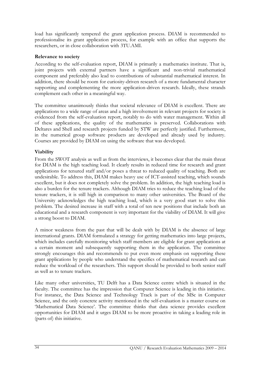load has significantly tempered the grant application process. DIAM is recommended to professionalise its grant application process, for example with an office that supports the researchers, or in close collaboration with 3TU.AMI.

#### Relevance to society

According to the self-evaluation report, DIAM is primarily a mathematics institute. That is, joint projects with external partners have a significant and non-trivial mathematical component and preferably also lead to contributions of substantial mathematical interest. In addition, there should be room for curiosity-driven research of a more fundamental character supporting and complementing the more application-driven research. Ideally, these strands complement each other in a meaningful way.

The committee unanimously thinks that societal relevance of DIAM is excellent. There are applications to a wide range of areas and a high involvement in relevant projects for society is evidenced from the self-evaluation report, notably to do with water management. Within all of these applications, the quality of the mathematics is preserved. Collaborations with Deltares and Shell and research projects funded by STW are perfectly justified. Furthermore, in the numerical group software products are developed and already used by industry. Courses are provided by DIAM on using the software that was developed.

#### Viability

From the SWOT analysis as well as from the interviews, it becomes clear that the main threat for DIAM is the high teaching load. It clearly results in reduced time for research and grant applications for tenured staff and/or poses a threat to reduced quality of teaching. Both are undesirable. To address this, DIAM makes heavy use of ICT-assisted teaching, which sounds excellent, but it does not completely solve the problem. In addition, the high teaching load is also a burden for the tenure trackers. Although DIAM tries to reduce the teaching load of the tenure trackers, it is still high in comparison to many other universities. The Board of the University acknowledges the high teaching load, which is a very good start to solve this problem. The desired increase in staff with a total of ten new positions that include both an educational and a research component is very important for the viability of DIAM. It will give a strong boost to DIAM.

A minor weakness from the past that will be dealt with by DIAM is the absence of large international grants. DIAM formulated a strategy for getting mathematics into large projects, which includes carefully monitoring which staff members are eligible for grant applications at a certain moment and subsequently supporting them in the application. The committee strongly encourages this and recommends to put even more emphasis on supporting these grant applications by people who understand the specifics of mathematical research and can reduce the workload of the researchers. This support should be provided to both senior staff as well as to tenure trackers.

Like many other universities, TU Delft has a Data Science centre which is situated in the faculty. The committee has the impression that Computer Science is leading in this initiative. For instance, the Data Science and Technology Track is part of the MSc in Computer Science, and the only concrete activity mentioned in the self-evaluation is a master course on 'Mathematical Data Science'. The committee thinks that data science provides excellent opportunities for DIAM and it urges DIAM to be more proactive in taking a leading role in (parts of) this initiative.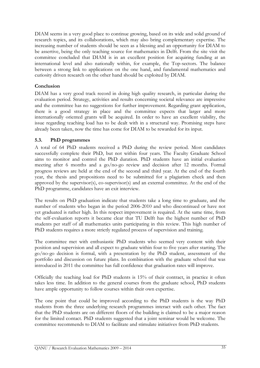DIAM seems in a very good place to continue growing, based on its wide and solid ground of research topics, and its collaborations, which may also bring complementary expertise. The increasing number of students should be seen as a blessing and an opportunity for DIAM to be assertive, being the only teaching source for mathematics in Delft. From the site visit the committee concluded that DIAM is in an excellent position for acquiring funding at an international level and also nationally within, for example, the Top-sectors. The balance between a strong link to applications on the one hand, and fundamental mathematics and curiosity driven research on the other hand should be exploited by DIAM.

### Conclusion

DIAM has a very good track record in doing high quality research, in particular during the evaluation period. Strategy, activities and results concerning societal relevance are impressive and the committee has no suggestions for further improvement. Regarding grant application, there is a good strategy in place and the committee expects that larger and more internationally oriented grants will be acquired. In order to have an excellent viability, the issue regarding teaching load has to be dealt with in a structural way. Promising steps have already been taken, now the time has come for DIAM to be rewarded for its input.

## 5.3. PhD programmes

A total of 64 PhD students received a PhD during the review period. Most candidates successfully complete their PhD, but not within four years. The Faculty Graduate School aims to monitor and control the PhD duration. PhD students have an initial evaluation meeting after 6 months and a go/no-go review and decision after 12 months. Formal progress reviews are held at the end of the second and third year. At the end of the fourth year, the thesis and propositions need to be submitted for a plagiarism check and then approved by the supervisor(s), co-supervisor(s) and an external committee. At the end of the PhD programme, candidates have an exit interview.

The results on PhD graduation indicate that students take a long time to graduate, and the number of students who began in the period 2006-2010 and who discontinued or have not yet graduated is rather high. In this respect improvement is required. At the same time, from the self-evaluation reports it became clear that TU Delft has the highest number of PhD students per staff of all mathematics units participating in this review. This high number of PhD students requires a more strictly regulated process of supervision and training.

The committee met with enthusiastic PhD students who seemed very content with their position and supervision and all expect to graduate within four to five years after starting. The go/no-go decision is formal, with a presentation by the PhD student, assessment of the portfolio and discussion on future plans. In combination with the graduate school that was introduced in 2011 the committee has full confidence that graduation rates will improve.

Officially the teaching load for PhD students is 15% of their contract, in practice it often takes less time. In addition to the general courses from the graduate school, PhD students have ample opportunity to follow courses within their own expertise.

The one point that could be improved according to the PhD students is the way PhD students from the three underlying research programmes interact with each other. The fact that the PhD students are on different floors of the building is claimed to be a major reason for the limited contact. PhD students suggested that a joint seminar would be welcome. The committee recommends to DIAM to facilitate and stimulate initiatives from PhD students.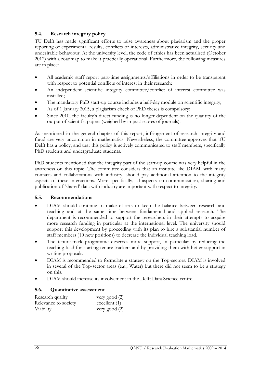## 5.4. Research integrity policy

TU Delft has made significant efforts to raise awareness about plagiarism and the proper reporting of experimental results, conflicts of interests, administrative integrity, security and undesirable behaviour. At the university level, the code of ethics has been actualised (October 2012) with a roadmap to make it practically operational. Furthermore, the following measures are in place:

- All academic staff report part-time assignments/affiliations in order to be transparent with respect to potential conflicts of interest in their research;
- An independent scientific integrity committee/conflict of interest committee was installed;
- The mandatory PhD start-up course includes a half-day module on scientific integrity;
- As of 1 January 2015, a plagiarism check of PhD theses is compulsory;
- Since 2010, the faculty's direct funding is no longer dependent on the quantity of the output of scientific papers (weighed by impact scores of journals).

As mentioned in the general chapter of this report, infringement of research integrity and fraud are very uncommon in mathematics. Nevertheless, the committee approves that TU Delft has a policy, and that this policy is actively communicated to staff members, specifically PhD students and undergraduate students.

PhD students mentioned that the integrity part of the start-up course was very helpful in the awareness on this topic. The committee considers that an institute like DIAM, with many contacts and collaborations with industry, should pay additional attention to the integrity aspects of these interactions. More specifically, all aspects on communication, sharing and publication of 'shared' data with industry are important with respect to integrity.

#### 5.5. Recommendations

- DIAM should continue to make efforts to keep the balance between research and teaching and at the same time between fundamental and applied research. The department is recommended to support the researchers in their attempts to acquire more research funding in particular at the international level. The university should support this development by proceeding with its plan to hire a substantial number of staff members (10 new positions) to decrease the individual teaching load.
- The tenure-track programme deserves more support, in particular by reducing the teaching load for starting-tenure trackers and by providing them with better support in writing proposals.
- DIAM is recommended to formulate a strategy on the Top-sectors. DIAM is involved in several of the Top-sector areas (e.g., Water) but there did not seem to be a strategy on this.
- DIAM should increase its involvement in the Delft Data Science centre.

#### 5.6. Quantitative assessment

| Research quality     | very good (2)   |
|----------------------|-----------------|
| Relevance to society | excellent $(1)$ |
| Viability            | very good (2)   |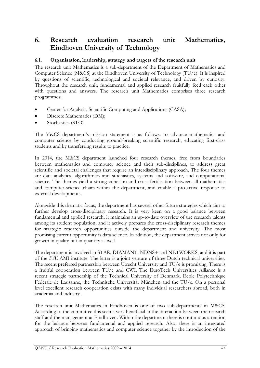# 6. Research evaluation research unit Mathematics, Eindhoven University of Technology

# 6.1. Organisation, leadership, strategy and targets of the research unit

The research unit Mathematics is a sub-department of the Department of Mathematics and Computer Science (M&CS) at the Eindhoven University of Technology (TU/e). It is inspired by questions of scientific, technological and societal relevance, and driven by curiosity. Throughout the research unit, fundamental and applied research fruitfully feed each other with questions and answers. The research unit Mathematics comprises three research programmes:

- Center for Analysis, Scientific Computing and Applications (CASA);
- Discrete Mathematics (DM);
- Stochastics (STO).

The M&CS department's mission statement is as follows: to advance mathematics and computer science by conducting ground-breaking scientific research, educating first-class students and by transferring results to practice.

In 2014, the M&CS department launched four research themes, free from boundaries between mathematics and computer science and their sub-disciplines, to address great scientific and societal challenges that require an interdisciplinary approach. The four themes are data analytics, algorithmics and stochastics, systems and software, and computational science. The themes yield a strong cohesion and cross-fertilisation between all mathematics and computer-science chairs within the department, and enable a pro-active response to external developments.

Alongside this thematic focus, the department has several other future strategies which aim to further develop cross-disciplinary research. It is very keen on a good balance between fundamental and applied research, it maintains an up-to-date overview of the research talents among its student population, and it actively prepares the cross-disciplinary research themes for strategic research opportunities outside the department and university. The most promising current opportunity is data science. In addition, the department strives not only for growth in quality but in quantity as well.

The department is involved in STAR, DIAMANT, NDNS+ and NETWORKS, and it is part of the 3TU.AMI institute. The latter is a joint venture of three Dutch technical universities. The recent preferred partnership between Utrecht University and TU/e is promising. There is a fruitful cooperation between TU/e and CWI. The EuroTech Universities Alliance is a recent strategic partnership of the Technical University of Denmark, Ecole Polytechnique Fédérale de Lausanne, the Technische Universität München and the TU/e. On a personal level excellent research cooperation exists with many individual researchers abroad, both in academia and industry.

The research unit Mathematics in Eindhoven is one of two sub-departments in M&CS. According to the committee this seems very beneficial in the interaction between the research staff and the management at Eindhoven. Within the department there is continuous attention for the balance between fundamental and applied research. Also, there is an integrated approach of bringing mathematics and computer science together by the introduction of the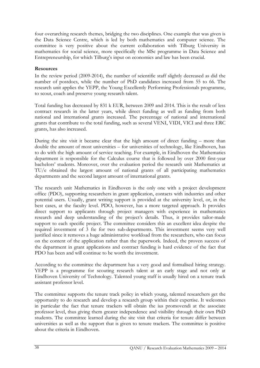four overarching research themes, bridging the two disciplines. One example that was given is the Data Science Centre, which is led by both mathematics and computer science. The committee is very positive about the current collaboration with Tilburg University in mathematics for social science, more specifically the MSc programme in Data Science and Entrepreneurship, for which Tilburg's input on economics and law has been crucial.

#### **Resources**

In the review period (2009-2014), the number of scientific staff slightly decreased as did the number of postdocs, while the number of PhD candidates increased from 55 to 66. The research unit applies the YEPP, the Young Excellently Performing Professionals programme, to scout, coach and preserve young research talent.

Total funding has decreased by 831 k EUR, between 2009 and 2014. This is the result of less contract research in the latter years, while direct funding as well as funding from both national and international grants increased. The percentage of national and international grants that contribute to the total funding, such as several VENI, VIDI, VICI and three ERC grants, has also increased.

During the site visit it became clear that the high amount of direct funding – more than double the amount of most universities – for universities of technology, like Eindhoven, has to do with the high amount of service teaching. For example, in Eindhoven the Mathematics department is responsible for the Calculus course that is followed by over 2000 first-year bachelors' students. Moreover, over the evaluation period the research unit Mathematics at TU/e obtained the largest amount of national grants of all participating mathematics departments and the second largest amount of international grants.

The research unit Mathematics in Eindhoven is the only one with a project development office (PDO), supporting researchers in grant application, contacts with industries and other potential users. Usually, grant writing support is provided at the university level, or, in the best cases, at the faculty level. PDO, however, has a more targeted approach. It provides direct support to applicants through project managers with experience in mathematics research and deep understanding of the project's details. Thus, it provides tailor-made support to each specific project. The committee considers this an excellent idea despite the required investment of 3 fte for two sub-departments. This investment seems very well justified since it removes a huge administrative workload from the researchers, who can focus on the content of the application rather than the paperwork. Indeed, the proven success of the department in grant applications and contract funding is hard evidence of the fact that PDO has been and will continue to be worth the investment.

According to the committee the department has a very good and formalised hiring strategy. YEPP is a programme for scouting research talent at an early stage and not only at Eindhoven University of Technology. Talented young staff is usually hired on a tenure track assistant professor level.

The committee supports the tenure track policy in which young, talented researchers get the opportunity to do research and develop a research group within their expertise. It welcomes in particular the fact that tenure trackers will obtain the ius promovendi at the associate professor level, thus giving them greater independence and visibility through their own PhD students. The committee learned during the site visit that criteria for tenure differ between universities as well as the support that is given to tenure trackers. The committee is positive about the criteria in Eindhoven.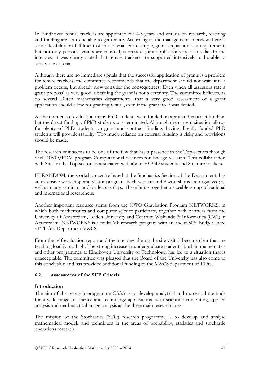In Eindhoven tenure trackers are appointed for 4-5 years and criteria on research, teaching and funding are set to be able to get tenure. According to the management interview there is some flexibility on fulfilment of the criteria. For example, grant acquisition is a requirement, but not only personal grants are counted, successful joint applications are also valid. In the interview it was clearly stated that tenure trackers are supported intensively to be able to satisfy the criteria.

Although there are no immediate signals that the successful application of grants is a problem for tenure trackers, the committee recommends that the department should not wait until a problem occurs, but already now consider the consequences. Even when all assessors rate a grant proposal as very good, obtaining the grant is not a certainty. The committee believes, as do several Dutch mathematics departments, that a very good assessment of a grant application should allow for granting tenure, even if the grant itself was denied.

At the moment of evaluation many PhD students were funded on grant and contract funding, but the direct funding of PhD students was terminated. Although the current situation allows for plenty of PhD students on grant and contract funding, having directly funded PhD students will provide stability. Too much reliance on external funding is risky and provisions should be made.

The research unit seems to be one of the few that has a presence in the Top-sectors through Shell-NWO/FOM program Computational Sciences for Energy research. This collaboration with Shell in the Top-sectors is associated with about 70 PhD students and 8 tenure trackers.

EURANDOM, the workshop centre based at the Stochastics Section of the Department, has an extensive workshop and visitor program. Each year around 8 workshops are organized; as well as many seminars and/or lecture days. These bring together a sizeable group of national and international researchers.

Another important resource stems from the NWO Gravitation Program NETWORKS, in which both mathematics and computer science participate, together with partners from the University of Amsterdam, Leiden University and Centrum Wiskunde & Informatica (CWI) in Amsterdam. NETWORKS is a multi-M€ research program with an about 50% budget share of TU/e's Department M&CS.

From the self-evaluation report and the interview during the site visit, it became clear that the teaching load is too high. The strong increase in undergraduate students, both in mathematics and other programmes at Eindhoven University of Technology, has led to a situation that is unacceptable. The committee was pleased that the Board of the University has also come to this conclusion and has provided additional funding to the M&CS department of 10 fte.

# 6.2. Assessment of the SEP Criteria

# Introduction

The aim of the research programme CASA is to develop analytical and numerical methods for a wide range of science and technology applications, with scientific computing, applied analysis and mathematical image analysis as the three main research lines.

The mission of the Stochastics (STO) research programme is to develop and analyse mathematical models and techniques in the areas of probability, statistics and stochastic operations research.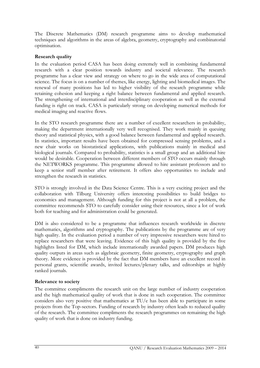The Discrete Mathematics (DM) research programme aims to develop mathematical techniques and algorithms in the areas of algebra, geometry, cryptography and combinatorial optimisation.

# Research quality

In the evaluation period CASA has been doing extremely well in combining fundamental research with a clear position towards industry and societal relevance. The research programme has a clear view and strategy on where to go in the wide area of computational science. The focus is on a number of themes, like energy, lighting and biomedical images. The renewal of many positions has led to higher visibility of the research programme while retaining cohesion and keeping a right balance between fundamental and applied research. The strengthening of international and interdisciplinary cooperation as well as the external funding is right on track. CASA is particularly strong on developing numerical methods for medical imaging and reactive flows.

In the STO research programme there are a number of excellent researchers in probability, making the department internationally very well recognised. They work mainly in queuing theory and statistical physics, with a good balance between fundamental and applied research. In statistics, important results have been obtained for compressed sensing problems, and a new chair works on biostatistical applications, with publications mainly in medical and biological journals. Compared to probability, statistics is a small group and an additional hire would be desirable. Cooperation between different members of STO occurs mainly through the NETWORKS programme. This programme allowed to hire assistant professors and to keep a senior staff member after retirement. It offers also opportunities to include and strengthen the research in statistics.

STO is strongly involved in the Data Science Centre. This is a very exciting project and the collaboration with Tilburg University offers interesting possibilities to build bridges to economics and management. Although funding for this project is not at all a problem, the committee recommends STO to carefully consider using their resources, since a lot of work both for teaching and for administration could be generated.

DM is also considered to be a programme that influences research worldwide in discrete mathematics, algorithms and cryptography. The publications by the programme are of very high quality. In the evaluation period a number of very impressive researchers were hired to replace researchers that were leaving. Evidence of this high quality is provided by the five highlights listed for DM, which include internationally awarded papers. DM produces high quality outputs in areas such as algebraic geometry, finite geometry, cryptography and graph theory. More evidence is provided by the fact that DM members have an excellent record in personal grants, scientific awards, invited lectures/plenary talks, and editorships at highly ranked journals.

#### Relevance to society

The committee compliments the research unit on the large number of industry cooperation and the high mathematical quality of work that is done in such cooperation. The committee considers also very positive that mathematics at TU/e has been able to participate in some projects from the Top-sectors. Funding of research by industry often leads to reduced quality of the research. The committee compliments the research programmes on remaining the high quality of work that is done on industry funding.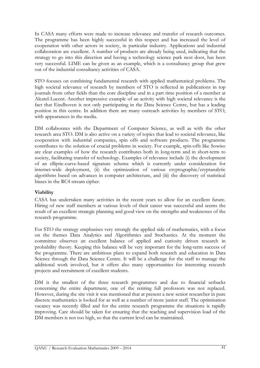In CASA many efforts were made to increase relevance and transfer of research outcomes. The programme has been highly successful in this respect and has increased the level of cooperation with other actors in society, in particular industry. Applications and industrial collaboration are excellent. A number of products are already being used, indicating that the strategy to go into this direction and having a technology science park next door, has been very successful. LIME can be given as an example, which is a consultancy group that grew out of the industrial consultancy activities of CASA.

STO focuses on combining fundamental research with applied mathematical problems. The high societal relevance of research by members of STO is reflected in publications in top journals from other fields than the core discipline and in a part time position of a member at Alcatel-Lucent. Another impressive example of an activity with high societal relevance is the fact that Eindhoven is not only participating in the Data Science Centre, but has a leading position in this centre. In addition there are many outreach activities by members of STO, with appearances in the media.

DM collaborates with the Department of Computer Science, as well as with the other research area STO. DM is also active on a variety of topics that lead to societal relevance, like cooperation with industrial companies, spin offs and software products. The programme contributes to the solution of crucial problems in society. For example, spin-offs like Sowiso are clear examples of how the research contributes both in long-term and in short-term to society, facilitating transfer of technology. Examples of relevance include (i) the development of an elliptic-curve-based signature scheme which is currently under consideration for internet-wide deployment, (ii) the optimization of various cryptographic/cryptanalytic algorithms based on advances in computer architecture, and (iii) the discovery of statistical biases in the RC4 stream cipher.

# Viability

CASA has undertaken many activities in the recent years to allow for an excellent future. Hiring of new staff members at various levels of their career was successful and seems the result of an excellent strategic planning and good view on the strengths and weaknesses of the research programme.

For STO the strategy emphasises very strongly the applied side of mathematics, with a focus on the themes Data Analytics and Algorithmics and Stochastics. At the moment the committee observes an excellent balance of applied and curiosity driven research in probability theory. Keeping this balance will be very important for the long-term success of the programme. There are ambitious plans to expand both research and education in Data Science through the Data Science Centre. It will be a challenge for the staff to manage the additional work involved, but it offers also many opportunities for interesting research projects and recruitment of excellent students.

DM is the smallest of the three research programmes and due to financial setbacks concerning the entire department, one of the retiring full professors was not replaced. However, during the site visit it was mentioned that at present a new senior researcher in pure discrete mathematics is looked for as well as a number of more junior staff. The optimisation vacancy was recently filled and for the entire research programme the situations is rapidly improving. Care should be taken for ensuring that the teaching and supervision load of the DM members is not too high, so that the current level can be maintained.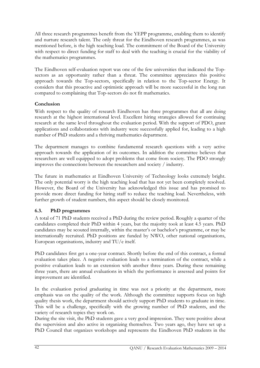All three research programmes benefit from the YEPP programme, enabling them to identify and nurture research talent. The only threat for the Eindhoven research programmes, as was mentioned before, is the high teaching load. The commitment of the Board of the University with respect to direct funding for staff to deal with the teaching is crucial for the viability of the mathematics programmes.

The Eindhoven self-evaluation report was one of the few universities that indicated the Topsectors as an opportunity rather than a threat. The committee appreciates this positive approach towards the Top-sectors, specifically in relation to the Top-sector Energy. It considers that this proactive and optimistic approach will be more successful in the long run compared to complaining that Top-sectors do not fit mathematics.

# Conclusion

With respect to the quality of research Eindhoven has three programmes that all are doing research at the highest international level. Excellent hiring strategies allowed for continuing research at the same level throughout the evaluation period. With the support of PDO, grant applications and collaborations with industry were successfully applied for, leading to a high number of PhD students and a thriving mathematics department.

The department manages to combine fundamental research questions with a very active approach towards the application of its outcomes. In addition the committee believes that researchers are well equipped to adopt problems that come from society. The PDO strongly improves the connections between the researchers and society / industry.

The future in mathematics at Eindhoven University of Technology looks extremely bright. The only potential worry is the high teaching load that has not yet been completely resolved. However, the Board of the University has acknowledged this issue and has promised to provide more direct funding for hiring staff to reduce the teaching load. Nevertheless, with further growth of student numbers, this aspect should be closely monitored.

# 6.3. PhD programmes

A total of 71 PhD students received a PhD during the review period. Roughly a quarter of the candidates completed their PhD within 4 years, but the majority took at least 4.5 years. PhD candidates may be scouted internally, within the master's or bachelor's programme, or may be internationally recruited. PhD positions are funded by NWO, other national organisations, European organisations, industry and TU/e itself.

PhD candidates first get a one-year contract. Shortly before the end of this contract, a formal evaluation takes place. A negative evaluation leads to a termination of the contract, while a positive evaluation leads to an extension with another three years. During these remaining three years, there are annual evaluations in which the performance is assessed and points for improvement are identified.

In the evaluation period graduating in time was not a priority at the department, more emphasis was on the quality of the work. Although the committee supports focus on high quality thesis work, the department should actively support PhD students to graduate in time. This will be a challenge, specifically with the growing number of PhD students, and the variety of research topics they work on.

During the site visit, the PhD students gave a very good impression. They were positive about the supervision and also active in organizing themselves. Two years ago, they have set up a PhD Council that organizes workshops and represents the Eindhoven PhD students in the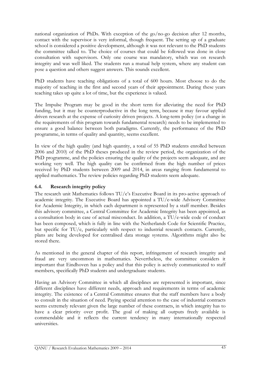national organization of PhDs. With exception of the go/no-go decision after 12 months, contact with the supervisor is very informal, though frequent. The setting up of a graduate school is considered a positive development, although it was not relevant to the PhD students the committee talked to. The choice of courses that could be followed was done in close consultation with supervisors. Only one course was mandatory, which was on research integrity and was well liked. The students run a mutual help system, where any student can pose a question and others suggest answers. This sounds excellent.

PhD students have teaching obligations of a total of 600 hours. Most choose to do the majority of teaching in the first and second years of their appointment. During these years teaching takes up quite a lot of time, but the experience is valued.

The Impulse Program may be good in the short term for alleviating the need for PhD funding, but it may be counterproductive in the long term, because it may favour applied driven research at the expense of curiosity driven projects. A long-term policy (or a change in the requirements of this program towards fundamental research) needs to be implemented to ensure a good balance between both paradigms. Currently, the performance of the PhD programme, in terms of quality and quantity, seems excellent.

In view of the high quality (and high quantity, a total of 55 PhD students enrolled between 2006 and 2010) of the PhD theses produced in the review period, the organization of the PhD programme, and the policies ensuring the quality of the projects seem adequate, and are working very well. The high quality can be confirmed from the high number of prices received by PhD students between 2009 and 2014, in areas ranging from fundamental to applied mathematics. The review policies regarding PhD students seem adequate.

# 6.4. Research integrity policy

The research unit Mathematics follows TU/e's Executive Board in its pro-active approach of academic integrity. The Executive Board has appointed a TU/e-wide Advisory Committee for Academic Integrity, in which each department is represented by a staff member. Besides this advisory committee, a Central Committee for Academic Integrity has been appointed, as a consultation body in case of actual misconduct. In addition, a TU/e-wide code of conduct has been composed, which is fully in line with the Netherlands Code for Scientific Practice, but specific for TU/e, particularly with respect to industrial research contacts. Currently, plans are being developed for centralised data storage systems. Algorithms might also be stored there.

As mentioned in the general chapter of this report, infringement of research integrity and fraud are very uncommon in mathematics. Nevertheless, the committee considers it important that Eindhoven has a policy and that this policy is actively communicated to staff members, specifically PhD students and undergraduate students.

Having an Advisory Committee in which all disciplines are represented is important, since different disciplines have different needs, approach and requirements in terms of academic integrity. The existence of a Central Committee ensures that the staff members have a body to consult in the situation of need. Paying special attention to the case of industrial contracts seems extremely relevant given the large number of these contracts, in which integrity has to have a clear priority over profit. The goal of making all outputs freely available is commendable and it reflects the current tendency in many internationally respected universities.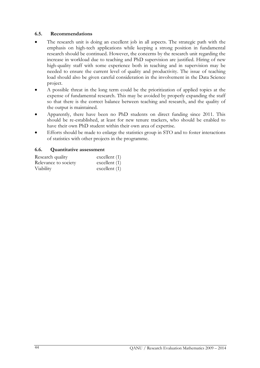#### 6.5. Recommendations

- The research unit is doing an excellent job in all aspects. The strategic path with the emphasis on high-tech applications while keeping a strong position in fundamental research should be continued. However, the concerns by the research unit regarding the increase in workload due to teaching and PhD supervision are justified. Hiring of new high-quality staff with some experience both in teaching and in supervision may be needed to ensure the current level of quality and productivity. The issue of teaching load should also be given careful consideration in the involvement in the Data Science project.
- A possible threat in the long term could be the prioritization of applied topics at the expense of fundamental research. This may be avoided by properly expanding the staff so that there is the correct balance between teaching and research, and the quality of the output is maintained.
- Apparently, there have been no PhD students on direct funding since 2011. This should be re-established, at least for new tenure trackers, who should be enabled to have their own PhD student within their own area of expertise.
- Efforts should be made to enlarge the statistics group in STO and to foster interactions of statistics with other projects in the programme.

#### 6.6. Quantitative assessment

| Research quality     | excellent $(1)$ |
|----------------------|-----------------|
| Relevance to society | excellent $(1)$ |
| Viability            | excellent $(1)$ |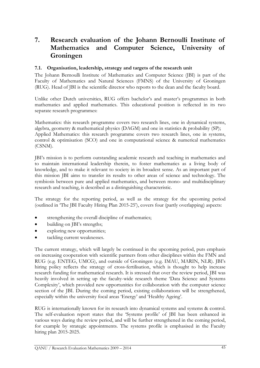# 7. Research evaluation of the Johann Bernoulli Institute of Mathematics and Computer Science, University of Groningen

# 7.1. Organisation, leadership, strategy and targets of the research unit

The Johann Bernoulli Institute of Mathematics and Computer Science (JBI) is part of the Faculty of Mathematics and Natural Sciences (FMNS) of the University of Groningen (RUG). Head of JBI is the scientific director who reports to the dean and the faculty board.

Unlike other Dutch universities, RUG offers bachelor's and master's programmes in both mathematics and applied mathematics. This educational position is reflected in its two separate research programmes:

Mathematics: this research programme covers two research lines, one in dynamical systems, algebra, geometry & mathematical physics (DAGM) and one in statistics & probability (SP); Applied Mathematics: this research programme covers two research lines, one in systems, control & optimisation (SCO) and one in computational science & numerical mathematics (CSNM).

JBI's mission is to perform outstanding academic research and teaching in mathematics and to maintain international leadership therein, to foster mathematics as a living body of knowledge, and to make it relevant to society in its broadest sense. As an important part of this mission JBI aims to transfer its results to other areas of science and technology. The symbiosis between pure and applied mathematics, and between mono- and multidisciplinary research and teaching, is described as a distinguishing characteristic.

The strategy for the reporting period, as well as the strategy for the upcoming period (outlined in 'The JBI Faculty Hiring Plan 2015-25'), covers four (partly overlapping) aspects:

- strengthening the overall discipline of mathematics;
- building on JBI's strengths;
- exploring new opportunities;
- tackling current weaknesses.

The current strategy, which will largely be continued in the upcoming period, puts emphasis on increasing cooperation with scientific partners from other disciplines within the FMN and RUG (e.g. ENTEG, UMCG), and outside of Groningen (e.g. IMAU, MARIN, NLR). JBI's hiring policy reflects the strategy of cross-fertilisation, which is thought to help increase research funding for mathematical research. It is stressed that over the review period, JBI was heavily involved in setting up the faculty-wide research theme 'Data Science and Systems Complexity', which provided new opportunities for collaboration with the computer science section of the JBI. During the coming period, existing collaborations will be strengthened, especially within the university focal areas 'Energy' and 'Healthy Ageing'.

RUG is internationally known for its research into dynamical systems and systems & control. The self-evaluation report states that the 'Systems profile' of JBI has been enhanced in various ways during the review period, and will be further strengthened in the coming period, for example by strategic appointments. The systems profile is emphasised in the Faculty hiring plan 2015-2025.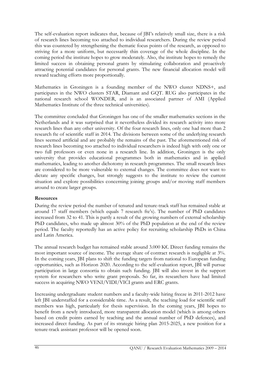The self-evaluation report indicates that, because of JBI's relatively small size, there is a risk of research lines becoming too attached to individual researchers. During the review period this was countered by strengthening the thematic focus points of the research, as opposed to striving for a more uniform, but necessarily thin coverage of the whole discipline. In the coming period the institute hopes to grow moderately. Also, the institute hopes to remedy the limited success in obtaining personal grants by stimulating collaboration and proactively attracting potential candidates for personal grants. The new financial allocation model will reward teaching efforts more proportionally.

Mathematics in Groningen is a founding member of the NWO cluster NDNS+, and participates in the NWO clusters STAR, Diamant and GQT. RUG also participates in the national research school WONDER, and is an associated partner of AMI (Applied Mathematics Institute of the three technical universities).

The committee concluded that Groningen has one of the smaller mathematics sections in the Netherlands and it was surprised that it nevertheless divided its research activity into more research lines than any other university. Of the four research lines, only one had more than 2 research fte of scientific staff in 2014. The divisions between some of the underlying research lines seemed artificial and are probably the remains of the past. The aforementioned risk of research lines becoming too attached to individual researchers is indeed high with only one or two full professors or even none in a research line. In addition, Groningen is the only university that provides educational programmes both in mathematics and in applied mathematics, leading to another dichotomy in research programmes. The small research lines are considered to be more vulnerable to external changes. The committee does not want to dictate any specific changes, but strongly suggests to the institute to review the current situation and explore possibilities concerning joining groups and/or moving staff members around to create larger groups.

# **Resources**

During the review period the number of tenured and tenure-track staff has remained stable at around 17 staff members (which equals 7 research fte's). The number of PhD candidates increased from 32 to 41. This is partly a result of the growing numbers of external scholarship PhD candidates, who made up almost 30% of the PhD population at the end of the review period. The faculty reportedly has an active policy for recruiting scholarship PhDs in China and Latin America.

The annual research budget has remained stable around 3.000 K€. Direct funding remains the most important source of income. The average share of contract research is negligible at 3%. In the coming years, JBI plans to shift the funding targets from national to European funding opportunities, such as Horizon 2020. According to the self-evaluation report, JBI will pursue participation in large consortia to obtain such funding. JBI will also invest in the support system for researchers who write grant proposals. So far, its researchers have had limited success in acquiring NWO VENI/VIDI/VICI grants and ERC grants.

Increasing undergraduate student numbers and a faculty-wide hiring freeze in 2011-2012 have left JBI understaffed for a considerable time. As a result, the teaching load for scientific staff members was high, particularly for thesis supervision. In the coming years, JBI hopes to benefit from a newly introduced, more transparent allocation model (which is among others based on credit points earned by teaching and the annual number of PhD defences), and increased direct funding. As part of its strategic hiring plan 2015-2025, a new position for a tenure-track assistant professor will be opened soon.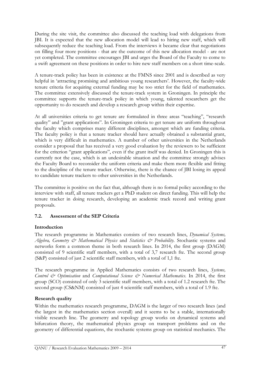During the site visit, the committee also discussed the teaching load with delegations from JBI. It is expected that the new allocation model will lead to hiring new staff, which will subsequently reduce the teaching load. From the interviews it became clear that negotiations on filling four more positions - that are the outcome of this new allocation model - are not yet completed. The committee encourages JBI and urges the Board of the Faculty to come to a swift agreement on these positions in order to hire new staff members on a short time-scale.

A tenure-track policy has been in existence at the FMNS since 2001 and is described as very helpful in 'attracting promising and ambitious young researchers'. However, the faculty-wide tenure criteria for acquiring external funding may be too strict for the field of mathematics. The committee extensively discussed the tenure-track system in Groningen. In principle the committee supports the tenure-track policy in which young, talented researchers get the opportunity to do research and develop a research group within their expertise.

At all universities criteria to get tenure are formulated in three areas "teaching", "research quality" and "grant applications". In Groningen criteria to get tenure are uniform throughout the faculty which comprises many different disciplines, amongst which are funding criteria. The faculty policy is that a tenure tracker should have actually obtained a substantial grant, which is very difficult in mathematics. A number of other universities in the Netherlands consider a proposal that has received a very good evaluation by the reviewers to be sufficient for the criterion "grant applications", even if the grant itself was denied. In Groningen this is currently not the case, which is an undesirable situation and the committee strongly advises the Faculty Board to reconsider the uniform criteria and make them more flexible and fitting to the discipline of the tenure tracker. Otherwise, there is the chance of JBI losing its appeal to candidate tenure trackers to other universities in the Netherlands.

The committee is positive on the fact that, although there is no formal policy according to the interview with staff, all tenure trackers get a PhD student on direct funding. This will help the tenure tracker in doing research, developing an academic track record and writing grant proposals.

# 7.2. Assessment of the SEP Criteria

# Introduction

The research programme in Mathematics consists of two research lines, *Dynamical Systems*, Algebra, Geometry & Mathematical Physics and Statistics & Probability. Stochastic systems and networks form a common theme in both research lines. In 2014, the first group (DAGM) consisted of 9 scientific staff members, with a total of 3,7 research fte. The second group (S&P) consisted of just 2 scientific staff members, with a total of 1,1 fte.

The research programme in Applied Mathematics consists of two research lines, Systems, Control & Optimisation and Computational Science & Numerical Mathematics. In 2014, the first group (SCO) consisted of only 3 scientific staff members, with a total of 1.2 research fte. The second group (CS&NM) consisted of just 4 scientific staff members, with a total of 1.9 fte.

# Research quality

Within the mathematics research programme, DAGM is the larger of two research lines (and the largest in the mathematics section overall) and it seems to be a stable, internationally visible research line. The geometry and topology group works on dynamical systems and bifurcation theory, the mathematical physics group on transport problems and on the geometry of differential equations, the stochastic systems group on statistical mechanics. The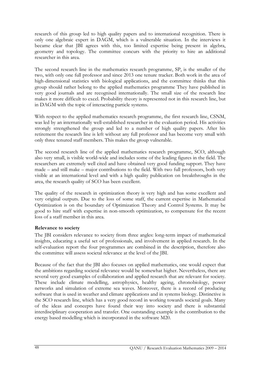research of this group led to high quality papers and to international recognition. There is only one algebraic expert in DAGM, which is a vulnerable situation. In the interviews it became clear that JBI agrees with this, too limited expertise being present in algebra, geometry and topology. The committee concurs with the priority to hire an additional researcher in this area.

The second research line in the mathematics research programme, SP, is the smaller of the two, with only one full professor and since 2013 one tenure tracker. Both work in the area of high-dimensional statistics with biological applications, and the committee thinks that this group should rather belong to the applied mathematics programme They have published in very good journals and are recognised internationally. The small size of the research line makes it more difficult to excel. Probability theory is represented not in this research line, but in DAGM with the topic of interacting particle systems.

With respect to the applied mathematics research programme, the first research line, CSNM, was led by an internationally well-established researcher in the evaluation period. His activities strongly strengthened the group and led to a number of high quality papers. After his retirement the research line is left without any full professor and has become very small with only three tenured staff members. This makes the group vulnerable.

The second research line of the applied mathematics research programme, SCO, although also very small, is visible world-wide and includes some of the leading figures in the field. The researchers are extremely well cited and have obtained very good funding support. They have made – and still make – major contributions to the field. With two full professors, both very visible at an international level and with a high quality publication on breakthroughs in the area, the research quality of SCO has been excellent.

The quality of the research in optimization theory is very high and has some excellent and very original outputs. Due to the loss of some staff, the current expertise in Mathematical Optimization is on the boundary of Optimization Theory and Control Systems. It may be good to hire staff with expertise in non-smooth optimization, to compensate for the recent loss of a staff member in this area.

# Relevance to society

The JBI considers relevance to society from three angles: long-term impact of mathematical insights, educating a useful set of professionals, and involvement in applied research. In the self-evaluation report the four programmes are combined in the description, therefore also the committee will assess societal relevance at the level of the JBI.

Because of the fact that the JBI also focuses on applied mathematics, one would expect that the ambitions regarding societal relevance would be somewhat higher. Nevertheless, there are several very good examples of collaboration and applied research that are relevant for society. These include climate modelling, astrophysics, healthy ageing, chronobiology, power networks and simulation of extreme sea waves. Moreover, there is a record of producing software that is used in weather and climate applications and in systems biology. Distinctive is the SCO research line, which has a very good record in working towards societal goals. Many of the ideas and concepts have found their way into society and there is substantial interdisciplinary cooperation and transfer. One outstanding example is the contribution to the energy based modelling which is incorporated in the software M20.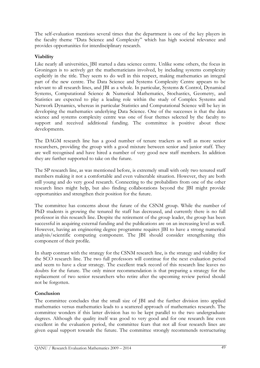The self-evaluation mentions several times that the department is one of the key players in the faculty theme "Data Science and Complexity" which has high societal relevance and provides opportunities for interdisciplinary research.

# Viability

Like nearly all universities, JBI started a data science centre. Unlike some others, the focus in Groningen is to actively get the mathematicians involved, by including systems complexity explicitly in the title. They seem to do well in this respect, making mathematics an integral part of the new centre. The Data Science and Systems Complexity Centre appears to be relevant to all research lines, and JBI as a whole. In particular, Systems & Control, Dynamical Systems, Computational Science & Numerical Mathematics, Stochastics, Geometry, and Statistics are expected to play a leading role within the study of Complex Systems and Network Dynamics, whereas in particular Statistics and Computational Science will be key in developing the mathematics underlying Data Science. One of the successes is that the data science and systems complexity centre was one of four themes selected by the faculty to support and received additional funding. The committee is positive about these developments.

The DAGM research line has a good number of tenure trackers as well as more senior researchers, providing the group with a good mixture between senior and junior staff. They are well recognised and have hired a number of very good new staff members. In addition they are further supported to take on the future.

The SP research line, as was mentioned before, is extremely small with only two tenured staff members making it not a comfortable and even vulnerable situation. However, they are both still young and do very good research. Connecting to the probabilists from one of the other research lines might help, but also finding collaborations beyond the JBI might provide opportunities and strengthen their position for the future.

The committee has concerns about the future of the CSNM group. While the number of PhD students is growing the tenured fte staff has decreased, and currently there is no full professor in this research line. Despite the retirement of the group leader, the group has been successful in acquiring external funding and the publications are on an increasing level as well. However, having an engineering degree programme requires JBI to have a strong numerical analysis/scientific computing component. The JBI should consider strengthening this component of their profile.

In sharp contrast with the strategy for the CSNM research line, is the strategy and viability for the SCO research line. The two full professors will continue for the next evaluation period and seem to have a clear strategy. The excellent track record of this research line leaves no doubts for the future. The only minor recommendation is that preparing a strategy for the replacement of two senior researchers who retire after the upcoming review period should not be forgotten.

# Conclusion

The committee concludes that the small size of JBI and the further division into applied mathematics versus mathematics leads to a scattered approach of mathematics research. The committee wonders if this latter division has to be kept parallel to the two undergraduate degrees. Although the quality itself was good to very good and for one research line even excellent in the evaluation period, the committee fears that not all four research lines are given equal support towards the future. The committee strongly recommends restructuring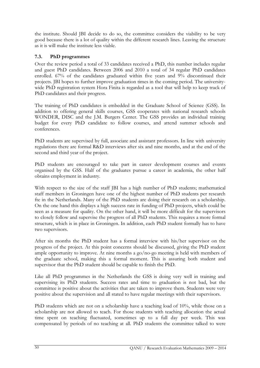the institute. Should JBI decide to do so, the committee considers the viability to be very good because there is a lot of quality within the different research lines. Leaving the structure as it is will make the institute less viable.

# 7.3. PhD programmes

Over the review period a total of 33 candidates received a PhD, this number includes regular and guest PhD candidates. Between 2006 and 2010 a total of 34 regular PhD candidates enrolled.  $67\%$  of the candidates graduated within five years and  $9\%$  discontinued their projects. JBI hopes to further improve graduation times in the coming period. The universitywide PhD registration system Hora Finita is regarded as a tool that will help to keep track of PhD candidates and their progress.

The training of PhD candidates is embedded in the Graduate School of Science (GSS). In addition to offering general skills courses, GSS cooperates with national research schools WONDER, DISC and the J.M. Burgers Center. The GSS provides an individual training budget for every PhD candidate to follow courses, and attend summer schools and conferences.

PhD students are supervised by full, associate and assistant professors. In line with university regulations there are formal R&D interviews after six and nine months, and at the end of the second and third year of the project.

PhD students are encouraged to take part in career development courses and events organised by the GSS. Half of the graduates pursue a career in academia, the other half obtains employment in industry.

With respect to the size of the staff JBI has a high number of PhD students; mathematical staff members in Groningen have one of the highest number of PhD students per research fte in the Netherlands. Many of the PhD students are doing their research on a scholarship. On the one hand this displays a high success rate in funding of PhD projects, which could be seen as a measure for quality. On the other hand, it will be more difficult for the supervisors to closely follow and supervise the progress of all PhD students. This requires a more formal structure, which is in place in Groningen. In addition, each PhD student formally has to have two supervisors.

After six months the PhD student has a formal interview with his/her supervisor on the progress of the project. At this point concerns should be discussed, giving the PhD student ample opportunity to improve. At nine months a go/no-go meeting is held with members of the graduate school, making this a formal moment. This is assuring both student and supervisor that the PhD student should be capable to finish the PhD.

Like all PhD programmes in the Netherlands the GSS is doing very well in training and supervising its PhD students. Success rates and time to graduation is not bad, but the committee is positive about the activities that are taken to improve them. Students were very positive about the supervision and all stated to have regular meetings with their supervisors.

PhD students which are not on a scholarship have a teaching load of 10%, while those on a scholarship are not allowed to teach. For those students with teaching allocation the actual time spent on teaching fluctuated, sometimes up to a full day per week. This was compensated by periods of no teaching at all. PhD students the committee talked to were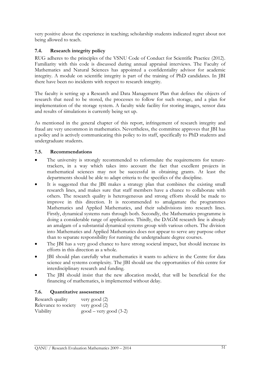very positive about the experience in teaching; scholarship students indicated regret about not being allowed to teach.

# 7.4. Research integrity policy

RUG adheres to the principles of the VSNU Code of Conduct for Scientific Practice (2012). Familiarity with this code is discussed during annual appraisal interviews. The Faculty of Mathematics and Natural Sciences has appointed a confidentiality advisor for academic integrity. A module on scientific integrity is part of the training of PhD candidates. In JBI there have been no incidents with respect to research integrity.

The faculty is setting up a Research and Data Management Plan that defines the objects of research that need to be stored, the processes to follow for such storage, and a plan for implementation of the storage system. A faculty wide facility for storing images, sensor data and results of simulations is currently being set up.

As mentioned in the general chapter of this report, infringement of research integrity and fraud are very uncommon in mathematics. Nevertheless, the committee approves that JBI has a policy and is actively communicating this policy to its staff, specifically to PhD students and undergraduate students.

#### 7.5. Recommendations

- The university is strongly recommended to reformulate the requirements for tenuretrackers, in a way which takes into account the fact that excellent projects in mathematical sciences may not be successful in obtaining grants. At least the departments should be able to adapt criteria to the specifics of the discipline.
- It is suggested that the JBI makes a strategy plan that combines the existing small research lines, and makes sure that staff members have a chance to collaborate with others. The research quality is heterogeneous and strong efforts should be made to improve in this direction. It is recommended to amalgamate the programmes Mathematics and Applied Mathematics, and their subdivisions into research lines. Firstly, dynamical systems runs through both. Secondly, the Mathematics programme is doing a considerable range of applications. Thirdly, the DAGM research line is already an amalgam of a substantial dynamical systems group with various others. The division into Mathematics and Applied Mathematics does not appear to serve any purpose other than to separate responsibility for running the undergraduate degree courses.
- The JBI has a very good chance to have strong societal impact, but should increase its efforts in this direction as a whole.
- JBI should plan carefully what mathematics it wants to achieve in the Centre for data science and systems complexity. The JBI should use the opportunities of this centre for interdisciplinary research and funding.
- The JBI should insist that the new allocation model, that will be beneficial for the financing of mathematics, is implemented without delay.

# 7.6. Quantitative assessment

| Research quality                   | very good $(2)$                      |
|------------------------------------|--------------------------------------|
| Relevance to society very good (2) |                                      |
| Viability                          | $\text{good}-\text{very good}$ (3-2) |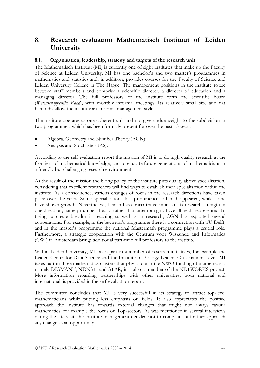# 8. Research evaluation Mathematisch Instituut of Leiden University

# 8.1. Organisation, leadership, strategy and targets of the research unit

The Mathematisch Instituut (MI) is currently one of eight institutes that make up the Faculty of Science at Leiden University. MI has one bachelor's and two master's programmes in mathematics and statistics and, in addition, provides courses for the Faculty of Science and Leiden University College in The Hague. The management positions in the institute rotate between staff members and comprise a scientific director, a director of education and a managing director. The full professors of the institute form the scientific board (Wetenschappelijke Raad), with monthly informal meetings. Its relatively small size and flat hierarchy allow the institute an informal management style.

The institute operates as one coherent unit and not give undue weight to the subdivision in two programmes, which has been formally present for over the past 15 years:

- Algebra, Geometry and Number Theory (AGN);
- Analysis and Stochastics (AS).

According to the self-evaluation report the mission of MI is to do high quality research at the frontiers of mathematical knowledge, and to educate future generations of mathematicians in a friendly but challenging research environment.

As the result of the mission the hiring policy of the institute puts quality above specialisation, considering that excellent researchers will find ways to establish their specialisation within the institute. As a consequence, various changes of focus in the research directions have taken place over the years. Some specialisations lost prominence; other disappeared, while some have shown growth. Nevertheless, Leiden has concentrated much of its research strength in one direction, namely number theory, rather than attempting to have all fields represented. In trying to create breadth in teaching as well as in research, AGN has exploited several cooperations. For example, in the bachelor's programme there is a connection with TU Delft, and in the master's programme the national Mastermath programme plays a crucial role. Furthermore, a strategic cooperation with the Centrum voor Wiskunde and Informatica (CWI) in Amsterdam brings additional part-time full professors to the institute.

Within Leiden University, MI takes part in a number of research initiatives, for example the Leiden Center for Data Science and the Institute of Biology Leiden. On a national level, MI takes part in three mathematics clusters that play a role in the NWO funding of mathematics, namely DIAMANT, NDNS+, and STAR; it is also a member of the NETWORKS project. More information regarding partnerships with other universities, both national and international, is provided in the self-evaluation report.

The committee concludes that MI is very successful in its strategy to attract top-level mathematicians while putting less emphasis on fields. It also appreciates the positive approach the institute has towards external changes that might not always favour mathematics, for example the focus on Top-sectors. As was mentioned in several interviews during the site visit, the institute management decided not to complain, but rather approach any change as an opportunity.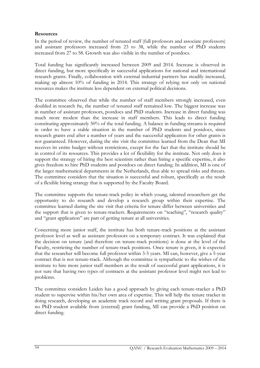# Resources

In the period of review, the number of tenured staff (full professors and associate professors) and assistant professors increased from 23 to 38, while the number of PhD students increased from 27 to 58. Growth was also visible in the number of postdocs.

Total funding has significantly increased between 2009 and 2014. Increase is observed in direct funding, but more specifically in successful applications for national and international research grants. Finally, collaboration with external industrial partners has steadily increased, making up almost 10% of funding in 2014. This strategy of relying not only on national resources makes the institute less dependent on external political decisions.

The committee observed that while the number of staff members strongly increased, even doubled in research fte, the number of tenured staff remained low. The biggest increase was in number of assistant professors, postdocs and PhD students. Increase in direct funding was much more modest than the increase in staff members. This leads to direct funding constituting approximately 50% of the total funding. A balance in funding streams is required in order to have a stable situation in the number of PhD students and postdocs, since research grants end after a number of years and the successful application for other grants is not guaranteed. However, during the site visit the committee learned from the Dean that MI receives its entire budget without restrictions, except for the fact that the institute should be in control of its resources. This provides a lot of flexibility for the institute. Not only does it support the strategy of hiring the best scientists rather than hiring a specific expertise, it also gives freedom to hire PhD students and postdocs on direct funding. In addition, MI is one of the larger mathematical departments in the Netherlands, thus able to spread risks and threats. The committee considers that the situation is successful and robust, specifically as the result of a flexible hiring strategy that is supported by the Faculty Board.

The committee supports the tenure-track policy in which young, talented researchers get the opportunity to do research and develop a research group within their expertise. The committee learned during the site visit that criteria for tenure differ between universities and the support that is given to tenure-trackers. Requirements on "teaching", "research quality" and "grant application" are part of getting tenure at all universities.

Concerning more junior staff, the institute has both tenure-track positions at the assistant professor level as well as assistant professors on a temporary contract. It was explained that the decision on tenure (and therefore on tenure-track positions) is done at the level of the Faculty, restricting the number of tenure-track positions. Once tenure is given, it is expected that the researcher will become full professor within 3-5 years. MI can, however, give a 5-year contract that is not tenure-track. Although the committee is sympathetic to the wishes of the institute to hire more junior staff members as the result of successful grant applications, it is not sure that having two types of contracts at the assistant professor level might not lead to problems.

The committee considers Leiden has a good approach by giving each tenure-tracker a PhD student to supervise within his/her own area of expertise. This will help the tenure tracker in doing research, developing an academic track record and writing grant proposals. If there is no PhD student available from (external) grant funding, MI can provide a PhD position on direct funding.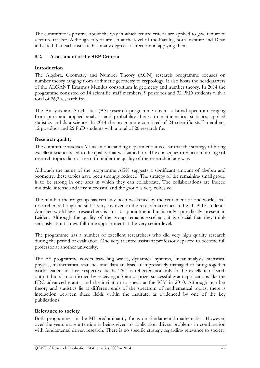The committee is positive about the way in which tenure criteria are applied to give tenure to a tenure tracker. Although criteria are set at the level of the Faculty, both institute and Dean indicated that each institute has many degrees of freedom in applying them.

# 8.2. Assessment of the SEP Criteria

# Introduction

The Algebra, Geometry and Number Theory (AGN) research programme focuses on number theory ranging from arithmetic geometry to cryptology. It also hosts the headquarters of the ALGANT Erasmus Mundus consortium in geometry and number theory. In 2014 the programme consisted of 14 scientific staff members, 9 postdocs and 32 PhD students with a total of 26,2 research fte.

The Analysis and Stochastics (AS) research programme covers a broad spectrum ranging from pure and applied analysis and probability theory to mathematical statistics, applied statistics and data science. In 2014 the programme consisted of 24 scientific staff members, 12 postdocs and 26 PhD students with a total of 26 research fte.

#### Research quality

The committee assesses MI as an outstanding department; it is clear that the strategy of hiring excellent scientists led to the quality that was aimed for. The consequent reduction in range of research topics did not seem to hinder the quality of the research in any way.

Although the name of the programme AGN suggests a significant amount of algebra and geometry, these topics have been strongly reduced. The strategy of the remaining small group is to be strong in one area in which they can collaborate. The collaborations are indeed multiple, intense and very successful and the group is very cohesive.

The number theory group has certainly been weakened by the retirement of one world-level researcher, although he still is very involved in the research activities and with PhD students. Another world-level researchers is in a 0 appointment but is only sporadically present in Leiden. Although the quality of the group remains excellent, it is crucial that they think seriously about a new full-time appointment at the very senior level.

The programme has a number of excellent researchers who did very high quality research during the period of evaluation. One very talented assistant professor departed to become full professor at another university.

The AS programme covers travelling waves, dynamical systems, linear analysis, statistical physics, mathematical statistics and data analysis. It impressively managed to bring together world leaders in their respective fields. This is reflected not only in the excellent research output, but also confirmed by receiving a Spinoza prize, successful grant applications like the ERC advanced grants, and the invitation to speak at the ICM in 2010. Although number theory and statistics lie at different ends of the spectrum of mathematical topics, there is interaction between these fields within the institute, as evidenced by one of the key publications.

# Relevance to society

Both programmes in the MI predominantly focus on fundamental mathematics. However, over the years more attention is being given to application driven problems in combination with fundamental driven research. There is no specific strategy regarding relevance to society,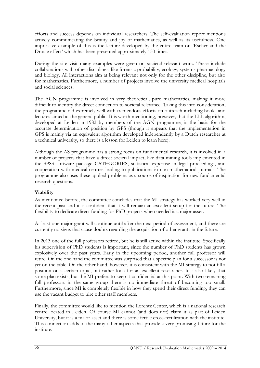efforts and success depends on individual researchers. The self-evaluation report mentions actively communicating the beauty and joy of mathematics, as well as its usefulness. One impressive example of this is the lecture developed by the entire team on 'Escher and the Droste effect' which has been presented approximately 150 times.

During the site visit many examples were given on societal relevant work. These include collaborations with other disciplines, like forensic probability, ecology, systems pharmacology and biology. All interactions aim at being relevant not only for the other discipline, but also for mathematics. Furthermore, a number of projects involve the university medical hospitals and social sciences.

The AGN programme is involved in very theoretical, pure mathematics, making it more difficult to identify the direct connection to societal relevance. Taking this into consideration, the programme did extremely well with tremendous efforts on outreach including books and lectures aimed at the general public. It is worth mentioning, however, that the LLL algorithm, developed at Leiden in 1982 by members of the AGN programme, is the basis for the accurate determination of position by GPS (though it appears that the implementation in GPS is mainly via an equivalent algorithm developed independently by a Dutch researcher at a technical university, so there is a lesson for Leiden to learn here).

Although the AS programme has a strong focus on fundamental research, it is involved in a number of projects that have a direct societal impact, like data mining tools implemented in the SPSS software package CATEGORIES, statistical expertise in legal proceedings, and cooperation with medical centres leading to publications in non-mathematical journals. The programme also uses these applied problems as a source of inspiration for new fundamental research questions.

# Viability

As mentioned before, the committee concludes that the MI strategy has worked very well in the recent past and it is confident that it will remain an excellent setup for the future. The flexibility to dedicate direct funding for PhD projects when needed is a major asset.

At least one major grant will continue until after the next period of assessment, and there are currently no signs that cause doubts regarding the acquisition of other grants in the future.

In 2013 one of the full professors retired, but he is still active within the institute. Specifically his supervision of PhD students is important, since the number of PhD students has grown explosively over the past years. Early in the upcoming period, another full professor will retire. On the one hand the committee was surprised that a specific plan for a successor is not yet on the table. On the other hand, however, it is consistent with the MI strategy to not fill a position on a certain topic, but rather look for an excellent researcher. It is also likely that some plan exists, but the MI prefers to keep it confidential at this point. With two remaining full professors in the same group there is no immediate threat of becoming too small. Furthermore, since MI is completely flexible in how they spend their direct funding, they can use the vacant budget to hire other staff members.

Finally, the committee would like to mention the Lorentz Center, which is a national research centre located in Leiden. Of course MI cannot (and does not) claim it as part of Leiden University, but it is a major asset and there is some fertile cross-fertilization with the institute. This connection adds to the many other aspects that provide a very promising future for the institute.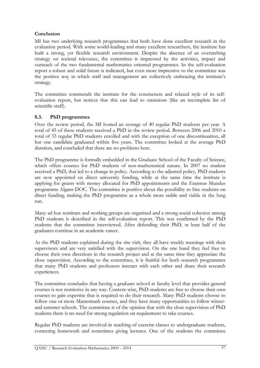# Conclusion

MI has two underlying research programmes that both have done excellent research in the evaluation period. With some world-leading and many excellent researchers, the institute has built a strong, yet flexible research environment. Despite the absence of an overarching strategy on societal relevance, the committee is impressed by the activities, impact and outreach of the two fundamental mathematics oriented programmes. In the self-evaluation report a robust and solid future is indicated, but even more impressive to the committee was the positive way in which staff and management are collectively embracing the institute's strategy.

The committee commends the institute for the conciseness and relaxed style of its selfevaluation report, but notices that this can lead to omissions (like an incomplete list of scientific staff).

# 8.3. PhD programmes

Over the review period, the MI hosted an average of 40 regular PhD students per year. A total of 45 of these students received a PhD in the review period. Between 2006 and 2010 a total of 33 regular PhD students enrolled and with the exception of one discontinuation, all but one candidate graduated within five years. The committee looked at the average PhD duration, and concluded that there are no problems here.

The PhD programme is formally embedded in the Graduate School of the Faculty of Science, which offers courses for PhD students of non-mathematical nature. In 2007 no student received a PhD, that led to a change in policy. According to the adjusted policy, PhD students are now appointed on direct university funding, while at the same time the institute is applying for grants with money allocated for PhD appointments and the Erasmus Mundus programme Algant-DOC. The committee is positive about the possibility to hire students on direct funding, making the PhD programme as a whole more stable and viable in the long run.

Many ad hoc seminars and working groups are organised and a strong social cohesion among PhD students is described in the self-evaluation report. This was confirmed by the PhD students that the committee interviewed. After defending their PhD, at least half of the graduates continue in an academic career.

As the PhD students explained during the site visit, they all have weekly meetings with their supervisors and are very satisfied with the supervision. On the one hand they feel free to choose their own directions in the research project and at the same time they appreciate the close supervision. According to the committee, it is fruitful for both research programmes that many PhD students and professors interact with each other and share their research experiences.

The committee concludes that having a graduate school at faculty level that provides general courses is not restrictive in any way. Content-wise, PhD students are free to choose their own courses to gain expertise that is required to do their research. Many PhD students choose to follow one or more Mastermath courses, and they have many opportunities to follow winterand summer schools. The committee is of the opinion that with the close supervision of PhD students there is no need for strong regulation on requirement to take courses.

Regular PhD students are involved in teaching of exercise classes to undergraduate students, correcting homework and sometimes giving lectures. One of the students the committee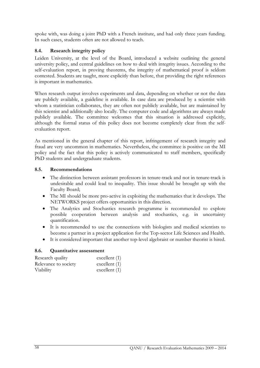spoke with, was doing a joint PhD with a French institute, and had only three years funding. In such cases, students often are not allowed to teach.

# 8.4. Research integrity policy

Leiden University, at the level of the Board, introduced a website outlining the general university policy, and central guidelines on how to deal with integrity issues. According to the self-evaluation report, in proving theorems, the integrity of mathematical proof is seldom contested. Students are taught, more explicitly than before, that providing the right references is important in mathematics.

When research output involves experiments and data, depending on whether or not the data are publicly available, a guideline is available. In case data are produced by a scientist with whom a statistician collaborates, they are often not publicly available, but are maintained by this scientist and additionally also locally. The computer code and algorithms are always made publicly available. The committee welcomes that this situation is addressed explicitly, although the formal status of this policy does not become completely clear from the selfevaluation report.

As mentioned in the general chapter of this report, infringement of research integrity and fraud are very uncommon in mathematics. Nevertheless, the committee is positive on the MI policy and the fact that this policy is actively communicated to staff members, specifically PhD students and undergraduate students.

# 8.5. Recommendations

- The distinction between assistant professors in tenure-track and not in tenure-track is undesirable and could lead to inequality. This issue should be brought up with the Faculty Board;
- The MI should be more pro-active in exploiting the mathematics that it develops. The NETWORKS project offers opportunities in this direction.
- The Analytics and Stochastics research programme is recommended to explore possible cooperation between analysis and stochastics, e.g. in uncertainty quantification.
- It is recommended to use the connections with biologists and medical scientists to become a partner in a project application for the Top-sector Life Sciences and Health.
- It is considered important that another top-level algebraist or number theorist is hired.

#### 8.6. Quantitative assessment

| Research quality     | excellent $(1)$ |
|----------------------|-----------------|
| Relevance to society | excellent $(1)$ |
| Viability            | excellent $(1)$ |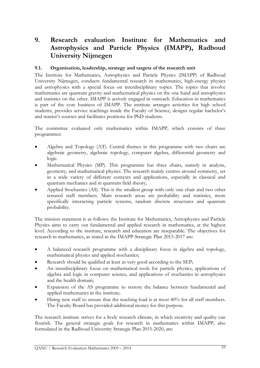# 9. Research evaluation Institute for Mathematics and Astrophysics and Particle Physics (IMAPP), Radboud University Nijmegen

# 9.1. Organisation, leadership, strategy and targets of the research unit

The Institute for Mathematics, Astrophysics and Particle Physics (IMAPP) of Radboud University Nijmegen, conducts fundamental research in mathematics, high-energy physics and astrophysics with a special focus on interdisciplinary topics. The topics that involve mathematics are quantum gravity and mathematical physics on the one hand and astrophysics and statistics on the other. IMAPP is actively engaged in outreach. Education in mathematics is part of the core business of IMAPP. The institute arranges activities for high school students, provides service teachings inside the Faculty of Science, designs regular bachelor's and master's courses and facilitates positions for PhD students.

The committee evaluated only mathematics within IMAPP, which consists of three programmes:

- Algebra and Topology (AT). Central themes in this programme with two chairs are algebraic geometry, algebraic topology, computer algebra, differential geometry and logic.
- Mathematical Physics (MP). This programme has three chairs, namely in analysis, geometry, and mathematical physics. The research mainly centres around symmetry, set in a wide variety of different contexts and applications, especially in classical and quantum mechanics and in quantum field theory;
- Applied Stochastics (AS). This is the smallest group with only one chair and two other tenured staff members. Main research areas are probability and statistics, more specifically interacting particle systems, random discrete structures and quantum probability.

The mission statement is as follows: the Institute for Mathematics, Astrophysics and Particle Physics aims to carry out fundamental and applied research in mathematics, at the highest level. According to the institute, research and education are inseparable. The objectives for research in mathematics, as stated in the IMAPP-Strategic Plan 2013-2017 are:

- A balanced research programme with a disciplinary focus in algebra and topology, mathematical physics and applied stochastics;
- Research should be qualified at least as very good according to the SEP;
- An interdisciplinary focus on mathematical tools for particle physics, applications of algebra and logic in computer science, and applications of stochastics in astrophysics and the health domain;
- Expansion of the AS programme to restore the balance between fundamental and applied mathematics in the institute;
- Hiring new staff to ensure that the teaching load is at most 40% for all staff members. The Faculty Board has provided additional money for this purpose.

The research institute strives for a lively research climate, in which creativity and quality can flourish. The general strategic goals for research in mathematics within IMAPP, also formulated in the Radboud University Strategic Plan 2015-2020, are: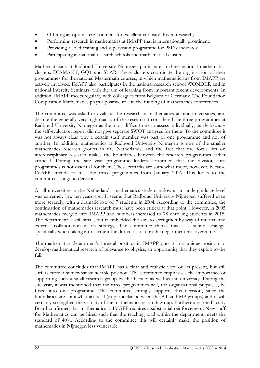- Offering an optimal environment for excellent curiosity-driven research;
- Performing research in mathematics at IMAPP that is internationally prominent;
- Providing a solid training and supervision programme for PhD candidates;
- Participating in national research schools and mathematical clusters.

Mathematicians at Radboud University Nijmegen participate in three national mathematics clusters: DIAMANT, GQT and STAR. These clusters coordinate the organisation of their programmes for the national Mastermath courses, in which mathematicians from IMAPP are actively involved. IMAPP also participates in the national research school WONDER and in national Intercity Seminars, with the aim of learning from important recent developments. In addition, IMAPP meets regularly with colleagues from Belgium or Germany. The Foundation Composition Mathematics plays a positive role in the funding of mathematics conferences.

The committee was asked to evaluate the research in mathematics at nine universities, and despite the generally very high quality of the research it considered the three programmes at Radboud University Nijmegen as the most difficult one to assess individually, partly because the self-evaluation report did not give separate SWOT analyses for them. To the committee it was not always clear why a certain staff member was part of one programme and not of another. In addition, mathematics at Radboud University Nijmegen is one of the smaller mathematics research groups in the Netherlands, and the fact that the focus lies on interdisciplinary research makes the boundaries between the research programmes rather artificial. During the site visit programme leaders confirmed that the division into programmes is not essential for them. These remarks are somewhat moot, however, because IMAPP intends to fuse the three programmes from January 2016. This looks to the committee as a good decision.

At all universities in the Netherlands, mathematics student inflow at an undergraduate level was extremely low ten years ago. It seems that Radboud University Nijmegen suffered even more severely, with a dramatic low of 7 students in 2004. According to the committee, the continuation of mathematics research must have been critical at that point. However, in 2005 mathematics merged into IMAPP and numbers increased to 78 enrolling students in 2015. The department is still small, but it embedded the aim to strengthen by way of internal and external collaboration in its strategy. The committee thinks this is a sound strategy, specifically when taking into account the difficult situation the department has overcome.

The mathematics department's integral position in IMAPP puts it in a unique position to develop mathematical research of relevance to physics, an opportunity that they exploit to the full.

The committee concludes that IMAPP has a clear and realistic view on its present, but still suffers from a somewhat vulnerable position. The committee emphasises the importance of supporting such a small research group by the Faculty as well as the university. During the site visit, it was mentioned that the three programmes will, for organisational purposes, be fused into one programme. The committee strongly supports this decision, since the boundaries are somewhat artificial (in particular between the AT and MP groups) and it will certainly strengthen the viability of the mathematics research group. Furthermore, the Faculty Board confirmed that mathematics at IMAPP requires a substantial reinforcement. New staff for Mathematics can be hired such that the teaching load within the department meets the standard of 40%. According to the committee this will certainly make the position of mathematics in Nijmegen less vulnerable.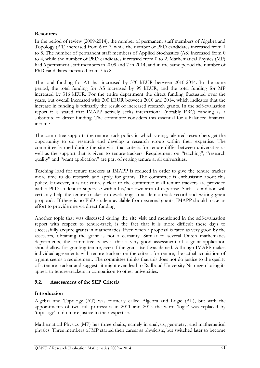# Resources

In the period of review (2009-2014), the number of permanent staff members of Algebra and Topology (AT) increased from 6 to 7, while the number of PhD candidates increased from 1 to 8. The number of permanent staff members of Applied Stochastics (AS) increased from 0 to 4, while the number of PhD candidates increased from 0 to 2. Mathematical Physics (MP) had 6 permanent staff members in 2009 and 7 in 2014, and in the same period the number of PhD candidates increased from 7 to 8.

The total funding for AT has increased by 370 kEUR between 2010-2014. In the same period, the total funding for AS increased by 99 kEUR, and the total funding for MP increased by 316 kEUR. For the entire department the direct funding fluctuated over the years, but overall increased with 200 kEUR between 2010 and 2014, which indicates that the increase in funding is primarily the result of increased research grants. In the self-evaluation report it is stated that IMAPP actively seeks international (notably ERC) funding as a substitute to direct funding. The committee considers this essential for a balanced financial income.

The committee supports the tenure-track policy in which young, talented researchers get the opportunity to do research and develop a research group within their expertise. The committee learned during the site visit that criteria for tenure differ between universities as well as the support that is given to tenure-trackers. Requirement on "teaching", "research quality" and "grant application" are part of getting tenure at all universities.

Teaching load for tenure trackers at IMAPP is reduced in order to give the tenure tracker more time to do research and apply for grants. The committee is enthusiastic about this policy. However, it is not entirely clear to the committee if all tenure trackers are provided with a PhD student to supervise within his/her own area of expertise. Such a condition will certainly help the tenure tracker in developing an academic track record and writing grant proposals. If there is no PhD student available from external grants, IMAPP should make an effort to provide one via direct funding.

Another topic that was discussed during the site visit and mentioned in the self-evaluation report with respect to tenure-track, is the fact that it is more difficult these days to successfully acquire grants in mathematics. Even when a proposal is rated as very good by the assessors, obtaining the grant is not a certainty. Similar to several Dutch mathematics departments, the committee believes that a very good assessment of a grant application should allow for granting tenure, even if the grant itself was denied. Although IMAPP makes individual agreements with tenure trackers on the criteria for tenure, the actual acquisition of a grant seems a requirement. The committee thinks that this does not do justice to the quality of a tenure-tracker and suggests it might even lead to Radboud University Nijmegen losing its appeal to tenure-trackers in comparison to other universities.

# 9.2. Assessment of the SEP Criteria

# **Introduction**

Algebra and Topology (AT) was formerly called Algebra and Logic (AL), but with the appointments of two full professors in 2011 and 2013 the word 'logic' was replaced by 'topology' to do more justice to their expertise.

Mathematical Physics (MP) has three chairs, namely in analysis, geometry, and mathematical physics. Three members of MP started their career as physicists, but switched later to become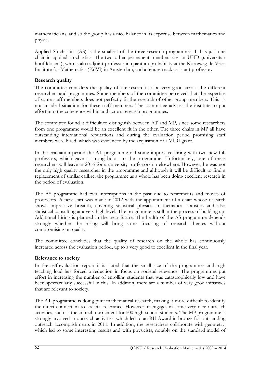mathematicians, and so the group has a nice balance in its expertise between mathematics and physics.

Applied Stochastics (AS) is the smallest of the three research programmes. It has just one chair in applied stochastics. The two other permanent members are an UHD (universitair hoofddocent), who is also adjoint professor in quantum probability at the Korteweg-de Vries Institute for Mathematics (KdVI) in Amsterdam, and a tenure-track assistant professor.

# Research quality

The committee considers the quality of the research to be very good across the different researchers and programmes. Some members of the committee perceived that the expertise of some staff members does not perfectly fit the research of other group members. This is not an ideal situation for these staff members. The committee advises the institute to put effort into the coherence within and across research programmes.

The committee found it difficult to distinguish between AT and MP, since some researchers from one programme would be an excellent fit in the other. The three chairs in MP all have outstanding international reputations and during the evaluation period promising staff members were hired, which was evidenced by the acquisition of a VIDI grant.

In the evaluation period the AT programme did some impressive hiring with two new full professors, which gave a strong boost to the programme. Unfortunately, one of these researchers will leave in 2016 for a university professorship elsewhere. However, he was not the only high quality researcher in the programme and although it will be difficult to find a replacement of similar calibre, the programme as a whole has been doing excellent research in the period of evaluation.

The AS programme had two interruptions in the past due to retirements and moves of professors. A new start was made in 2012 with the appointment of a chair whose research shows impressive breadth, covering statistical physics, mathematical statistics and also statistical consulting at a very high level. The programme is still in the process of building up. Additional hiring is planned in the near future. The health of the AS programme depends strongly whether the hiring will bring some focusing of research themes without compromising on quality.

The committee concludes that the quality of research on the whole has continuously increased across the evaluation period, up to a very good to excellent in the final year.

# Relevance to society

In the self-evaluation report it is stated that the small size of the programmes and high teaching load has forced a reduction in focus on societal relevance. The programmes put effort in increasing the number of enrolling students that was catastrophically low and have been spectacularly successful in this. In addition, there are a number of very good initiatives that are relevant to society.

The AT programme is doing pure mathematical research, making it more difficult to identify the direct connection to societal relevance. However, it engages in some very nice outreach activities, such as the annual tournament for 500 high-school students. The MP programme is strongly involved in outreach activities, which led to an RU Award in bronze for outstanding outreach accomplishments in 2011. In addition, the researchers collaborate with geometry, which led to some interesting results and with physicists, notably on the standard model of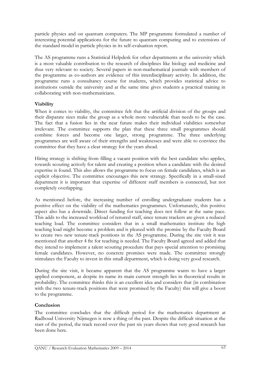particle physics and on quantum computers. The MP programme formulated a number of interesting potential applications for the future to quantum computing and to extensions of the standard model in particle physics in its self-evaluation report.

The AS programme runs a Statistical Helpdesk for other departments at the university which is a most valuable contribution to the research of disciplines like biology and medicine and thus very relevant to society. Several papers in non-mathematical journals with members of the programme as co-authors are evidence of this interdisciplinary activity. In addition, the programme runs a consultancy course for students, which provides statistical advice to institutions outside the university and at the same time gives students a practical training in collaborating with non-mathematicians.

# Viability

When it comes to viability, the committee felt that the artificial division of the groups and their disparate sizes make the group as a whole more vulnerable than needs to be the case. The fact that a fusion lies in the near future makes their individual viabilities somewhat irrelevant. The committee supports the plan that these three small programmes should combine forces and become one larger, strong programme. The three underlying programmes are well aware of their strengths and weaknesses and were able to convince the committee that they have a clear strategy for the years ahead.

Hiring strategy is shifting from filling a vacant position with the best candidate who applies, towards scouting actively for talent and creating a position when a candidate with the desired expertise is found. This also allows the programme to focus on female candidates, which is an explicit objective. The committee encourages this new strategy. Specifically in a small-sized department it is important that expertise of different staff members is connected, but not completely overlapping.

As mentioned before, the increasing number of enrolling undergraduate students has a positive effect on the viability of the mathematics programmes. Unfortunately, this positive aspect also has a downside. Direct funding for teaching does not follow at the same pace. This adds to the increased workload of tenured staff, since tenure trackers are given a reduced teaching load. The committee considers that in a small mathematics institute the high teaching load might become a problem and is pleased with the promise by the Faculty Board to create two new tenure-track positions in the AS programme. During the site visit it was mentioned that another 4 fte for teaching is needed. The Faculty Board agreed and added that they intend to implement a talent scouting procedure that pays special attention to promising female candidates. However, no concrete promises were made. The committee strongly stimulates the Faculty to invest in this small department, which is doing very good research.

During the site visit, it became apparent that the AS programme wants to have a larger applied component, as despite its name its main current strength lies in theoretical results in probability. The committee thinks this is an excellent idea and considers that (in combination with the two tenure-track positions that were promised by the Faculty) this will give a boost to the programme.

# Conclusion

The committee concludes that the difficult period for the mathematics department at Radboud University Nijmegen is now a thing of the past. Despite the difficult situation at the start of the period, the track record over the past six years shows that very good research has been done here.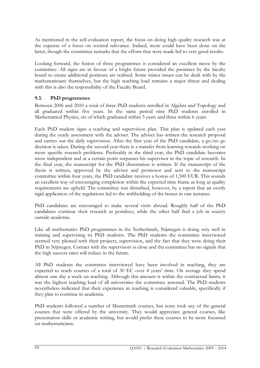As mentioned in the self-evaluation report, the focus on doing high quality research was at the expense of a focus on societal relevance. Indeed, more could have been done on the latter, though the committee remarks that the efforts that were made led to very good results.

Looking forward, the fusion of three programmes is considered an excellent move by the committee. All signs are in favour of a bright future provided the promises by the faculty board to create additional positions are realised. Some minor issues can be dealt with by the mathematicians themselves, but the high teaching load remains a major threat and dealing with this is also the responsibility of the Faculty Board.

# 9.3. PhD programmes

Between 2006 and 2010 a total of three PhD students enrolled in Algebra and Topology and all graduated within five years. In the same period nine PhD students enrolled in Mathematical Physics, six of which graduated within 5 years and three within 6 years.

Each PhD student signs a teaching and supervision plan. This plan is updated each year during the yearly assessment with the adviser. The adviser has written the research proposal and carries out the daily supervision. After the first year of the PhD candidate, a go/no go decision is taken. During the second year there is a transfer from learning towards working on more specific research problems. Preferably in the third year, the PhD candidate becomes more independent and at a certain point surpasses his supervisor in the topic of research. In the final year, the manuscript for the PhD dissertation is written. If the manuscript of the thesis is written, approved by the adviser and promotor and sent to the manuscript committee within four years, the PhD candidate receives a bonus of 1,500 EUR. This sounds an excellent way of encouraging completion within the expected time frame as long as quality requirements are upheld. The committee was disturbed, however, by a report that an overly rigid application of the regulations led to the withholding of the bonus in one instance.

PhD candidates are encouraged to make several visits abroad. Roughly half of the PhD candidates continue their research as postdocs, while the other half find a job in society outside academia.

Like all mathematics PhD programmes in the Netherlands, Nijmegen is doing very well in training and supervising its PhD students. The PhD students the committee interviewed seemed very pleased with their projects, supervision, and the fact that they were doing their PhD in Nijmegen. Contact with the supervisors is close and the committee has no signals that the high success rates will reduce in the future.

All PhD students the committee interviewed have been involved in teaching, they are expected to teach courses of a total of 30 EC over 4 years' time. On average they spend almost one day a week on teaching. Although this amount is within the contractual limits, it was the highest teaching load of all universities the committee assessed. The PhD students nevertheless indicated that their experience in teaching is considered valuable, specifically if they plan to continue in academia.

PhD students followed a number of Mastermath courses, but none took any of the general courses that were offered by the university. They would appreciate general courses, like presentation skills or academic writing, but would prefer these courses to be more focussed on mathematicians.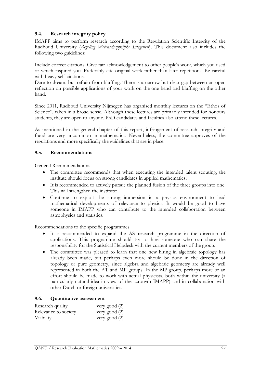# 9.4. Research integrity policy

IMAPP aims to perform research according to the Regulation Scientific Integrity of the Radboud University (Regeling Wetenschappelijke Integriteit). This document also includes the following two guidelines:

Include correct citations. Give fair acknowledgement to other people's work, which you used or which inspired you. Preferably cite original work rather than later repetitions. Be careful with heavy self-citations.

Dare to dream, but refrain from bluffing. There is a narrow but clear gap between an open reflection on possible applications of your work on the one hand and bluffing on the other hand.

Since 2011, Radboud University Nijmegen has organised monthly lectures on the "Ethos of Science", taken in a broad sense. Although these lectures are primarily intended for honours students, they are open to anyone. PhD candidates and faculties also attend these lectures.

As mentioned in the general chapter of this report, infringement of research integrity and fraud are very uncommon in mathematics. Nevertheless, the committee approves of the regulations and more specifically the guidelines that are in place.

#### 9.5. Recommendations

General Recommendations

- The committee recommends that when executing the intended talent scouting, the institute should focus on strong candidates in applied mathematics;
- It is recommended to actively pursue the planned fusion of the three groups into one. This will strengthen the institute;
- Continue to exploit the strong immersion in a physics environment to lead mathematical developments of relevance to physics. It would be good to have someone in IMAPP who can contribute to the intended collaboration between astrophysics and statistics.

Recommendations to the specific programmes

- It is recommended to expand the AS research programme in the direction of applications. This programme should try to hire someone who can share the responsibility for the Statistical Helpdesk with the current members of the group.
- The committee was pleased to learn that one new hiring in algebraic topology has already been made, but perhaps even more should be done in the direction of topology or pure geometry, since algebra and algebraic geometry are already well represented in both the AT and MP groups. In the MP group, perhaps more of an effort should be made to work with actual physicists, both within the university (a particularly natural idea in view of the acronym IMAPP) and in collaboration with other Dutch or foreign universities.

# 9.6. Quantitative assessment

| Research quality     | very good (2) |
|----------------------|---------------|
| Relevance to society | very good (2) |
| <b>Viability</b>     | very good (2) |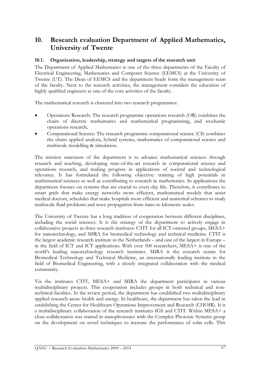# 10. Research evaluation Department of Applied Mathematics, University of Twente

# 10.1. Organisation, leadership, strategy and targets of the research unit

The Department of Applied Mathematics is one of the three departments of the Faculty of Electrical Engineering, Mathematics and Computer Science (EEMCS) at the University of Twente (UT). The Dean of EEMCS and the department heads form the management team of the faculty. Next to the research activities, the management considers the education of highly qualified engineers as one of the core activities of the faculty.

The mathematical research is clustered into two research programmes:

- Operations Research: The research programme operations research (OR) combines the chairs of discrete mathematics and mathematical programming, and stochastic operations research;
- Computational Science: The research programme computational science (CS) combines the chairs applied analysis, hybrid systems, mathematics of computational science and multiscale modelling & simulation.

The mission statement of the department is to advance mathematical sciences through research and teaching, developing state-of-the-art research in computational science and operations research, and making progress in applications of societal and technological relevance. It has formulated the following objective: training of high potentials in mathematical sciences as well as contributing to research in mathematics. In applications the department focuses on systems that are crucial to every-day life. Therefore, it contributes to smart grids that make energy networks more efficient, mathematical models that assist medical doctors, schedules that make hospitals more efficient and numerical schemes to study multiscale fluid problems and wave propagation from nano to kilometre scales.

The University of Twente has a long tradition of cooperation between different disciplines, including the social sciences. It is the strategy of the department to actively engage in collaborative projects in three research institutes: CTIT for all ICT-oriented groups, MESA+ for nanotechnology, and MIRA for biomedical technology and technical medicine. CTIT is the largest academic research institute in the Netherlands – and one of the largest in Europe – in the field of ICT and ICT applications. With over 500 researchers, MESA+ is one of the world's leading nanotechnology research institutes. MIRA is the research centre for Biomedical Technology and Technical Medicine, an internationally leading institute in the field of Biomedical Engineering, with a closely integrated collaboration with the medical community.

Via the institutes CTIT, MESA+ and MIRA the department participates in various multidisciplinary projects. This cooperation includes groups in both technical and nontechnical faculties. In the review period, the department has established two multidisciplinary applied research areas: health and energy. In healthcare, the department has taken the lead in establishing the Center for Healthcare Operations Improvement and Research (CHOIR). It is a multidisciplinary collaboration of the research institutes IGS and CTIT. Within MESA+ a close collaboration was started in nanophotonics with the Complex Photonic Systems group on the development on novel techniques to increase the performance of solar cells. This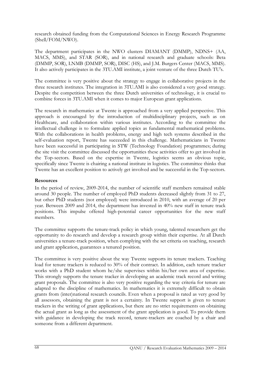research obtained funding from the Computational Sciences in Energy Research Programme (Shell/FOM/NWO).

The department participates in the NWO clusters DIAMANT (DMMP), NDNS+ (AA, MACS, MMS), and STAR (SOR), and in national research and graduate schools: Beta (DMMP, SOR), LNMB (DMMP, SOR), DISC (HS), and J.M. Burgers Center (MACS, MMS). It also actively participates in the 3TU.AMI institute, a joint venture of the three Dutch TU's.

The committee is very positive about the strategy to engage in collaborative projects in the three research institutes. The integration in 3TU.AMI is also considered a very good strategy. Despite the competition between the three Dutch universities of technology, it is crucial to combine forces in 3TU.AMI when it comes to major European grant applications.

The research in mathematics at Twente is approached from a very applied perspective. This approach is encouraged by the introduction of multidisciplinary projects, such as on Healthcare, and collaboration within various institutes. According to the committee the intellectual challenge is to formulate applied topics as fundamental mathematical problems. With the collaborations in health problems, energy and high tech systems described in the self-evaluation report, Twente has succeeded in this challenge. Mathematicians in Twente have been successful in participating in STW (Technology Foundation) programmes; during the site visit the committee discussed the opportunities these activities offer to get involved in the Top-sectors. Based on the expertise in Twente, logistics seems an obvious topic, specifically since Twente is chairing a national institute in logistics. The committee thinks that Twente has an excellent position to actively get involved and be successful in the Top-sectors.

# Resources

In the period of review, 2009-2014, the number of scientific staff members remained stable around 30 people. The number of employed PhD students decreased slightly from 31 to 27, but other PhD students (not employed) were introduced in 2010, with an average of 20 per year. Between 2009 and 2014, the department has invested in 40% new staff in tenure track positions. This impulse offered high-potential career opportunities for the new staff members.

The committee supports the tenure-track policy in which young, talented researchers get the opportunity to do research and develop a research group within their expertise. At all Dutch universities a tenure-track position, when complying with the set criteria on teaching, research and grant application, guarantees a tenured position.

The committee is very positive about the way Twente supports its tenure trackers. Teaching load for tenure trackers is reduced to 30% of their contract. In addition, each tenure tracker works with a PhD student whom he/she supervises within his/her own area of expertise. This strongly supports the tenure tracker in developing an academic track record and writing grant proposals. The committee is also very positive regarding the way criteria for tenure are adapted to the discipline of mathematics. In mathematics it is extremely difficult to obtain grants from (inter)national research councils. Even when a proposal is rated as very good by all assessors, obtaining the grant is not a certainty. In Twente support is given to tenure trackers in the writing of grant applications, but there are no strict requirements on obtaining the actual grant as long as the assessment of the grant application is good. To provide them with guidance in developing the track record, tenure-trackers are coached by a chair and someone from a different department.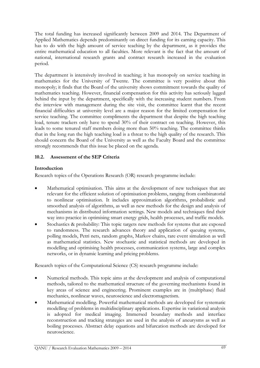The total funding has increased significantly between 2009 and 2014. The Department of Applied Mathematics depends predominantly on direct funding for its earning capacity. This has to do with the high amount of service teaching by the department, as it provides the entire mathematical education to all faculties. More relevant is the fact that the amount of national, international research grants and contract research increased in the evaluation period.

The department is intensively involved in teaching; it has monopoly on service teaching in mathematics for the University of Twente. The committee is very positive about this monopoly; it finds that the Board of the university shows commitment towards the quality of mathematics teaching. However, financial compensation for this activity has seriously lagged behind the input by the department, specifically with the increasing student numbers. From the interview with management during the site visit, the committee learnt that the recent financial difficulties at university level are a major reason for the limited compensation for service teaching. The committee compliments the department that despite the high teaching load, tenure trackers only have to spend 30% of their contract on teaching. However, this leads to some tenured staff members doing more than 50% teaching. The committee thinks that in the long run the high teaching load is a threat to the high quality of the research. This should concern the Board of the University as well as the Faculty Board and the committee strongly recommends that this issue be placed on the agenda.

# 10.2. Assessment of the SEP Criteria

# Introduction

Research topics of the Operations Research (OR) research programme include:

- Mathematical optimisation. This aims at the development of new techniques that are relevant for the efficient solution of optimisation problems, ranging from combinatorial to nonlinear optimisation. It includes approximation algorithms, probabilistic and smoothed analysis of algorithms, as well as new methods for the design and analysis of mechanisms in distributed information settings. New models and techniques find their way into practice in optimising smart energy grids, health processes, and traffic models.
- Stochastics & probability: This topic targets new methods for systems that are exposed to randomness. The research advances theory and application of queuing systems, polling models, Petri nets, random graphs, Markov chains, rare event simulation as well as mathematical statistics. New stochastic and statistical methods are developed in modelling and optimising health processes, communication systems, large and complex networks, or in dynamic learning and pricing problems.

Research topics of the Computational Science (CS) research programme include:

- Numerical methods. This topic aims at the development and analysis of computational methods, tailored to the mathematical structure of the governing mechanisms found in key areas of science and engineering. Prominent examples are in (multiphase) fluid mechanics, nonlinear waves, neuroscience and electromagnetism.
- Mathematical modelling. Powerful mathematical methods are developed for systematic modelling of problems in multidisciplinary applications. Expertise in variational analysis is adopted for medical imaging. Immersed boundary methods and interface reconstruction and tracking strategies are used in the analysis of aneurysms as well as boiling processes. Abstract delay equations and bifurcation methods are developed for neuroscience.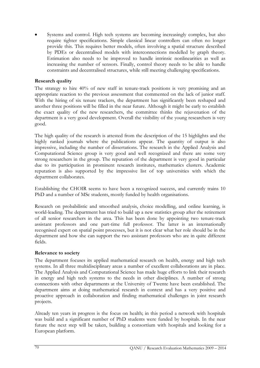Systems and control. High tech systems are becoming increasingly complex, but also require tighter specifications. Simple classical linear controllers can often no longer provide this. This requires better models, often involving a spatial structure described by PDEs or decentralised models with interconnections modelled by graph theory. Estimation also needs to be improved to handle intrinsic nonlinearities as well as increasing the number of sensors. Finally, control theory needs to be able to handle constraints and decentralised structures, while still meeting challenging specifications.

# Research quality

The strategy to hire 40% of new staff in tenure-track positions is very promising and an appropriate reaction to the previous assessment that commented on the lack of junior staff. With the hiring of six tenure trackers, the department has significantly been reshaped and another three positions will be filled in the near future. Although it might be early to establish the exact quality of the new researchers, the committee thinks the rejuvenation of the department is a very good development. Overall the visibility of the young researchers is very good.

The high quality of the research is attested from the description of the 15 highlights and the highly ranked journals where the publications appear. The quantity of output is also impressive, including the number of dissertations. The research in the Applied Analysis and Computational Science group is very good and well recognized and there are some very strong researchers in the group. The reputation of the department is very good in particular due to its participation in prominent research institutes, mathematics clusters. Academic reputation is also supported by the impressive list of top universities with which the department collaborates.

Establishing the CHOIR seems to have been a recognized success, and currently trains 10 PhD and a number of MSc students, mostly funded by health organisations.

Research on probabilistic and smoothed analysis, choice modelling, and online learning, is world-leading. The department has tried to build up a new statistics group after the retirement of all senior researchers in the area. This has been done by appointing two tenure-track assistant professors and one part-time full professor. The latter is an internationally recognised expert on spatial point processes, but it is not clear what her role should be in the department and how she can support the two assistant professors who are in quite different fields.

# Relevance to society

The department focuses its applied mathematical research on health, energy and high tech systems. In all three multidisciplinary areas a number of excellent collaborations are in place. The Applied Analysis and Computational Science has made huge efforts to link their research in energy and high tech systems to the needs in other disciplines. A number of strong connections with other departments at the University of Twente have been established. The department aims at doing mathematical research in context and has a very positive and proactive approach in collaboration and finding mathematical challenges in joint research projects.

Already ten years in progress is the focus on health; in this period a network with hospitals was build and a significant number of PhD students were funded by hospitals. In the near future the next step will be taken, building a consortium with hospitals and looking for a European platform.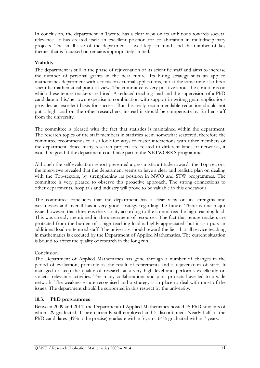In conclusion, the department in Twente has a clear view on its ambitions towards societal relevance. It has created itself an excellent position for collaboration in multidisciplinary projects. The small size of the department is well kept in mind, and the number of key themes that is focussed on remains appropriately limited.

# Viability

The department is still in the phase of rejuvenation of its scientific staff and aims to increase the number of personal grants in the near future. Its hiring strategy suits an applied mathematics department with a focus on external applications, but at the same time also fits a scientific mathematical point of view. The committee is very positive about the conditions on which these tenure trackers are hired. A reduced teaching load and the supervision of a PhD candidate in his/her own expertise in combination with support in writing grant applications provides an excellent basis for success. But this really recommendable reduction should not put a high load on the other researchers, instead it should be compensate by further staff from the university.

The committee is pleased with the fact that statistics is maintained within the department. The research topics of the staff members in statistics seem somewhat scattered, therefore the committee recommends to also look for ways to foster interactions with other members of the department. Since many research projects are related to different kinds of networks, it would be good if the department could take part in the NETWORKS programme.

Although the self-evaluation report presented a pessimistic attitude towards the Top-sectors, the interviews revealed that the department seems to have a clear and realistic plan on dealing with the Top-sectors, by strengthening its position in NWO and STW programmes. The committee is very pleased to observe this proactive approach. The strong connections to other departments, hospitals and industry will prove to be valuable in this endeavour.

The committee concludes that the department has a clear view on its strengths and weaknesses and overall has a very good strategy regarding the future. There is one major issue, however, that threatens the viability according to the committee: the high teaching load. This was already mentioned in the assessment of resources. The fact that tenure trackers are protected from the burden of a high teaching load is highly appreciated, but it also puts an additional load on tenured staff. The university should reward the fact that all service teaching in mathematics is executed by the Department of Applied Mathematics. The current situation is bound to affect the quality of research in the long run.

# Conclusion

The Department of Applied Mathematics has gone through a number of changes in the period of evaluation, primarily as the result of retirements and a rejuvenation of staff. It managed to keep the quality of research at a very high level and performs excellently on societal relevance activities. The many collaborations and joint projects have led to a wide network. The weaknesses are recognised and a strategy is in place to deal with most of the issues. The department should be supported in this respect by the university.

# 10.3. PhD programmes

Between 2009 and 2011, the Department of Applied Mathematics hosted 45 PhD students of whom 29 graduated, 11 are currently still employed and 5 discontinued. Nearly half of the PhD candidates (49% to be precise) graduate within 5 years, 64% graduated within 7 years.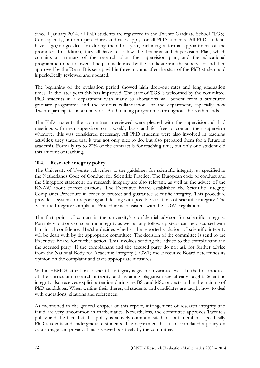Since 1 January 2014, all PhD students are registered in the Twente Graduate School (TGS). Consequently, uniform procedures and rules apply for all PhD students. All PhD students have a go/no-go decision during their first year, including a formal appointment of the promoter. In addition, they all have to follow the Training and Supervision Plan, which contains a summary of the research plan, the supervision plan, and the educational programme to be followed. The plan is defined by the candidate and the supervisor and then approved by the Dean. It is set up within three months after the start of the PhD student and is periodically reviewed and updated.

The beginning of the evaluation period showed high drop-out rates and long graduation times. In the later years this has improved. The start of TGS is welcomed by the committee, PhD students in a department with many collaborations will benefit from a structured graduate programme and the various collaborations of the department, especially now Twente participates in a number of PhD training programmes throughout the Netherlands.

The PhD students the committee interviewed were pleased with the supervision; all had meetings with their supervisor on a weekly basis and felt free to contact their supervisor whenever this was considered necessary. All PhD students were also involved in teaching activities; they stated that it was not only nice to do, but also prepared them for a future in academia. Formally up to 20% of the contract is for teaching time, but only one student did this amount of teaching.

# 10.4. Research integrity policy

The University of Twente subscribes to the guidelines for scientific integrity, as specified in the Netherlands Code of Conduct for Scientific Practice. The European code of conduct and the Singapore statement on research integrity are also relevant, as well as the advice of the KNAW about correct citations. The Executive Board established the Scientific Integrity Complaints Procedure in order to protect and guarantee scientific integrity. This procedure provides a system for reporting and dealing with possible violations of scientific integrity. The Scientific Integrity Complaints Procedure is consistent with the LOWI regulations.

The first point of contact is the university's confidential advisor for scientific integrity. Possible violations of scientific integrity as well as any follow-up steps can be discussed with him in all confidence. He/she decides whether the reported violation of scientific integrity will be dealt with by the appropriate committee. The decision of the committee is send to the Executive Board for further action. This involves sending the advice to the complainant and the accused party. If the complainant and the accused party do not ask for further advice from the National Body for Academic Integrity (LOWI) the Executive Board determines its opinion on the complaint and takes appropriate measures.

Within EEMCS, attention to scientific integrity is given on various levels. In the first modules of the curriculum research integrity and avoiding plagiarism are already taught. Scientific integrity also receives explicit attention during the BSc and MSc projects and in the training of PhD candidates. When writing their theses, all students and candidates are taught how to deal with quotations, citations and references.

As mentioned in the general chapter of this report, infringement of research integrity and fraud are very uncommon in mathematics. Nevertheless, the committee approves Twente's policy and the fact that this policy is actively communicated to staff members, specifically PhD students and undergraduate students. The department has also formulated a policy on data storage and privacy. This is viewed positively by the committee.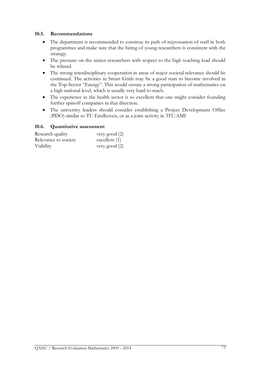#### 10.5. Recommendations

- The department is recommended to continue its path of rejuvenation of staff in both programmes and make sure that the hiring of young researchers is consistent with the strategy.
- The pressure on the senior researchers with respect to the high teaching load should be relaxed.
- The strong interdisciplinary cooperation in areas of major societal relevance should be continued. The activities in Smart Grids may be a good start to become involved in the Top-Sector "Energy". This would ensure a strong participation of mathematics on a high national level, which is usually very hard to reach.
- The experience in the health sector is so excellent that one might consider founding further spinoff companies in that direction.
- The university leaders should consider establishing a Project Development Office (PDO) similar to TU Eindhoven, or as a joint activity in 3TU.AMI

#### 10.6. Quantitative assessment

| Research quality     | very good (2)   |
|----------------------|-----------------|
| Relevance to society | excellent $(1)$ |
| Viability            | very good (2)   |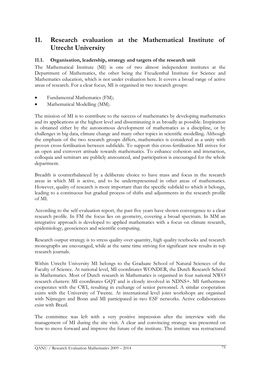# 11. Research evaluation at the Mathematical Institute of Utrecht University

# 11.1. Organisation, leadership, strategy and targets of the research unit

The Mathematical Institute (MI) is one of two almost independent institutes at the Department of Mathematics, the other being the Freudenthal Institute for Science and Mathematics education, which is not under evaluation here. It covers a broad range of active areas of research. For a clear focus, MI is organised in two research groups:

- Fundamental Mathematics (FM);
- Mathematical Modelling (MM).

The mission of MI is to contribute to the success of mathematics by developing mathematics and its applications at the highest level and disseminating it as broadly as possible. Inspiration is obtained either by the autonomous development of mathematics as a discipline, or by challenges in big data, climate change and many other topics in scientific modelling. Although the emphasis of the two research groups differs, mathematics is considered as a unity with proven cross-fertilisation between subfields. To support this cross-fertilisation MI strives for an open and extrovert attitude towards mathematics. To enhance cohesion and interaction, colloquia and seminars are publicly announced, and participation is encouraged for the whole department.

Breadth is counterbalanced by a deliberate choice to have mass and focus in the research areas in which MI is active, and to be underrepresented in other areas of mathematics. However, quality of research is more important than the specific subfield to which it belongs, leading to a continuous but gradual process of shifts and adjustments in the research profile of MI.

According to the self-evaluation report, the past five years have shown convergence to a clear research profile. In FM the focus lies on geometry, covering a broad spectrum. In MM an integrative approach is developed to applied mathematics with a focus on climate research, epidemiology, geosciences and scientific computing.

Research output strategy is to stress quality over quantity, high quality textbooks and research monographs are encouraged, while at the same time striving for significant new results in top research journals.

Within Utrecht University MI belongs to the Graduate School of Natural Sciences of the Faculty of Science. At national level, MI coordinates WONDER, the Dutch Research School in Mathematics. Most of Dutch research in Mathematics is organised in four national NWO research clusters: MI coordinates GQT and is closely involved in NDNS+. MI furthermore cooperates with the CWI, resulting in exchange of senior personnel. A similar cooperation exists with the University of Twente. At international level joint workshops are organised with Nijmegen and Bonn and MI participated in two ESF networks. Active collaborations exist with Brazil.

The committee was left with a very positive impression after the interview with the management of MI during the site visit. A clear and convincing strategy was presented on how to move forward and improve the future of the institute. The institute was restructured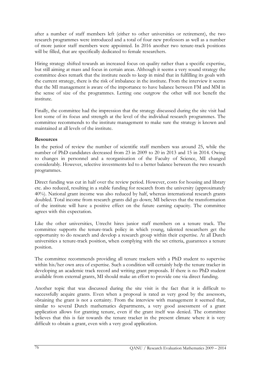after a number of staff members left (either to other universities or retirement), the two research programmes were introduced and a total of four new professors as well as a number of more junior staff members were appointed. In 2016 another two tenure-track positions will be filled, that are specifically dedicated to female researchers.

Hiring strategy shifted towards an increased focus on quality rather than a specific expertise, but still aiming at mass and focus in certain areas. Although it seems a very sound strategy the committee does remark that the institute needs to keep in mind that in fulfilling its goals with the current strategy, there is the risk of imbalance in the institute. From the interview it seems that the MI management is aware of the importance to have balance between FM and MM in the sense of size of the programmes. Letting one outgrow the other will not benefit the institute.

Finally, the committee had the impression that the strategy discussed during the site visit had lost some of its focus and strength at the level of the individual research programmes. The committee recommends to the institute management to make sure the strategy is known and maintained at all levels of the institute.

#### Resources

In the period of review the number of scientific staff members was around 25, while the number of PhD candidates decreased from 23 in 2009 to 20 in 2013 and 15 in 2014. Owing to changes in personnel and a reorganisation of the Faculty of Science, MI changed considerably. However, selective investments led to a better balance between the two research programmes.

Direct funding was cut in half over the review period. However, costs for housing and library etc. also reduced, resulting in a stable funding for research from the university (approximately 40%). National grant income was also reduced by half, whereas international research grants doubled. Total income from research grants did go down; MI believes that the transformation of the institute will have a positive effect on the future earning capacity. The committee agrees with this expectation.

Like the other universities, Utrecht hires junior staff members on a tenure track. The committee supports the tenure-track policy in which young, talented researchers get the opportunity to do research and develop a research group within their expertise. At all Dutch universities a tenure-track position, when complying with the set criteria, guarantees a tenure position.

The committee recommends providing all tenure trackers with a PhD student to supervise within his/her own area of expertise. Such a condition will certainly help the tenure tracker in developing an academic track record and writing grant proposals. If there is no PhD student available from external grants, MI should make an effort to provide one via direct funding.

Another topic that was discussed during the site visit is the fact that it is difficult to successfully acquire grants. Even when a proposal is rated as very good by the assessors, obtaining the grant is not a certainty. From the interview with management it seemed that, similar to several Dutch mathematics departments, a very good assessment of a grant application allows for granting tenure, even if the grant itself was denied. The committee believes that this is fair towards the tenure tracker in the present climate where it is very difficult to obtain a grant, even with a very good application.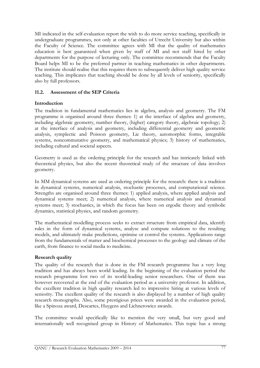MI indicated in the self-evaluation report the wish to do more service teaching, specifically in undergraduate programmes, not only at other faculties of Utrecht University but also within the Faculty of Science. The committee agrees with MI that the quality of mathematics education is best guaranteed when given by staff of MI and not staff hired by other departments for the purpose of lecturing only. The committee recommends that the Faculty Board helps MI to be the preferred partner in teaching mathematics in other departments. The institute should realise that this requires them to subsequently deliver high quality service teaching. This implicates that teaching should be done by all levels of seniority, specifically also by full professors.

## 11.2. Assessment of the SEP Criteria

#### Introduction

The tradition in fundamental mathematics lies in algebra, analysis and geometry. The FM programme is organised around three themes: 1) at the interface of algebra and geometry, including algebraic geometry, number theory, (higher) category theory, algebraic topology; 2) at the interface of analysis and geometry, including differential geometry and geometric analysis, symplectic and Poisson geometry, Lie theory, automorphic forms, integrable systems, noncommutative geometry, and mathematical physics; 3) history of mathematics, including cultural and societal aspects.

Geometry is used as the ordering principle for the research and has intricately linked with theoretical physics, but also the recent theoretical study of the structure of data involves geometry.

In MM dynamical systems are used as ordering principle for the research: there is a tradition in dynamical systems, numerical analysis, stochastic processes, and computational science. Strengths are organised around three themes: 1) applied analysis, where applied analysis and dynamical systems meet; 2) numerical analysis, where numerical analysis and dynamical systems meet; 3) stochastics, in which the focus has been on ergodic theory and symbolic dynamics, statistical physics, and random geometry.

The mathematical modelling process seeks to extract structure from empirical data, identify rules in the form of dynamical systems, analyse and compute solutions to the resulting models, and ultimately make predictions, optimise or control the systems. Applications range from the fundamentals of matter and biochemical processes to the geology and climate of the earth, from finance to social media to medicine.

#### Research quality

The quality of the research that is done in the FM research programme has a very long tradition and has always been world leading. In the beginning of the evaluation period the research programme lost two of its world-leading senior researchers. One of them was however recovered at the end of the evaluation period as a university professor. In addition, the excellent tradition in high quality research led to impressive hiring at various levels of seniority. The excellent quality of the research is also displayed by a number of high quality research monographs. Also, some prestigious prices were awarded in the evaluation period, like a Spinoza award, Descartes, Huygens and Lichnerowicz awards.

The committee would specifically like to mention the very small, but very good and internationally well recognised group in History of Mathematics. This topic has a strong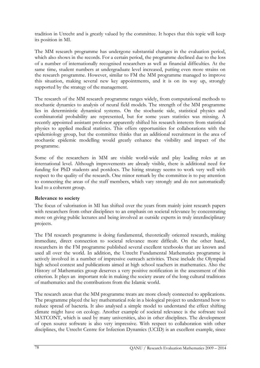tradition in Utrecht and is greatly valued by the committee. It hopes that this topic will keep its position in MI.

The MM research programme has undergone substantial changes in the evaluation period, which also shows in the records. For a certain period, the programme declined due to the loss of a number of internationally recognised researchers as well as financial difficulties. At the same time, student numbers at undergraduate level increased, putting even more strains on the research programme. However, similar to FM the MM programme managed to improve this situation, making several new key appointments, and it is on its way up, strongly supported by the strategy of the management.

The research of the MM research programme ranges widely, from computational methods to stochastic dynamics to analysis of neural field models. The strength of the MM programme lies in deterministic dynamical systems. On the stochastic side, statistical physics and combinatorial probability are represented, but for some years statistics was missing. A recently appointed assistant professor apparently shifted his research interests from statistical physics to applied medical statistics. This offers opportunities for collaborations with the epidemiology group, but the committee thinks that an additional recruitment in the area of stochastic epidemic modelling would greatly enhance the visibility and impact of the programme.

Some of the researchers in MM are visible world-wide and play leading roles at an international level. Although improvements are already visible, there is additional need for funding for PhD students and postdocs. The hiring strategy seems to work very well with respect to the quality of the research. One minor remark by the committee is to pay attention to connecting the areas of the staff members, which vary strongly and do not automatically lead to a coherent group.

## Relevance to society

The focus of valorisation in MI has shifted over the years from mainly joint research papers with researchers from other disciplines to an emphasis on societal relevance by concentrating more on giving public lectures and being involved as outside experts in truly interdisciplinary projects.

The FM research programme is doing fundamental, theoretically oriented research, making immediate, direct connection to societal relevance more difficult. On the other hand, researchers in the FM programme published several excellent textbooks that are known and used all over the world. In addition, the Utrecht Fundamental Mathematics programme is actively involved in a number of impressive outreach activities. These include the Olympiad high school contest and publications aimed at high school teachers in mathematics. Also the History of Mathematics group deserves a very positive notification in the assessment of this criterion. It plays an important role in making the society aware of the long cultural traditions of mathematics and the contributions from the Islamic world.

The research areas that the MM programme treats are more closely connected to applications. The programme played the key mathematical role in a biological project to understand how to reduce spread of bacteria. It also analysed a simple model to understand the effect shifting climate might have on ecology. Another example of societal relevance is the software tool MATCONT, which is used by many universities, also in other disciplines. The development of open source software is also very impressive. With respect to collaboration with other disciplines, the Utrecht Centre for Infection Dynamics (UCID) is an excellent example, since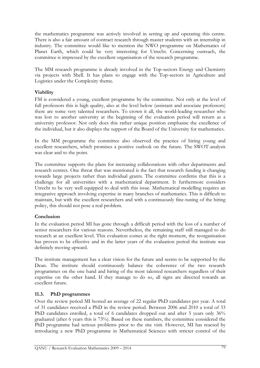the mathematics programme was actively involved in setting up and operating this centre. There is also a fair amount of contract research through master students with an internship in industry. The committee would like to mention the NWO programme on Mathematics of Planet Earth, which could be very interesting for Utrecht. Concerning outreach, the committee is impressed by the excellent organisation of the research programme.

The MM research programme is already involved in the Top-sectors Energy and Chemistry via projects with Shell. It has plans to engage with the Top-sectors in Agriculture and Logistics under the Complexity theme.

## Viability

FM is considered a young, excellent programme by the committee. Not only at the level of full professors this is high quality, also at the level below (assistant and associate professors) there are some very talented researchers. To crown it all, the world-leading researcher who was lost to another university at the beginning of the evaluation period will return as a university professor. Not only does this rather unique position emphasise the excellence of the individual, but it also displays the support of the Board of the University for mathematics.

In the MM programme the committee also observed the practice of hiring young and excellent researchers, which promises a positive outlook on the future. The SWOT-analysis was clear and to the point.

The committee supports the plans for increasing collaborations with other departments and research centres. One threat that was mentioned is the fact that research funding is changing towards large projects rather than individual grants. The committee confirms that this is a challenge for all universities with a mathematical department. It furthermore considers Utrecht to be very well equipped to deal with this issue. Mathematical modelling requires an integrative approach involving expertise in many branches of mathematics. This is difficult to maintain, but with the excellent researchers and with a continuously fine-tuning of the hiring policy, this should not pose a real problem.

# Conclusion

In the evaluation period MI has gone through a difficult period with the loss of a number of senior researchers for various reasons. Nevertheless, the remaining staff still managed to do research at an excellent level. This evaluation comes at the right moment, the reorganisation has proven to be effective and in the latter years of the evaluation period the institute was definitely moving upward.

The institute management has a clear vision for the future and seems to be supported by the Dean. The institute should continuously balance the coherence of the two research programmes on the one hand and hiring of the most talented researchers regardless of their expertise on the other hand. If they manage to do so, all signs are directed towards an excellent future.

# 11.3. PhD programmes

Over the review period MI hosted an average of 22 regular PhD candidates per year. A total of 31 candidates received a PhD in the review period. Between 2006 and 2010 a total of 33 PhD candidates enrolled, a total of 6 candidates dropped out and after 5 years only 36% graduated (after 6 years this is 73%). Based on these numbers, the committee considered the PhD programme had serious problems prior to the site visit. However, MI has reacted by introducing a new PhD programme in Mathematical Sciences with stricter control of the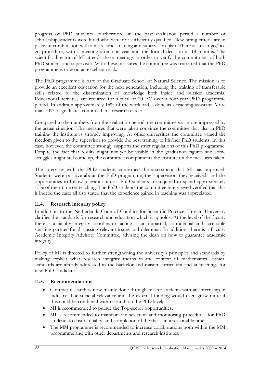progress of PhD students. Furthermore, in the past evaluation period a number of scholarship students were hired who were not sufficiently qualified. New hiring criteria are in place, in combination with a more strict training and supervision plan. There is a clear go/nogo procedure, with a meeting after one year and the formal decision at 18 months. The scientific director of MI attends these meetings in order to verify the commitment of both PhD student and supervisor. With these measures the committee was reassured that the PhD programme is now on an excellent track.

The PhD programme is part of the Graduate School of Natural Science. The mission is to provide an excellent education for the next generation, including the training of transferable skills related to the dissemination of knowledge both inside and outside academia. Educational activities are required for a total of 20 EC over a four-year PhD programme period. In addition approximately 15% of the workload is done as a teaching assistant. More than 50% of graduates continued in a research career.

Compared to the numbers from the evaluation period, the committee was more impressed by the actual situation. The measures that were taken convince the committee that also in PhD training the institute is strongly improving. At other universities the committee valued the freedom given to the supervisor to provide the best training to his/her PhD students. In this case, however, the committee strongly supports the strict regulations of this PhD programme. Despite the fact that results might not yet be visible in the graduation figures and some struggles might still come up, the committee compliments the institute on the measures taken.

The interview with the PhD students confirmed the assessment that MI has improved. Students were positive about the PhD programme, the supervision they received, and the opportunities to follow relevant courses. PhD students are required to spend approximately 15% of their time on teaching. The PhD students the committee interviewed verified that this is indeed the case; all also stated that the experience gained in teaching was appreciated.

# 11.4. Research integrity policy

In addition to the Netherlands Code of Conduct for Scientific Practice, Utrecht University clarifies the standards for research and education which it upholds. At the level of the faculty there is a faculty integrity coordinator, acting as an impartial, confidential and accessible sparring partner for discussing relevant issues and dilemmas. In addition, there is a Faculty Academic Integrity Advisory Committee, advising the dean on how to guarantee academic integrity.

Policy of MI is directed to further strengthening the university's principles and standards by making explicit what research integrity means in the context of mathematics. Ethical standards are already addressed in the bachelor and master curriculum and at meetings for new PhD candidates.

## 11.5. Recommendations

- Contract research is now mainly done through master students with an internship in industry. The societal relevance and the external funding would even grow more if this could be combined with research on the PhD level;
- MI is recommended to pursue the Top-sector opportunities;
- MI is recommended to maintain the selection and monitoring procedures for PhD students to ensure quality, and completion of the thesis in a reasonable time;
- The MM programme is recommended to increase collaborations both within the MM programme and with other departments and research institutes;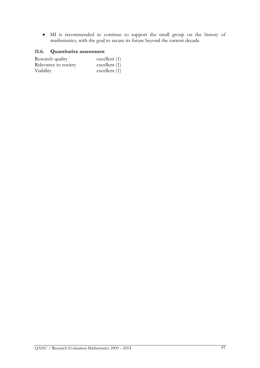• MI is recommended to continue to support the small group on the history of mathematics, with the goal to secure its future beyond the current decade.

# 11.6. Quantitative assessment

| Research quality     | excellent $(1)$ |
|----------------------|-----------------|
| Relevance to society | excellent $(1)$ |
| Viability            | excellent $(1)$ |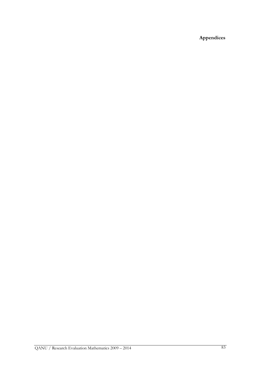Appendices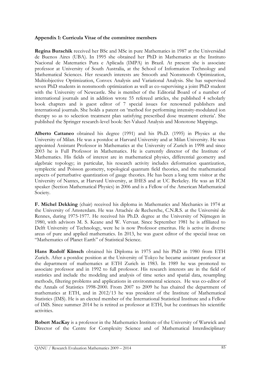#### Appendix 1: Curricula Vitae of the committee members

Regina Burachik received her BSc and MSc in pure Mathematics in 1987 at the Universidad de Buenos Aires (UBA). In 1995 she obtained her PhD in Mathematics at the Instituto Nacional de Matematics Pura e Aplicada (IMPA) in Brazil. At present she is associate professor at University of South Australia, at the School of Information Technology and Mathematical Sciences. Her research interests are Smooth and Nonsmooth Optimization, Multiobjective Optimization, Convex Analysis and Variational Analysis. She has supervised seven PhD students in nonsmooth optimization as well as co-supervising a joint PhD student with the University of Newcastle. She is member of the Editorial Board of a number of international journals and in addition wrote 55 refereed articles, she published 4 scholarly book chapters and is guest editor of 7 special issues for renowned publishers and international journals. She holds a patent on 'method for performing intensity-modulated ion therapy so as to selection treatment plan satisfying prescribed dose treatment criteria'. She published the Springer research-level book: Set-Valued Analysis and Monotone Mappings.

Alberto Cattaneo obtained his degree (1991) and his Ph.D. (1995) in Physics at the University of Milan. He was a postdoc at Harvard University and at Milan University. He was appointed Assistant Professor in Mathematics at the University of Zurich in 1998 and since 2003 he is Full Professor in Mathematics. He is currently director of the Institute of Mathematics. His fields of interest are in mathematical physics, differential geometry and algebraic topology; in particular, his research activity includes deformation quantization, symplectic and Poisson geometry, topological quantum field theories, and the mathematical aspects of perturbative quantization of gauge theories. He has been a long term visitor at the University of Nantes, at Harvard University, at IHES and at UC Berkeley. He was an ICM speaker (Section Mathematical Physics) in 2006 and is a Fellow of the American Mathematical Society.

F. Michel Dekking (chair) received his diploma in Mathematics and Mechanics in 1974 at the University of Amsterdam. He was Attachée de Recherche, C.N.R.S. at the Université de Rennes, during 1975-1977. He received his Ph.D. degree at the University of Nijmegen in 1980, with advisors M. S. Keane and W. Vervaat. Since September 1981 he is affiliated to Delft University of Technology, were he is now Professor emeritus. He is active in diverse areas of pure and applied mathematics. In 2013, he was guest editor of the special issue on "Mathematics of Planet Earth" of Statistical Science.

Hans Rudolf Künsch obtained his Diploma in 1975 and his PhD in 1980 from ETH Zurich. After a postdoc position at the University of Tokyo he became assistant professor at the department of mathematics at ETH Zurich in 1983. In 1989 he was promoted to associate professor and in 1992 to full professor. His research interests are in the field of statistics and include the modeling and analysis of time series and spatial data, resampling methods, filtering problems and applications in environmental sciences. He was co-editor of the Annals of Statistics 1998-2000. From 2007 to 2009 he has chaired the department of mathematics at ETH, and in 2012/13 he was president of the Institute of Mathematical Statistics (IMS). He is an elected member of the International Statistical Institute and a Fellow of IMS. Since summer 2014 he is retired as professor at ETH, but he continues his scientific activities.

Robert MacKay is a professor in the Mathematics Institute of the University of Warwick and Director of the Centre for Complexity Science and of Mathematical Interdisciplinary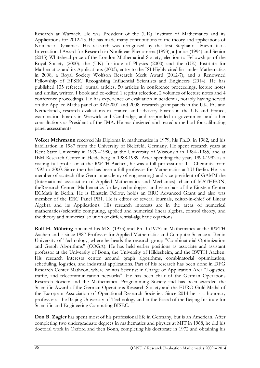Research at Warwick. He was President of the (UK) Institute of Mathematics and its Applications for 2012-13. He has made many contributions to the theory and applications of Nonlinear Dynamics. His research was recognised by the first Stephanos Pnevmatikos International Award for Research in Nonlinear Phenomena (1993), a Junior (1994) and Senior (2015) Whitehead prize of the London Mathematical Society, election to Fellowships of the Royal Society (2000), the (UK) Institute of Physics (2000) and the (UK) Institute for Mathematics and its Applications (2003), entry to the ISI Highly cited list under Mathematics in 2008, a Royal Society Wolfson Research Merit Award (2012-7), and a Renowned Fellowship of EPSRC Recognising Influential Scientists and Engineers (2014). He has published 135 refereed journal articles, 50 articles in conference proceedings, lecture notes and similar, written 1 book and co-edited 1 reprint selection, 2 volumes of lecture notes and 4 conference proceedings. He has experience of evaluation in academia, notably having served on the Applied Maths panel of RAE2001 and 2008, research grant panels in the UK, EC and Netherlands, research evaluations in France, and advisory boards in the UK and France, examination boards in Warwick and Cambridge, and responded to government and other consultations as President of the IMA. He has designed and tested a method for calibrating panel assessments.

Volker Mehrmann received his Diploma in mathematics in 1979, his Ph.D. in 1982, and his habilitation in 1987 from the University of Bielefeld, Germany. He spent research years at Kent State University in 1979--1980, at the University of Wisconsin in 1984--1985, and at IBM Research Center in Heidelberg in 1988-1989. After spending the years 1990-1992 as a visiting full professor at the RWTH Aachen, he was a full professor at TU Chemnitz from 1993 to 2000. Since then he has been a full professor for Mathematics at TU Berlin. He is a member of acatech (the German academy of engineering) and vice president of GAMM the (International association of Applied Mathematics and Mechanics), chair of MATHEON, theResearch Center `Mathematics for key technologies´ and vice chair of the Einstein Center ECMath in Berlin. He is Einstein Fellow, holds an ERC Advanced Grant and also was member of the ERC Panel PE1. He is editor of several journals, editor-in-chief of Linear Algebra and its Applications. His research interests are in the areas of numerical mathematics/scientific computing, applied and numerical linear algebra, control theory, and the theory and numerical solution of differential-algebraic equations.

Rolf H. Möhring obtained his M.S. (1973) and Ph.D (1975) in Mathematics at the RWTH Aachen and is since 1987 Professor for Applied Mathematics and Computer Science at Berlin University of Technology, where he heads the research group "Combinatorial Optimization and Graph Algorithms" (COGA). He has held earlier positions as associate and assistant professor at the University of Bonn, the University of Hildesheim, and the RWTH Aachen. His research interests center around graph algorithms, combinatorial optimization, scheduling, logistics, and industrial applications. Part of his research has been done in DFG Research Center Matheon, where he was Scientist in Charge of Application Area "Logistics, traffic, and telecommunication networks". He has been chair of the German Operations Research Society and the Mathematical Programming Society and has been awarded the Scientific Award of the German Operations Research Society and the EURO Gold Medal of the European Association of Operational Research Societies. Since 2014 he is a honorary professor at the Beijing University of Technology and in the Board of the Beijing Institute for Scientific and Engineering Computing BISEC.

Don B. Zagier has spent most of his professional life in Germany, but is an American. After completing two undergraduate degrees in mathematics and physics at MIT in 1968, he did his doctoral work in Oxford and then Bonn, completing his doctorate in 1972 and obtaining his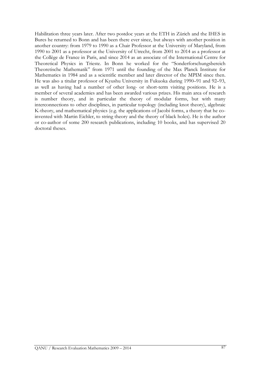Habilitation three years later. After two postdoc years at the ETH in Zürich and the IHES in Bures he returned to Bonn and has been there ever since, but always with another position in another country: from 1979 to 1990 as a Chair Professor at the University of Maryland, from 1990 to 2001 as a professor at the University of Utrecht, from 2001 to 2014 as a professor at the Collège de France in Paris, and since 2014 as an associate of the International Centre for Theoretical Physics in Trieste. In Bonn he worked for the "Sonderforschungsbereich Theoretische Mathematik" from 1971 until the founding of the Max Planck Institute for Mathematics in 1984 and as a scientific member and later director of the MPIM since then. He was also a titular professor of Kyushu University in Fukuoka during 1990–91 and 92–93, as well as having had a number of other long- or short-term visiting positions. He is a member of several academies and has been awarded various prizes. His main area of research is number theory, and in particular the theory of modular forms, but with many interconnections to other disciplines, in particular topology (including knot theory), algebraic K-theory, and mathematical physics (e.g. the applications of Jacobi forms, a theory that he coinvented with Martin Eichler, to string theory and the theory of black holes). He is the author or co-author of some 200 research publications, including 10 books, and has supervised 20 doctoral theses.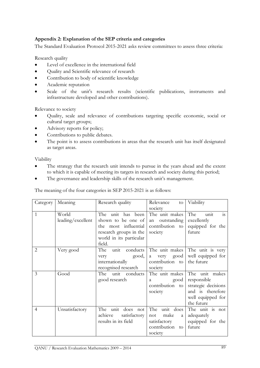# Appendix 2: Explanation of the SEP criteria and categories

The Standard Evaluation Protocol 2015-2021 asks review committees to assess three criteria:

Research quality

- Level of excellence in the international field
- Quality and Scientific relevance of research
- Contribution to body of scientific knowledge
- Academic reputation
- Scale of the unit's research results (scientific publications, instruments and infrastructure developed and other contributions).

Relevance to society

- Quality, scale and relevance of contributions targeting specific economic, social or cultural target groups;
- Advisory reports for policy;
- Contributions to public debates.
- The point is to assess contributions in areas that the research unit has itself designated as target areas.

Viability

- The strategy that the research unit intends to pursue in the years ahead and the extent to which it is capable of meeting its targets in research and society during this period;
- The governance and leadership skills of the research unit's management.

The meaning of the four categories in SEP 2015-2021 is as follows:

| Category       | Meaning                    | Research quality                                                                                                                  | Relevance<br>to<br>society                                                            | Viability                                                                                                   |
|----------------|----------------------------|-----------------------------------------------------------------------------------------------------------------------------------|---------------------------------------------------------------------------------------|-------------------------------------------------------------------------------------------------------------|
| 1              | World<br>leading/excellent | The unit has<br>been<br>shown to be one of<br>the most influential<br>research groups in the<br>world in its particular<br>field. | The unit makes<br>outstanding<br>an<br>contribution<br>to<br>society                  | The<br>unit<br>$\overline{1}S$<br>excellently<br>equipped for the<br>future                                 |
| $\overline{2}$ | Very good                  | The<br>conducts<br>unit<br>good,<br>very<br>internationally<br>recognised research                                                | The unit makes<br>good<br>very<br>a<br>contribution<br>to<br>society                  | The unit is very<br>well equipped for<br>the future                                                         |
| 3              | Good                       | unit conducts<br>The<br>good research                                                                                             | The unit makes<br>good<br>a<br>contribution<br>to<br>society                          | The unit makes<br>responsible<br>strategic decisions<br>and is therefore<br>well equipped for<br>the future |
| $\overline{4}$ | Unsatisfactory             | unit does not<br>The<br>achieve<br>satisfactory<br>results in its field                                                           | The<br>unit does<br>make<br>not<br>a<br>satisfactory<br>contribution<br>to<br>society | The unit is not<br>adequately<br>equipped for the<br>future                                                 |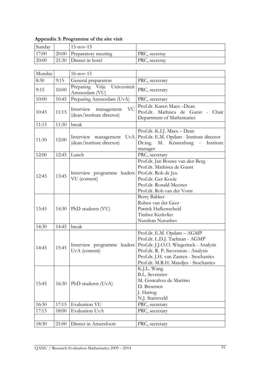| 17:00  | 20:00 | Preparatory meeting                                        | PRC, secretay                                                                                                                                                                                                                                                 |  |  |  |  |
|--------|-------|------------------------------------------------------------|---------------------------------------------------------------------------------------------------------------------------------------------------------------------------------------------------------------------------------------------------------------|--|--|--|--|
| 20:00  | 21:30 | Dinner in hotel                                            | PRC, secretay                                                                                                                                                                                                                                                 |  |  |  |  |
|        |       |                                                            |                                                                                                                                                                                                                                                               |  |  |  |  |
| Monday |       | $16$ -nov- $15$                                            |                                                                                                                                                                                                                                                               |  |  |  |  |
| 8:30   | 9:15  | General preparation                                        | PRC, secretary                                                                                                                                                                                                                                                |  |  |  |  |
| 9:15   | 10:00 | Preparing Vrije<br>Universiteit<br>Amsterdam (VU)          | PRC, secretary                                                                                                                                                                                                                                                |  |  |  |  |
| 10:00  | 10:45 | Preparing Amsterdam (UvA)                                  | PRC, secretary                                                                                                                                                                                                                                                |  |  |  |  |
| 10:45  | 11:15 | VU<br>Interview<br>management<br>(dean/institute director) | Prof.dr. Karen Maex-Dean<br>Prof.dr. Mathisca de Gunst - Chair<br>Department of Mathematics                                                                                                                                                                   |  |  |  |  |
| 11:15  | 11:30 | break                                                      |                                                                                                                                                                                                                                                               |  |  |  |  |
| 11:30  | 12:00 | Interview management<br>UvA<br>(dean/institute director)   | Prof.dr. K.I.J. Maex - Dean<br>Prof.dr. E.M. Opdam - Institute director<br>Dr.ing. M. Kranenburg - Institute<br>manager                                                                                                                                       |  |  |  |  |
| 12:00  | 12:45 | Lunch                                                      | PRC, secretary                                                                                                                                                                                                                                                |  |  |  |  |
| 12:45  | 13:45 | Interview programme leaders<br>VU (content)                | Prof.dr. Jan Bouwe van den Berg<br>Prof.dr. Mathisca de Gunst<br>Prof.dr. Rob de Jeu<br>Prof.dr. Ger Koole<br>Prof.dr. Ronald Meester<br>Prof.dr. Rob van der Vorst                                                                                           |  |  |  |  |
| 13:45  |       | 14:30   PhD students (VU)                                  | Berry Bakker<br>Ruben van der Geer<br>Patrick Hafkenscheid<br>Timber Kerkvliet<br>Nurzhan Nurushev                                                                                                                                                            |  |  |  |  |
| 14:30  | 14:45 | break                                                      |                                                                                                                                                                                                                                                               |  |  |  |  |
| 14:45  | 15:45 | UvA (content)                                              | Prof.dr. E.M. Opdam - AGMP<br>Prof.dr. L.D.J. Taelman - AGMP<br>Interview programme leaders Prof.dr. J.J.O.O. Wiegerinck - Analysis<br>Prof.dr. R. P. Stevenson - Analysis<br>Prof.dr. J.H. van Zanten - Stochastics<br>Prof.dr. M.R.H. Mandjes - Stochastics |  |  |  |  |
| 15:45  | 16:30 | PhD students (UvA)                                         | K.J.L. Wang<br><b>B.L.</b> Sevenster<br>M. Goncalves de Martino<br>D. Broersen<br>J. Hartog<br>N.J. Starreveld                                                                                                                                                |  |  |  |  |
| 16:30  | 17:15 | Evaluation VU                                              | PRC, secretary                                                                                                                                                                                                                                                |  |  |  |  |
| 17:15  | 18:00 | Evaluation UvA                                             | PRC, secretary                                                                                                                                                                                                                                                |  |  |  |  |
| 18:30  | 21:00 | Dinner in Amersfoort                                       | PRC, secretary                                                                                                                                                                                                                                                |  |  |  |  |

Appendix 3: Programme of the site visit

Sunday 15-nov-15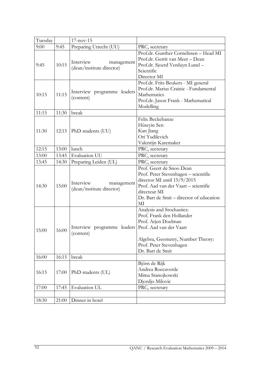| Tuesday |                                | $17 - nov - 15$                                      |                                                                                                                                                                                                           |  |  |  |
|---------|--------------------------------|------------------------------------------------------|-----------------------------------------------------------------------------------------------------------------------------------------------------------------------------------------------------------|--|--|--|
| 9:00    | Preparing Utrecht (UU)<br>9:45 |                                                      | PRC, secretary                                                                                                                                                                                            |  |  |  |
| 9:45    | 10:15                          | Interview<br>management<br>(dean/institute director) | Prof.dr. Gunther Cornelissen - Head MI<br>Prof.dr. Gerrit van Meer - Dean<br>Prof.dr. Sjoerd Verduyn Lunel -<br>Scientific<br>Director MI                                                                 |  |  |  |
| 10:15   | 11:15                          | Interview programme leaders<br>(content)             | Prof.dr. Frits Beukers - MI general<br>Prof.dr. Marius Crainic - Fundamental<br>Mathematics<br>Prof.dr. Jason Frank - Mathematical<br>Modelling                                                           |  |  |  |
| 11:15   | 11:30                          | break                                                |                                                                                                                                                                                                           |  |  |  |
| 11:30   | 12:15                          | PhD students (UU)                                    | Felix Beckebanze<br>Hüseyin Sen<br>Kan Jiang<br>Ori Yudilevich<br>Valentijn Karemaker                                                                                                                     |  |  |  |
| 12:15   | 13:00                          | lunch                                                | PRC, secretary                                                                                                                                                                                            |  |  |  |
| 13:00   | 13:45                          | Evaluation UU                                        | PRC, secretary                                                                                                                                                                                            |  |  |  |
| 13:45   | 14:30                          | Preparing Leiden (UL)                                | PRC, secretary                                                                                                                                                                                            |  |  |  |
| 14:30   | 15:00                          | Interview<br>management<br>(dean/institute director) | Prof. Geert de Snoo Dean<br>Prof. Peter Stevenhagen - scientific<br>director MI until 15/9/2015<br>Prof. Aad van der Vaart – scientific<br>directeur MI<br>Dr. Bart de Smit – director of education<br>МI |  |  |  |
| 15:00   | $16:00$                        | Interview programme leaders<br>(content)             | Analysis and Stochastics:<br>Prof. Frank den Hollander<br>Prof. Arjen Doelman<br>Prof. Aad van der Vaart<br>Algebra, Geometry, Number Theory:<br>Prof. Peter Stevenhagen<br>Dr. Bart de Smit              |  |  |  |
| 16:00   | 16:15                          | break                                                |                                                                                                                                                                                                           |  |  |  |
| 16:15   | 17:00                          | PhD students (UL)                                    | Björn de Rijk<br>Andrea Roccaverde<br>Mima Stanojkowski<br>Djordjo Milovic                                                                                                                                |  |  |  |
| 17:00   | 17:45                          | Evaluation UL                                        | PRC, secretary                                                                                                                                                                                            |  |  |  |
|         |                                |                                                      |                                                                                                                                                                                                           |  |  |  |
| 18:30   | 21:00                          | Dinner in hotel                                      |                                                                                                                                                                                                           |  |  |  |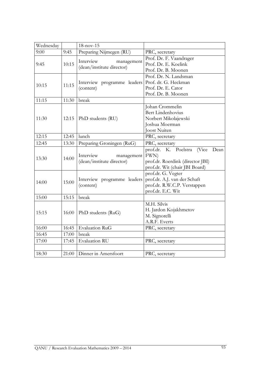| Wednesday |       | $18 - nov - 15$             |                                    |  |  |  |  |  |
|-----------|-------|-----------------------------|------------------------------------|--|--|--|--|--|
| 9:00      | 9:45  | Preparing Nijmegen (RU)     | PRC, secretary                     |  |  |  |  |  |
|           |       |                             | Prof. Dr. F. Vaandrager            |  |  |  |  |  |
| 9:45      | 10:15 | Interview<br>management     | Prof. Dr. E. Koelink               |  |  |  |  |  |
|           |       | (dean/institute director)   | Prof. Dr. B. Moonen                |  |  |  |  |  |
|           |       |                             | Prof. Dr. N. Landsman              |  |  |  |  |  |
| 10:15     | 11:15 | Interview programme leaders | Prof. dr. G. Heckman               |  |  |  |  |  |
|           |       | (content)                   | Prof. Dr. E. Cator                 |  |  |  |  |  |
|           |       |                             | Prof. Dr. B. Moonen                |  |  |  |  |  |
| 11:15     | 11:30 | break                       |                                    |  |  |  |  |  |
|           |       |                             | Johan Crommelin                    |  |  |  |  |  |
|           |       |                             | Bert Lindenhovius                  |  |  |  |  |  |
| 11:30     | 12:15 | PhD students (RU)           | Norbert Mikolajewski               |  |  |  |  |  |
|           |       |                             | Joshua Moerman                     |  |  |  |  |  |
|           |       |                             | Joost Nuiten                       |  |  |  |  |  |
| 12:15     | 12:45 | lunch                       | PRC, secretary                     |  |  |  |  |  |
| 12:45     | 13:30 | Preparing Groningen (RuG)   | PRC, secretary                     |  |  |  |  |  |
|           |       |                             | prof.dr. K. Poelstra (Vice<br>Dean |  |  |  |  |  |
| 13:30     | 14:00 | Interview<br>management     | FWN)                               |  |  |  |  |  |
|           |       | (dean/institute director)   | prof.dr. Roerdink (director JBI)   |  |  |  |  |  |
|           |       |                             | prof.dr. Wit (chair JBI Board)     |  |  |  |  |  |
|           |       |                             | prof.dr. G. Vegter                 |  |  |  |  |  |
| 14:00     | 15:00 | Interview programme leaders | prof.dr. A.J. van der Schaft       |  |  |  |  |  |
|           |       | (content)                   | prof.dr. R.W.C.P. Verstappen       |  |  |  |  |  |
|           |       |                             | prof.dr. E.C. Wit                  |  |  |  |  |  |
| 15:00     | 15:15 | break                       |                                    |  |  |  |  |  |
|           |       |                             | M.H. Silvis                        |  |  |  |  |  |
| 15:15     |       |                             | H. Jardon Kojakhmetov              |  |  |  |  |  |
|           | 16:00 | PhD students (RuG)          | M. Signorelli                      |  |  |  |  |  |
|           |       |                             | A.R.F. Everts                      |  |  |  |  |  |
| 16:00     | 16:45 | Evaluation RuG              | PRC, secretary                     |  |  |  |  |  |
| 16:45     | 17:00 | break                       |                                    |  |  |  |  |  |
| 17:00     | 17:45 | Evaluation RU               | PRC, secretary                     |  |  |  |  |  |
|           |       |                             |                                    |  |  |  |  |  |
| 18:30     | 21:00 | Dinner in Amersfoort        | PRC, secretary                     |  |  |  |  |  |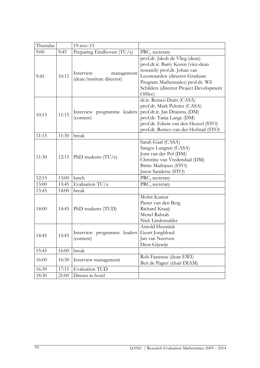| Thursday |       | $19-nov-15$                                          |                                                                                                                                                                                                                                   |  |  |  |
|----------|-------|------------------------------------------------------|-----------------------------------------------------------------------------------------------------------------------------------------------------------------------------------------------------------------------------------|--|--|--|
| 9:00     | 9:45  | Preparing Eindhoven (TU/e)                           | PRC, secretary                                                                                                                                                                                                                    |  |  |  |
| 9:45     | 10:15 | Interview<br>management<br>(dean/institute director) | prof.dr. Jakob de Vlieg (dean)<br>prof.dr.ir. Barry Koren (vice-dean<br>research) prof.dr. Johan van<br>Leeuwaarden (director Graduate<br>Program Mathematics) prof.dr. Wil<br>Schilders (director Project Development<br>Office) |  |  |  |
| 10:15    | 11:15 | Interview programme leaders<br>(content)             | dr.ir. Remco Duits (CASA)<br>prof.dr. Mark Peletier (CASA)<br>prof.dr.ir. Jan Draisma (DM)<br>prof.dr. Tanja Lange (DM)<br>prof.dr. Edwin van den Heuvel (STO)<br>prof.dr. Remco van der Hofstad (STO)                            |  |  |  |
| 11:15    | 11:30 | break                                                |                                                                                                                                                                                                                                   |  |  |  |
| 11:30    | 12:15 | PhD students $(TU/e)$                                | Sarah Gaaf (CASA)<br>Sangye Lungten (CASA)<br>Jorn van der Pol (DM)<br>Christine van Vredendaal (DM)<br>Britte Mathijsen (STO)<br>Jaron Sanderse (STO)                                                                            |  |  |  |
| 12:15    | 13:00 | lunch                                                | PRC, secretary                                                                                                                                                                                                                    |  |  |  |
| 13:00    | 13:45 | Evaluation TU/e                                      | PRC, secretary                                                                                                                                                                                                                    |  |  |  |
| 13:45    | 14:00 | break                                                |                                                                                                                                                                                                                                   |  |  |  |
| 14:00    | 14:45 | PhD students (TUD)                                   | Mohit Kumar<br>Pieter van den Berg<br>Richard Kraaij<br>Menel Rahrah<br>Nick Lindemulder                                                                                                                                          |  |  |  |
| 14:45    | 15:45 | Interview programme leaders<br>(content)             | Arnold Heemink<br>Geurt Jongbloed<br>Jan van Neerven<br>Dion Gijswijt                                                                                                                                                             |  |  |  |
| 15:45    | 16:00 | break                                                |                                                                                                                                                                                                                                   |  |  |  |
| 16:00    | 16:30 | Interview management                                 | Rob Fastenau (dean EWI)<br>Ben de Pagter (chair DIAM)                                                                                                                                                                             |  |  |  |
| 16:30    | 17:15 | <b>Evaluation TUD</b>                                |                                                                                                                                                                                                                                   |  |  |  |
| 18:30    | 21:00 | Dinner in hotel                                      |                                                                                                                                                                                                                                   |  |  |  |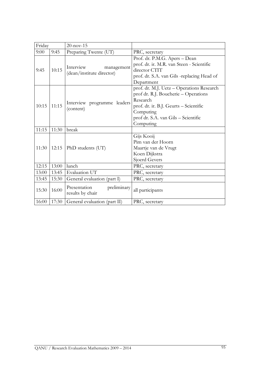| Friday |       | $20$ -nov-15                                         |                                                                                                                                                                                                          |  |  |  |  |  |
|--------|-------|------------------------------------------------------|----------------------------------------------------------------------------------------------------------------------------------------------------------------------------------------------------------|--|--|--|--|--|
| 9:00   | 9:45  | Preparing Twente (UT)                                | PRC, secretary                                                                                                                                                                                           |  |  |  |  |  |
| 9:45   | 10:15 | Interview<br>management<br>(dean/institute director) | Prof. dr. P.M.G. Apers - Dean<br>prof. dr. ir. M.R. van Steen - Scientific<br>director CTIT<br>prof. dr. S.A. van Gils -replacing Head of<br>Department                                                  |  |  |  |  |  |
| 10:15  | 11:15 | Interview programme leaders<br>(content)             | prof. dr. M.J. Uetz - Operations Research<br>prof dr. R.J. Boucherie - Operations<br>Research<br>prof. dr. ir. B.J. Geurts - Scientific<br>Computing<br>prof dr. S.A. van Gils - Scientific<br>Computing |  |  |  |  |  |
| 11:15  | 11:30 | break                                                |                                                                                                                                                                                                          |  |  |  |  |  |
| 11:30  | 12:15 | PhD students (UT)                                    | Gijs Kooij<br>Pim van der Hoorn<br>Maartje van de Vrugt<br>Koen Dijkstra<br>Sjoerd Gevers                                                                                                                |  |  |  |  |  |
| 12:15  | 13:00 | lunch                                                | PRC, secretary                                                                                                                                                                                           |  |  |  |  |  |
| 13:00  | 13:45 | Evaluation UT                                        | PRC, secretary                                                                                                                                                                                           |  |  |  |  |  |
| 13:45  | 15:30 | General evaluation (part I)                          | PRC, secretary                                                                                                                                                                                           |  |  |  |  |  |
| 15:30  | 16:00 | Presentation<br>preliminary<br>results by chair      | all participants                                                                                                                                                                                         |  |  |  |  |  |
| 16:00  | 17:30 | General evaluation (part II)                         | PRC, secretary                                                                                                                                                                                           |  |  |  |  |  |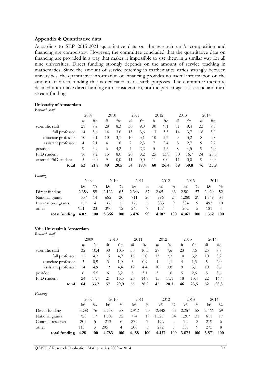#### Appendix 4: Quantitative data

According to SEP 2015-2021 quantitative data on the research unit's composition and financing are compulsory. However, the committee concluded that the quantitative data on financing are provided in a way that makes it impossible to use them in a similar way for all nine universities. Direct funding strongly depends on the amount of service teaching in mathematics. Since the amount of service teaching in mathematics varies strongly between universities, the quantitative information on financing provides no useful information on the amount of direct funding that is dedicated to research purposes. The committee therefore decided not to take direct funding into consideration, nor the percentages of second and third stream funding.

#### University of Amsterdam

Research staff

|                      | 2009  |                | 2010  |               | 2011  |               | 2012 |       |                | 2013  |               | 2014  |                |
|----------------------|-------|----------------|-------|---------------|-------|---------------|------|-------|----------------|-------|---------------|-------|----------------|
|                      | #     | fte            | #     | fte           | #     | fte           | #    | fte   | #              | fte   | #             | fte   |                |
| scientific staff     | 28    | 7,9            | 28    | 8,3           | 30    | 9,0           | 30   | 9,1   | 31             | 9,4   | 33            | 9,5   |                |
| full professor       | 14    | 3,6            | 14    | 3,6           | 13    | 3,6           | 13   | 3,5   | 14             | 3,7   | 16            | 3,9   |                |
| associate professor  | 10    | 3,1            | 10    | 3,1           | 10    | 3,1           | 10   | 3,3   | 9              | 3,2   | 8             | 2,8   |                |
| assistant professor  | 4     | 2,1            | 4     | 1,6           |       | 2,3           | 7    | 2,4   | 8              | 2,7   | 9             | 2,7   |                |
| postdoc              | 9     | 3,9            | 6     | 4,2           | 4     | 2,2           | 5    | 3,5   | 8              | 4,5   | 9             | 6,0   |                |
| PhD student          | 16    | 9,2            | 15    | 8,0           | 20    | 8,2           | 25   | 13,8  | 30             | 16,7  | 34            | 20,5  |                |
| external PhD student | 5     | 0,0            | 9     | 0,0           | 11    | 0,0           | 11   | 0,0   | 11             | 0,0   | 9             | 0,0   |                |
| total                | 53    | 21,9           | 49    | 20,5          | 54    | 19,4          | 60   | 26,4  | 69             | 30,8  | 76            | 35,9  |                |
| Funding              |       |                |       |               |       |               |      |       |                |       |               |       |                |
|                      | 2009  |                | 2010  |               |       | 2011          |      | 2012  |                | 2013  |               | 2014  |                |
|                      | k€    | $\frac{0}{0}$  | k€    | $\frac{0}{0}$ | k€    | $\frac{0}{0}$ |      | k€    | $\frac{0}{0}$  | k€    | $\frac{0}{0}$ | k€    | $\frac{0}{0}$  |
| Direct funding       | 2.356 | 59             | 2.122 | 63            | 2.346 | 67            |      | 2.651 | 63             | 2.501 | 57            | 2.929 | 52             |
| National grants      | 557   | 14             | 682   | 20            | 711   | 20            |      | 996   | 24             | 1.280 | 29            | 1.749 | 34             |
| International grants | 177   | $\overline{4}$ | 166   | 5             | 176   | 5             |      | 383   | 9              | 384   | 9             | 493   | 10             |
| other                | 931   | 23             | 396   | 12            | 243   | 7             |      | 157   | $\overline{4}$ | 202   | 5             | 181   | $\overline{4}$ |
| total funding        | 4.021 | 100            | 3.366 | 100           | 3.476 | 99            |      | 4.187 | 100            | 4.367 | 100           | 5.352 | 100            |

#### Vrije Universiteit Amsterdam

Research staff

| $\sim$              | 2009 |      | 2010 |      | 2011 |      | 2012 |      | 2013           |      | 2014 |      |
|---------------------|------|------|------|------|------|------|------|------|----------------|------|------|------|
|                     | #    | fte  | #    | fte  | #    | fte  | #    | fte  | #              | fte  | #    | fte  |
| scientific staff    | 32   | 10,4 | 30   | 10,3 | 30   | 10,3 | 27   | 7,6  | 23             | 7,6  | 25   | 8,8  |
| full professor      | 15   | 4,7  | 15   | 4,9  | 15   | 5,0  | 13   | 2,7  | 10             | 3,2  | 10   | 3,2  |
| associate professor | 3    | 0,9  | 3    | 1,0  | 3    | 0,9  | 4    | 1,1  | $\overline{4}$ | 1,3  | 5    | 2,0  |
| assistant professor | 14   | 4,9  | 12   | 4,4  | 12   | 4,4  | 10   | 3,8  | 9              | 3,1  | 10   | 3,6  |
| postdoc             | 8    | 5,5  | 6    | 3,2  | 5    | 3,1  | 3    | 1,6  | 5              | 2,6  | 5    | 3,6  |
| PhD student         | 24   | 17,7 | 21   | 15,5 | 20   | 14,9 | 15   | 11,1 | 18             | 13.4 | 22   | 16,4 |
| total               | 64   | 33,7 | 57   | 29,0 | 55   | 28,2 | 45   | 20,3 | 46             | 23,5 | 52   | 28,8 |
| Funding             |      |      |      |      |      |      |      |      |                |      |      |      |
|                     |      | 2009 |      | 2010 |      | 2011 | 2012 |      | 2013           |      | 2014 |      |

|                                   |       | 2009<br>2010- |       |               | 2011          |               | 2012  |               | 2013      |               | 2014      |               |
|-----------------------------------|-------|---------------|-------|---------------|---------------|---------------|-------|---------------|-----------|---------------|-----------|---------------|
|                                   | k€    | $\frac{0}{0}$ | k€    | $\frac{0}{0}$ | k€            | $\frac{0}{0}$ | k€    | $\frac{0}{0}$ | k€        | $\frac{0}{0}$ | k€        | $\frac{0}{0}$ |
| Direct funding                    | 3.238 | 76            | 2.798 | 58            | 2.912         | 70            | 2.448 | 55            | 2.257     | 58            | 2.466     | -69           |
| National grants                   | 728   |               | 1.507 | 32            | 774           | 19            | 1.525 | 34            | 1.207     | 31            | 611       |               |
| Contract research                 | 202   | $\mathcal{L}$ | 273   | 6             | 272           |               | 172   | 4             | 72.       |               | 219       | -6            |
| other                             | 113   | 3             | 205   | 4             | 200           | 5             | 292   |               | 337       | 9             | 275       | -8            |
| total funding $4.281$ 100 $4.783$ |       |               |       |               | 100 4.158 100 |               | 4.437 |               | 100 3.873 |               | 100 3.571 | <b>100</b>    |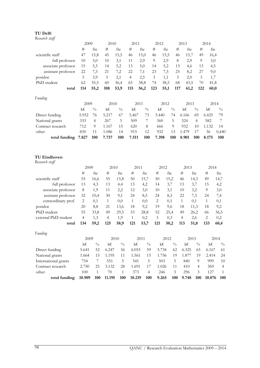#### TU Delft

| Research staff |  |
|----------------|--|
|----------------|--|

|                     | 2009  |                | 2010  |               | 2011           |               | 2012 |       |               | 2013  |               | 2014  |               |
|---------------------|-------|----------------|-------|---------------|----------------|---------------|------|-------|---------------|-------|---------------|-------|---------------|
|                     | #     | fte            | #     | fte           | #              | fte           | #    | fte   | #             | fte   | #             | fte   |               |
| scientific staff    | 47    | 15,8           | 45    | 15,5          | 46             | 15,0          | 46   | 15,5  | 46            | 15,7  | 49            | 16,4  |               |
| full professor      | 10    | 3,0            | 10    | 3,1           | 11             | 2,9           | 9    | 2,9   | 8             | 2,9   | 9             | 3,0   |               |
| associate professor | 15    | 5,5            | 14    | 5,2           | 13             | 5,0           | 14   | 5,2   | 13            | 4,6   | 13            | 4,5   |               |
| assistant professor | 22    | 7,3            | 21    | 7,2           | 22             | 7,1           | 23   | 7,3   | 25            | 8,2   | 27            | 9,0   |               |
| postdoc             | 5     | 3,9            | 3     | 2,1           | $\overline{4}$ | 2,5           | 3    | 1,1   | 3             | 2,0   | 3             | 1,7   |               |
| PhD student         | 62    | 35,5           | 60    | 36,4          | 65             | 38,8          | 74   | 38,5  | 68            | 43,5  | 70            | 41,8  |               |
| total               | 114   | 55,2           | 108   | 53,9          | 115            | 56,2          | 123  | 55,1  | 117           | 61,2  | 122           | 60,0  |               |
| Funding             |       |                |       |               |                |               |      |       |               |       |               |       |               |
|                     | 2009  |                | 2010  |               | 2011           |               |      | 2012  |               | 2013  |               | 2014  |               |
|                     | k€    | $^{0}/_{0}$    | k€    | $\frac{0}{0}$ | k€             | $\frac{0}{0}$ |      | k€    | $\frac{0}{0}$ | k€    | $\frac{0}{0}$ | k€    | $\frac{0}{0}$ |
| Direct funding      | 5.952 | 76             | 5.217 | 67            | 5.467          | 73            |      | 5.440 | 74            | 6.166 | 69            | 6.425 | 79            |
| National grants     | 333   | $\overline{4}$ | 267   | 3             | 509            | 7             |      | 360   | 5             | 324   | 4             | 582   | 7             |
| Contract research   | 712   | 9              | 1.167 | 15            | 620            | 8             |      | 666   | 9             | 932   | 10            | 1.132 | 14            |
| other               | 830   | 11             | 1.086 | 14            | 915            | 12            |      | 932   | 13            | 1.479 | 17            | 36    | 0,440         |
| total funding       | 7.827 | 100            | 7.737 | 100           | 7.511          | 100           |      | 7.398 | 100           | 8.901 | 100           | 8.175 | 100           |
|                     |       |                |       |               |                |               |      |       |               |       |               |       |               |
|                     |       |                |       |               |                |               |      |       |               |       |               |       |               |
| TU Eindhoven        |       |                |       |               |                |               |      |       |               |       |               |       |               |

| 2009           |      | 2010 |      | 2011 |      | 2012 |      | 2013 |      | 2014 |      |
|----------------|------|------|------|------|------|------|------|------|------|------|------|
| #              | fte  | #    | fte  | #    | fte  | #    | fte  | #    | fte  | #    | fte  |
| 55             | 16,6 | 55   | 15,8 | 50   | 15,7 | 50   | 15,2 | 46   | 14,3 | 49   | 14,7 |
| 13             | 4,3  | 13   | 4,4  | 13   | 4,2  | 14   | 3,7  | 13   | 3,7  | 15   | 4,2  |
| 8              | 1,9  | 11   | 2,2  | 12   | 3,0  | 10   | 3,1  | 10   | 3,2  | 9    | 3,0  |
| 32             | 10,4 | 30   | 9,1  | 24   | 8,5  | 24   | 8,3  | 22   | 7,3  | 24   | 7,4  |
| 2              | 0,1  | 1    | 0,0  |      | 0,0  | 2    | 0,1  | 1    | 0,1  | 1    | 0,1  |
| 20             | 8,8  | 21   | 13.6 | 18   | 9,2  | 19   | 9,6  | 18   | 11,3 | 18   | 9,2  |
| 55             | 33,8 | 49   | 29,5 | 53   | 28,8 | 52   | 25,4 | 49   | 26,2 | 66   | 36,5 |
| $\overline{4}$ | 1,3  | 4    | 1,9  |      | 0,2  | 3    | 0,3  | 4    | 2,6  | 2    | 0,2  |
| 134            | 59,2 | 125  | 58,9 | 121  | 53,7 | 121  | 50,2 | 113  | 51,8 | 133  | 60,4 |
|                |      |      |      |      |      |      |      |      |      |      |      |

| Funding              |        |               |        |               |        |               |       |               |       |                |        |               |
|----------------------|--------|---------------|--------|---------------|--------|---------------|-------|---------------|-------|----------------|--------|---------------|
|                      | 2009   |               | 2010   |               | 2011   |               | 2012  |               | 2013  |                | 2014   |               |
|                      | k€     | $\frac{0}{0}$ | k€     | $\frac{0}{0}$ | k€     | $\frac{0}{0}$ | k€    | $\frac{0}{0}$ | k€    | $\frac{0}{0}$  | k€     | $\frac{0}{0}$ |
| Direct funding       | 5.641  | 52            | 6.247  | 56            | 6.053  | 59            | 5.734 | 62            | 6.325 | 65             | 6.167  | -61           |
| National grants      | 1.664  | 15            | 1.195  | 11            | 1.561  | 15            | 1.756 | 19            | 1.877 | 19             | 2.414  | 24            |
| International grants | 754    |               | 551    | 5             | 541    | 5             | 503   | 5             | 840   | 9              | 999    | 10            |
| Contract research    | 2.750  | 25            | 3.132  | 28            | 1.691  |               | 1.026 | 11            | 410   | $\overline{4}$ | 369    | 4             |
| other                | 100    |               | 70     |               | 373    | 4             | 246   | 3             | 296   | 3              | 12.7   |               |
| total funding        | 10.909 | 100           | 11.195 | 100           | 10.219 | 100           | 9.265 | 100           | 9.748 | 100            | 10.076 | 100           |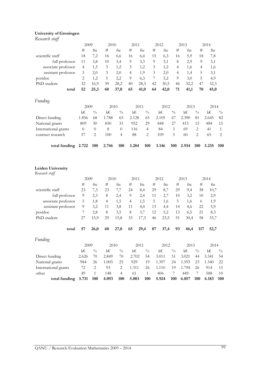#### University of Groningen

Research staff

| IJ                                         | 2009             |                | 2010    |                | 2011           |                  | 2012 |       | 2013           |       | 2014           |         |                 |  |
|--------------------------------------------|------------------|----------------|---------|----------------|----------------|------------------|------|-------|----------------|-------|----------------|---------|-----------------|--|
|                                            | $\#$             | fte            | $\#$    | fte            | #              | fte              | #    | fte   | $\#$           | fte   | #              | fte     |                 |  |
| scientific staff                           | 18               | 7,2            | 16      | 6,6            | 16             | 6,4              | 15   | 6,3   | 16             | 5,9   | 18             | 7,8     |                 |  |
| full professor                             | 11               | 3,8            | 10      | 3,4            | 9              | 3,3              | 9    | 3,1   | 8              | 2,9   | 9              | 3,1     |                 |  |
| associate professor                        | $\overline{4}$   | 1,5            | 3       | 1,2            | 3              | 1,2              | 3    | 1,2   | 4              | 1,6   | 4              | 1,6     |                 |  |
| assistant professor                        | 3                | 2,0            | 3       | 2,0            | $\overline{4}$ | 1,9              | 3    | 2,0   | $\overline{4}$ | 1,4   | 5              | 3,1     |                 |  |
| postdoc                                    | $\overline{c}$   | 1,2            | 5       | 2,2            | 9              | 6,3              | 7    | 5,2   | 9              | 3,0   | 5              | 4,9     |                 |  |
| PhD student                                | 32               | 16,9           | 39      | 28,2           | 40             | 28,3             | 42   | 30,5  | 46             | 32,2  | 47             | 32,3    |                 |  |
| total                                      | 52               | 25,3           | 60      | 37,0           | 65             | 41,0             | 64   | 42,0  | 71             | 41,1  | 70             | 45,0    |                 |  |
| Funding                                    |                  |                |         |                |                |                  |      |       |                |       |                |         |                 |  |
|                                            | 2009             |                |         | 2010           |                | 2011             |      | 2012  |                | 2013  |                |         | 2014            |  |
|                                            | k€               | $\frac{0}{0}$  | k€      | $\frac{0}{0}$  | k€             | $\frac{0}{0}$    |      | k€    | $\frac{0}{0}$  | k€    | $\frac{0}{0}$  | k€      | $\frac{0}{0}$   |  |
| Direct funding                             | 1.856            | 68             | 1.788   | 65             | 2.128          | 65               |      | 2.105 | 67             | 2.390 | 81             | 2.645   | 82              |  |
| National grants                            | 809              | 30             | 850     | 31             | 952            | 29               |      | 848   | 27             | 415   | 15             | 484     | 15              |  |
| International grants                       | $\boldsymbol{0}$ | $\theta$       | $\,8\,$ | $\theta$       | 116            | $\overline{4}$   |      | 84    | 3              | 69    | $\overline{c}$ | 41      | $\mathbf{1}$    |  |
| contract research                          | 57               | $\overline{c}$ | 100     | 4              | 88             | 2                |      | 109   | 3              | 60    | $\overline{c}$ | 65      | $\mathbf{2}$    |  |
| total funding 2.722                        |                  | 100            | 2.746   | 100            | 3.284          | 100              |      | 3.146 | 100            | 2.934 | 100            | 3.235   | 100             |  |
| <b>Leiden University</b><br>Research staff |                  |                |         |                |                |                  |      |       |                |       |                |         |                 |  |
|                                            | 2009             |                | 2010    |                | 2011           |                  | 2012 |       |                | 2013  |                | 2014    |                 |  |
|                                            | $\#$             | fte            | $\#$    | fte            | #              | fte              | $\#$ | fte   | $\#$           | fte   | $\#$           | fte     |                 |  |
| scientific staff                           | 23               | 7,3            | 23      | 7,7            | 24             | 8,4              | 29   | 8,7   | 29             | 9,4   | 38             | 10,7    |                 |  |
| full professor                             | 9                | 2,3            | 8       | 2,4            | 9              | 2,4              | 11   | 2,7   | 10             | 3,2   | 10             | 2,9     |                 |  |
| associate professor                        | 5                | 1,8            | 4       | 1,5            | $\overline{4}$ | 1,5              | 5    | 1,6   | 5              | 1,6   | 6              | 1,9     |                 |  |
| assistant professor                        | 9                | 3,2            | 11      | 3,8            | 11             | 4,4              | 13   | 4,4   | 14             | 4,6   | 22             | 5,9     |                 |  |
| postdoc                                    | 7                | 2,8            | 8       | 3,5            | 8              | 3,7              | 12   | 5,2   | 13             | 6,5   | 21             | 8,3     |                 |  |
| PhD student                                | 27               | 15,9           | 29      | 15,8           | 33             | 17,3             | 46   | 23,5  | 51             | 30,4  | 58             | 33,7    |                 |  |
| total                                      | 57               | 26,0           | 60      | 27,0           | 65             | 29,4             | 87   | 37,4  | 93             | 46,4  | 117            | 52,7    |                 |  |
| Funding                                    |                  |                |         |                |                |                  |      |       |                |       |                |         |                 |  |
|                                            | 2009             |                | 2010    |                |                | 2011             |      | 2012  |                | 2013  |                | 2014    |                 |  |
|                                            | $k\!\!\in\!\!$   | $\frac{0}{0}$  | k€      | $\frac{0}{0}$  | k€             | $\sqrt[0]{_{0}}$ |      | k€    | $\frac{0}{0}$  | k€    | $\frac{0}{0}$  | $k \in$ | $\sqrt[0]{\!0}$ |  |
| Direct funding                             | 2.626            | 70             | 2.849   | $70\,$         | 2.702          | 54               |      | 3.011 | 51             | 3.021 | 44             | 3.341   | 54              |  |
| National grants                            | 984              | 26             | 1.003   | 25             | 929            | 19               |      | 1.397 | 24             | 1.593 | 23             | 1.340   | 22              |  |
| International grants                       | 72               | $\sqrt{2}$     | 93      | $\sqrt{2}$     | 1.311          | 26               |      | 1.110 | 19             | 1.794 | 26             | 914     | 15              |  |
| other                                      | 49               | $\mathbf{1}$   | 148     | $\overline{4}$ | 61             | $\mathbf{1}$     |      | 406   | 7              | 449   | $\overline{7}$ | 588     | 10              |  |
| total funding                              | 3.731            | 100            | 4.093   | 100            | 5.003          | 100              |      | 5.924 | 100            | 6.857 | 100            | 6.183   | 100             |  |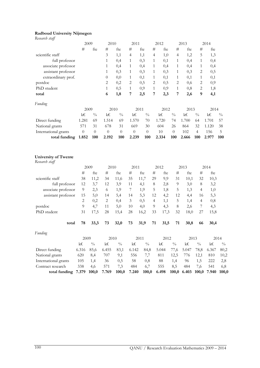#### Radboud University Nijmegen

| Research staff                                |                |                 |                  |                |                |                  |                |          |                  |         |                 |       |                  |
|-----------------------------------------------|----------------|-----------------|------------------|----------------|----------------|------------------|----------------|----------|------------------|---------|-----------------|-------|------------------|
|                                               |                | 2009            | 2010             |                | 2011           |                  |                | 2012     |                  | 2013    |                 | 2014  |                  |
|                                               | #              | fte             | #                | fte            | #              | fte              | $\#$           | fte      | $\#$             | fte     | $\#$            | fte   |                  |
| scientific staff                              |                |                 | 3                | 1,1            | $\overline{4}$ | 1,1              | $\overline{4}$ | 1,0      | $\overline{4}$   | 1,2     | 5               | 1,3   |                  |
| full professor                                |                |                 | 1                | 0,4            | 1              | 0,3              | 1              | 0,1      | 1                | 0,4     | $\mathbf{1}$    | 0,4   |                  |
| associate professor                           |                |                 | $\mathbf{1}$     | 0,4            | 1              | 0,4              | 1              | 0,4      | $\mathbf{1}$     | 0,4     | 1               | 0,4   |                  |
| assistant professor                           |                |                 | 1                | 0,3            | 1              | 0,3              | 1              | 0,3      | 1                | 0,3     | 2               | 0,5   |                  |
| extraordinary prof.                           |                |                 | $\overline{0}$   | 0,0            | 1              | 0,1              | 1              | 0,1      | $\mathbf{1}$     | 0,1     | $\mathbf{1}$    | 0,1   |                  |
| postdoc                                       |                |                 | 2                | 0,2            | 2              | 0,5              | 2              | 0,5      | 2                | 0,6     | 2               | 0,9   |                  |
| PhD student                                   |                |                 | $\mathbf{1}$     | 0,5            | $\mathbf{1}$   | 0,9              | $\mathbf{1}$   | 0,9      | $\mathbf{1}$     | 0,8     | $\mathbf{2}$    | 1,8   |                  |
| total                                         |                |                 | 6                | 1,8            | 7              | 2,5              | 7              | 2,3      | 7                | 2,6     | 9               | 4,1   |                  |
| Funding                                       |                |                 |                  |                |                |                  |                |          |                  |         |                 |       |                  |
|                                               |                | 2009            |                  | 2010           |                | 2011             |                | 2012     |                  | 2013    |                 | 2014  |                  |
|                                               | $k \in$        | $\frac{0}{0}$   | $k \in$          | $\frac{0}{0}$  | k€             | $\frac{0}{0}$    |                | $k \in$  | $\frac{0}{0}$    | $k \in$ | $\frac{0}{0}$   | k€    | $\frac{0}{0}$    |
| Direct funding                                | 1.281          | 69              | 1.514            | 69             | 1.570          | 70               |                | 1.720    | 74               | 1.700   | 64              | 1.701 | 57               |
| National grants                               | 571            | 31              | 678              | 31             | 669            | 30               |                | 604      | 26               | 864     | 32              | 1.120 | 38               |
| International grants                          | $\theta$       | $\overline{0}$  | $\boldsymbol{0}$ | $\overline{0}$ | $\theta$       | $\boldsymbol{0}$ |                | 10       | $\boldsymbol{0}$ | 102     | $\overline{4}$  | 156   | $\mathbf 5$      |
| total funding                                 | 1.852          | 100             | 2.192            | 100            | 2.239          | 100              |                | 2.334    | 100              | 2.666   | 100             | 2.977 | 100              |
| <b>University of Twente</b><br>Research staff |                |                 |                  |                |                |                  |                |          |                  |         |                 |       |                  |
|                                               |                | 2009            | 2010             |                | 2011           |                  | 2012           |          | 2013             |         |                 | 2014  |                  |
|                                               | $\#$           | fte             | $\#$             | fte            | $\#$<br>fte    |                  | $\#$<br>fte    |          | $\#$<br>fte      |         | $\#$<br>fte     |       |                  |
| scientific staff                              | 38             | 11,2            | 34               | 11,6           | 35             | 11,7             | 29             | 9,9      | 31               | 10,1    | 32              | 10,3  |                  |
| full professor                                | 12             | 3,7             | 12               | 3,9            | 11             | 4,1              | 8              | 2,8      | 9                | 3,0     | 8               | 3,2   |                  |
| associate professor                           | 9              | 2,3             | 6                | 1,9            | 7              | 1,9              | 5              | 1,8      | 5                | 1,3     | 4               | 1,0   |                  |
| assistant professor                           | 15             | 5,0             | 14               | 5,4            | 14             | 5,3              | 12             | 4,2      | 12               | 4,4     | 16              | 5,3   |                  |
|                                               | $\sqrt{2}$     | 0,2             | $\sqrt{2}$       | 0,4            | 3              | 0,5              | $\overline{4}$ | 1,1      | 5                | 1,4     | $\overline{4}$  | 0,8   |                  |
| postdoc                                       | 9              | 4,7             | 11               | 5,0            | 10             | 4,0              | 9              | 4,3      | 8                | 2,6     | 7               | 4,3   |                  |
| PhD student                                   | 31             | 17,5            | 28               | 15,4           | 28             | 16,2             | 33             | 17,3     | 32               | 18,0    | 27              | 15,8  |                  |
|                                               |                |                 |                  |                |                |                  |                |          |                  |         |                 |       |                  |
| total                                         | 78             | 33,3            | 73               | 32,0           | 73             | 31,9             | 71             | 31,5     | 71               | 30,8    | 66              | 30,4  |                  |
| Funding                                       |                |                 |                  |                |                |                  |                |          |                  |         |                 |       |                  |
|                                               | 2009           |                 | 2010             |                |                | $2011\,$         |                | 2012     |                  | 2013    |                 |       | 2014             |
|                                               | $k\!\!\in\!\!$ | $\sqrt[0]{\!0}$ | k€               | $\frac{0}{0}$  | $k\!\!\in\!\!$ | $\frac{0}{0}$    |                | $k \in$  | $\sqrt[0]{\!0}$  | $k \in$ | $\sqrt[0]{\!0}$ | k€    | $\sqrt[0]{_{0}}$ |
| Direct funding                                | 6.316          | 85,6            | 6.455            | 83,1           | 6.142          | 84,8             |                | 5.044    | 77,6             | 5.047   | 78,8            | 6.367 | 80,2             |
| National grants                               | 620            | 8,4             | 707              | 9,1            | 556            | 7,7              |                | 811      | 12,5             | 776     | 12,1            | 810   | 10,2             |
| International grants                          | 105            | 1,4             | 36               | 0,5            | $58\,$         | 0,8              |                | $\bf 88$ | 1,4              | 96      | 1,5             | 222   | 2,8              |
| Contract research                             | 338            | 4,6             | 571              | 7,3            | 484            | 6,7              |                | 555      | 8,5              | 484     | 7,6             | 541   | 6,8              |

total funding 7.379 100,0 7.769 100,0 7.240 100,0 6.498 100,0 6.403 100,0 7.940 100,0